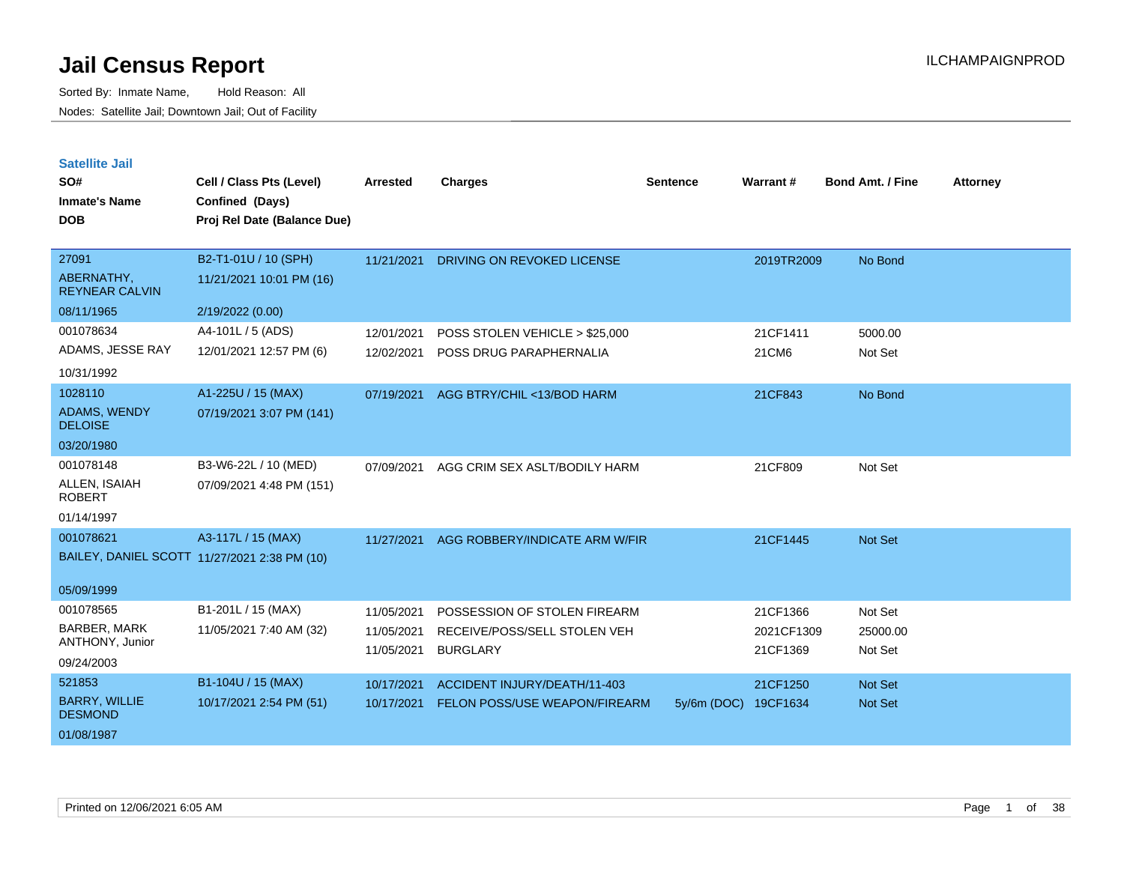Sorted By: Inmate Name, Hold Reason: All Nodes: Satellite Jail; Downtown Jail; Out of Facility

**Satellite Jail**

| SO#<br><b>Inmate's Name</b><br><b>DOB</b>                      | Cell / Class Pts (Level)<br>Confined (Days)<br>Proj Rel Date (Balance Due) | <b>Arrested</b>                        | <b>Charges</b>                                                                  | <b>Sentence</b> | Warrant#                           | <b>Bond Amt. / Fine</b>        | <b>Attorney</b> |
|----------------------------------------------------------------|----------------------------------------------------------------------------|----------------------------------------|---------------------------------------------------------------------------------|-----------------|------------------------------------|--------------------------------|-----------------|
| 27091<br>ABERNATHY,                                            | B2-T1-01U / 10 (SPH)<br>11/21/2021 10:01 PM (16)                           | 11/21/2021                             | DRIVING ON REVOKED LICENSE                                                      |                 | 2019TR2009                         | No Bond                        |                 |
| <b>REYNEAR CALVIN</b><br>08/11/1965                            | 2/19/2022 (0.00)                                                           |                                        |                                                                                 |                 |                                    |                                |                 |
| 001078634<br>ADAMS, JESSE RAY<br>10/31/1992                    | A4-101L / 5 (ADS)<br>12/01/2021 12:57 PM (6)                               | 12/01/2021<br>12/02/2021               | POSS STOLEN VEHICLE > \$25,000<br>POSS DRUG PARAPHERNALIA                       |                 | 21CF1411<br>21CM6                  | 5000.00<br>Not Set             |                 |
| 1028110<br>ADAMS, WENDY<br><b>DELOISE</b><br>03/20/1980        | A1-225U / 15 (MAX)<br>07/19/2021 3:07 PM (141)                             | 07/19/2021                             | AGG BTRY/CHIL <13/BOD HARM                                                      |                 | 21CF843                            | No Bond                        |                 |
| 001078148<br>ALLEN, ISAIAH<br><b>ROBERT</b><br>01/14/1997      | B3-W6-22L / 10 (MED)<br>07/09/2021 4:48 PM (151)                           | 07/09/2021                             | AGG CRIM SEX ASLT/BODILY HARM                                                   |                 | 21CF809                            | Not Set                        |                 |
| 001078621<br>05/09/1999                                        | A3-117L / 15 (MAX)<br>BAILEY, DANIEL SCOTT 11/27/2021 2:38 PM (10)         | 11/27/2021                             | AGG ROBBERY/INDICATE ARM W/FIR                                                  |                 | 21CF1445                           | Not Set                        |                 |
| 001078565<br>BARBER, MARK<br>ANTHONY, Junior<br>09/24/2003     | B1-201L / 15 (MAX)<br>11/05/2021 7:40 AM (32)                              | 11/05/2021<br>11/05/2021<br>11/05/2021 | POSSESSION OF STOLEN FIREARM<br>RECEIVE/POSS/SELL STOLEN VEH<br><b>BURGLARY</b> |                 | 21CF1366<br>2021CF1309<br>21CF1369 | Not Set<br>25000.00<br>Not Set |                 |
| 521853<br><b>BARRY, WILLIE</b><br><b>DESMOND</b><br>01/08/1987 | B1-104U / 15 (MAX)<br>10/17/2021 2:54 PM (51)                              | 10/17/2021<br>10/17/2021               | ACCIDENT INJURY/DEATH/11-403<br>FELON POSS/USE WEAPON/FIREARM                   | $5y/6m$ (DOC)   | 21CF1250<br>19CF1634               | Not Set<br><b>Not Set</b>      |                 |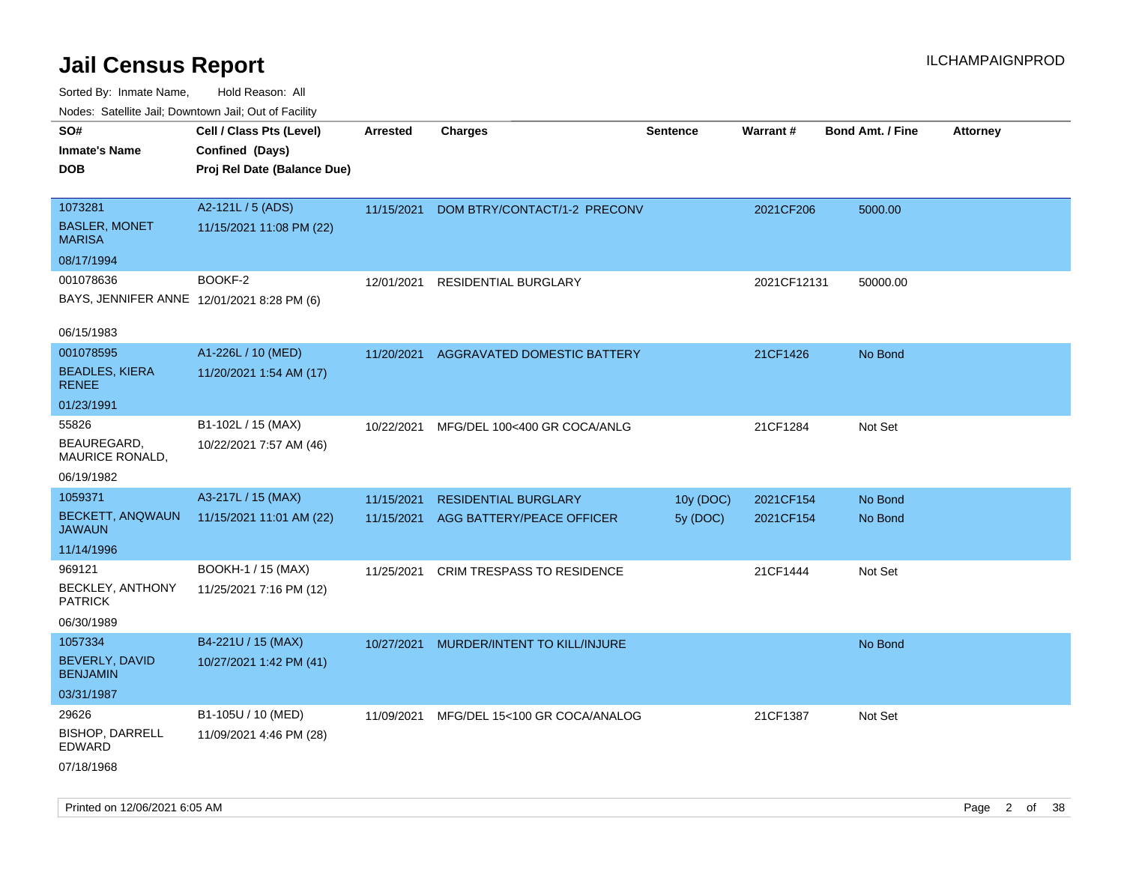| SO#                                        | Cell / Class Pts (Level)    | <b>Arrested</b> | <b>Charges</b>                | <b>Sentence</b> | <b>Warrant#</b> | <b>Bond Amt. / Fine</b> | <b>Attorney</b> |
|--------------------------------------------|-----------------------------|-----------------|-------------------------------|-----------------|-----------------|-------------------------|-----------------|
| <b>Inmate's Name</b>                       | Confined (Days)             |                 |                               |                 |                 |                         |                 |
| <b>DOB</b>                                 | Proj Rel Date (Balance Due) |                 |                               |                 |                 |                         |                 |
|                                            |                             |                 |                               |                 |                 |                         |                 |
| 1073281                                    | A2-121L / 5 (ADS)           | 11/15/2021      | DOM BTRY/CONTACT/1-2 PRECONV  |                 | 2021CF206       | 5000.00                 |                 |
| <b>BASLER, MONET</b><br><b>MARISA</b>      | 11/15/2021 11:08 PM (22)    |                 |                               |                 |                 |                         |                 |
| 08/17/1994                                 |                             |                 |                               |                 |                 |                         |                 |
| 001078636                                  | BOOKF-2                     | 12/01/2021      | <b>RESIDENTIAL BURGLARY</b>   |                 | 2021CF12131     | 50000.00                |                 |
| BAYS, JENNIFER ANNE 12/01/2021 8:28 PM (6) |                             |                 |                               |                 |                 |                         |                 |
| 06/15/1983                                 |                             |                 |                               |                 |                 |                         |                 |
| 001078595                                  | A1-226L / 10 (MED)          | 11/20/2021      | AGGRAVATED DOMESTIC BATTERY   |                 | 21CF1426        | No Bond                 |                 |
| <b>BEADLES, KIERA</b><br><b>RENEE</b>      | 11/20/2021 1:54 AM (17)     |                 |                               |                 |                 |                         |                 |
| 01/23/1991                                 |                             |                 |                               |                 |                 |                         |                 |
| 55826                                      | B1-102L / 15 (MAX)          | 10/22/2021      | MFG/DEL 100<400 GR COCA/ANLG  |                 | 21CF1284        | Not Set                 |                 |
| BEAUREGARD,<br>MAURICE RONALD,             | 10/22/2021 7:57 AM (46)     |                 |                               |                 |                 |                         |                 |
| 06/19/1982                                 |                             |                 |                               |                 |                 |                         |                 |
| 1059371                                    | A3-217L / 15 (MAX)          | 11/15/2021      | <b>RESIDENTIAL BURGLARY</b>   | 10y (DOC)       | 2021CF154       | No Bond                 |                 |
| BECKETT, ANQWAUN<br><b>JAWAUN</b>          | 11/15/2021 11:01 AM (22)    | 11/15/2021      | AGG BATTERY/PEACE OFFICER     | 5y (DOC)        | 2021CF154       | No Bond                 |                 |
| 11/14/1996                                 |                             |                 |                               |                 |                 |                         |                 |
| 969121                                     | BOOKH-1 / 15 (MAX)          | 11/25/2021      | CRIM TRESPASS TO RESIDENCE    |                 | 21CF1444        | Not Set                 |                 |
| BECKLEY, ANTHONY<br><b>PATRICK</b>         | 11/25/2021 7:16 PM (12)     |                 |                               |                 |                 |                         |                 |
| 06/30/1989                                 |                             |                 |                               |                 |                 |                         |                 |
| 1057334                                    | B4-221U / 15 (MAX)          | 10/27/2021      | MURDER/INTENT TO KILL/INJURE  |                 |                 | No Bond                 |                 |
| BEVERLY, DAVID<br><b>BENJAMIN</b>          | 10/27/2021 1:42 PM (41)     |                 |                               |                 |                 |                         |                 |
| 03/31/1987                                 |                             |                 |                               |                 |                 |                         |                 |
| 29626                                      | B1-105U / 10 (MED)          | 11/09/2021      | MFG/DEL 15<100 GR COCA/ANALOG |                 | 21CF1387        | Not Set                 |                 |
| <b>BISHOP, DARRELL</b><br>EDWARD           | 11/09/2021 4:46 PM (28)     |                 |                               |                 |                 |                         |                 |
| 07/18/1968                                 |                             |                 |                               |                 |                 |                         |                 |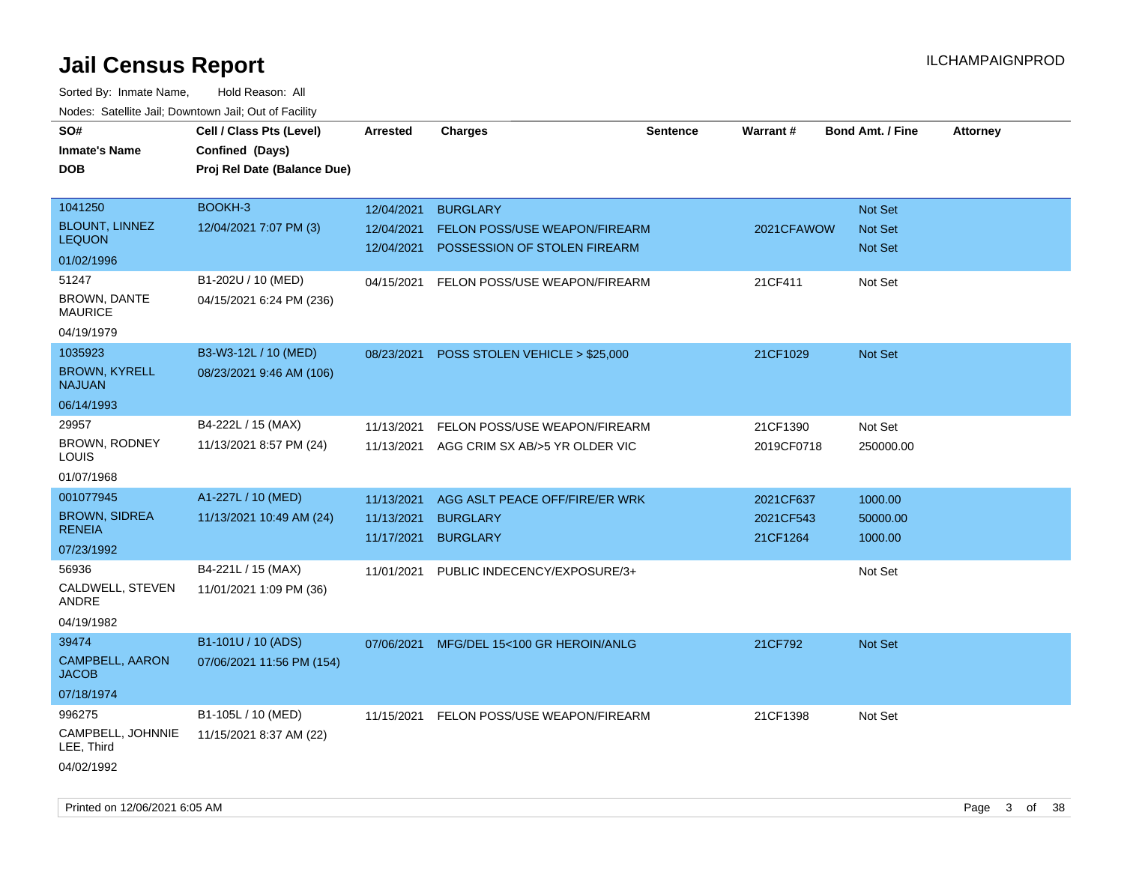| SO#                                   | Cell / Class Pts (Level)    | Arrested   | <b>Charges</b>                            | <b>Sentence</b> | <b>Warrant#</b> | <b>Bond Amt. / Fine</b> | <b>Attorney</b> |
|---------------------------------------|-----------------------------|------------|-------------------------------------------|-----------------|-----------------|-------------------------|-----------------|
| <b>Inmate's Name</b>                  | Confined (Days)             |            |                                           |                 |                 |                         |                 |
| <b>DOB</b>                            | Proj Rel Date (Balance Due) |            |                                           |                 |                 |                         |                 |
|                                       |                             |            |                                           |                 |                 |                         |                 |
| 1041250                               | BOOKH-3                     | 12/04/2021 | <b>BURGLARY</b>                           |                 |                 | Not Set                 |                 |
| <b>BLOUNT, LINNEZ</b>                 | 12/04/2021 7:07 PM (3)      | 12/04/2021 | FELON POSS/USE WEAPON/FIREARM             |                 | 2021CFAWOW      | Not Set                 |                 |
| <b>LEQUON</b>                         |                             |            | 12/04/2021 POSSESSION OF STOLEN FIREARM   |                 |                 | Not Set                 |                 |
| 01/02/1996                            |                             |            |                                           |                 |                 |                         |                 |
| 51247                                 | B1-202U / 10 (MED)          | 04/15/2021 | FELON POSS/USE WEAPON/FIREARM             |                 | 21CF411         | Not Set                 |                 |
| BROWN, DANTE<br><b>MAURICE</b>        | 04/15/2021 6:24 PM (236)    |            |                                           |                 |                 |                         |                 |
| 04/19/1979                            |                             |            |                                           |                 |                 |                         |                 |
| 1035923                               | B3-W3-12L / 10 (MED)        | 08/23/2021 | POSS STOLEN VEHICLE > \$25,000            |                 | 21CF1029        | Not Set                 |                 |
| <b>BROWN, KYRELL</b><br><b>NAJUAN</b> | 08/23/2021 9:46 AM (106)    |            |                                           |                 |                 |                         |                 |
| 06/14/1993                            |                             |            |                                           |                 |                 |                         |                 |
| 29957                                 | B4-222L / 15 (MAX)          | 11/13/2021 | FELON POSS/USE WEAPON/FIREARM             |                 | 21CF1390        | Not Set                 |                 |
| <b>BROWN, RODNEY</b><br>LOUIS         | 11/13/2021 8:57 PM (24)     |            | 11/13/2021 AGG CRIM SX AB/>5 YR OLDER VIC |                 | 2019CF0718      | 250000.00               |                 |
| 01/07/1968                            |                             |            |                                           |                 |                 |                         |                 |
| 001077945                             | A1-227L / 10 (MED)          | 11/13/2021 | AGG ASLT PEACE OFF/FIRE/ER WRK            |                 | 2021CF637       | 1000.00                 |                 |
| <b>BROWN, SIDREA</b>                  | 11/13/2021 10:49 AM (24)    | 11/13/2021 | <b>BURGLARY</b>                           |                 | 2021CF543       | 50000.00                |                 |
| <b>RENEIA</b>                         |                             | 11/17/2021 | <b>BURGLARY</b>                           |                 | 21CF1264        | 1000.00                 |                 |
| 07/23/1992                            |                             |            |                                           |                 |                 |                         |                 |
| 56936                                 | B4-221L / 15 (MAX)          | 11/01/2021 | PUBLIC INDECENCY/EXPOSURE/3+              |                 |                 | Not Set                 |                 |
| CALDWELL, STEVEN<br>ANDRE             | 11/01/2021 1:09 PM (36)     |            |                                           |                 |                 |                         |                 |
| 04/19/1982                            |                             |            |                                           |                 |                 |                         |                 |
| 39474                                 | B1-101U / 10 (ADS)          | 07/06/2021 | MFG/DEL 15<100 GR HEROIN/ANLG             |                 | 21CF792         | Not Set                 |                 |
| CAMPBELL, AARON<br><b>JACOB</b>       | 07/06/2021 11:56 PM (154)   |            |                                           |                 |                 |                         |                 |
| 07/18/1974                            |                             |            |                                           |                 |                 |                         |                 |
| 996275                                | B1-105L / 10 (MED)          | 11/15/2021 | FELON POSS/USE WEAPON/FIREARM             |                 | 21CF1398        | Not Set                 |                 |
| CAMPBELL, JOHNNIE<br>LEE, Third       | 11/15/2021 8:37 AM (22)     |            |                                           |                 |                 |                         |                 |
| 04/02/1992                            |                             |            |                                           |                 |                 |                         |                 |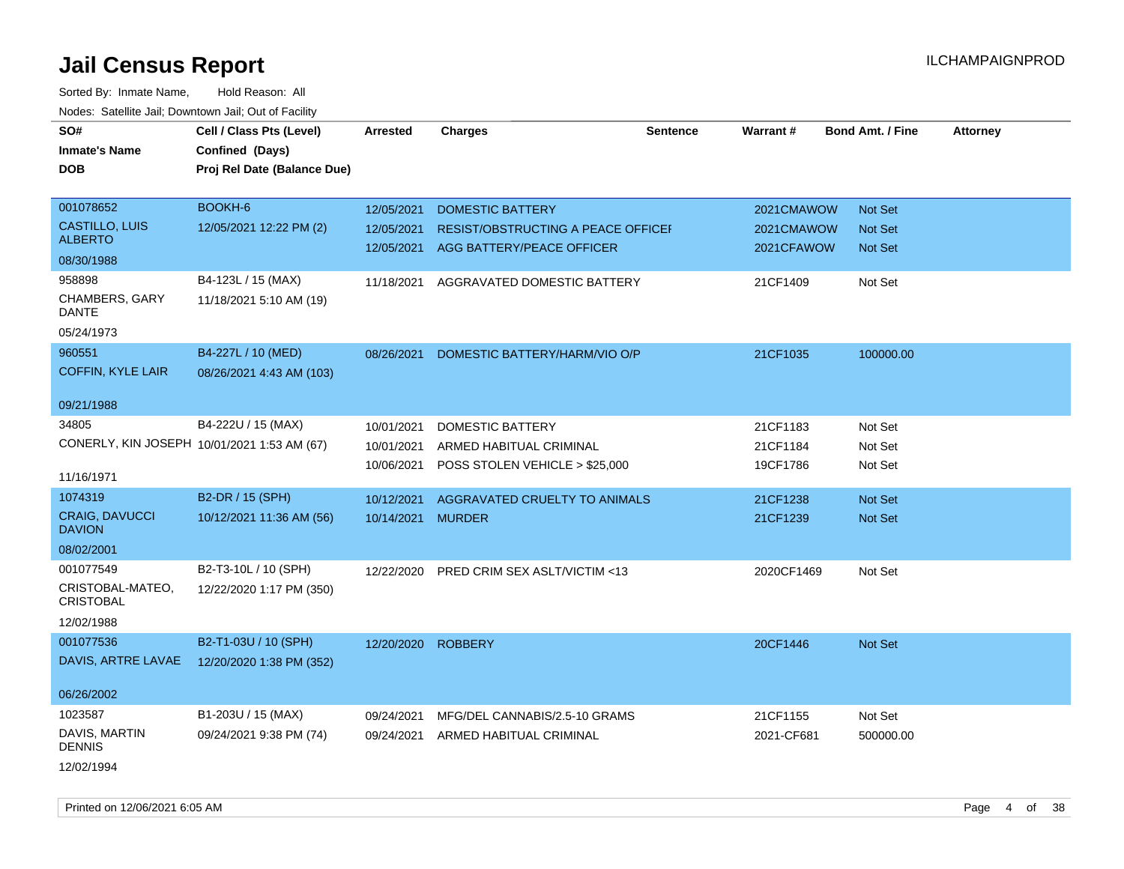| rouco. Calcinic Jan, Downtown Jan, Out of Facility |                             |                    |                                           |                 |            |                         |                 |
|----------------------------------------------------|-----------------------------|--------------------|-------------------------------------------|-----------------|------------|-------------------------|-----------------|
| SO#                                                | Cell / Class Pts (Level)    | <b>Arrested</b>    | <b>Charges</b>                            | <b>Sentence</b> | Warrant#   | <b>Bond Amt. / Fine</b> | <b>Attorney</b> |
| <b>Inmate's Name</b>                               | Confined (Days)             |                    |                                           |                 |            |                         |                 |
| <b>DOB</b>                                         | Proj Rel Date (Balance Due) |                    |                                           |                 |            |                         |                 |
|                                                    |                             |                    |                                           |                 |            |                         |                 |
| 001078652                                          | BOOKH-6                     | 12/05/2021         | <b>DOMESTIC BATTERY</b>                   |                 | 2021CMAWOW | Not Set                 |                 |
| CASTILLO, LUIS                                     | 12/05/2021 12:22 PM (2)     | 12/05/2021         | RESIST/OBSTRUCTING A PEACE OFFICEF        |                 | 2021CMAWOW | <b>Not Set</b>          |                 |
| <b>ALBERTO</b>                                     |                             |                    | 12/05/2021 AGG BATTERY/PEACE OFFICER      |                 | 2021CFAWOW | Not Set                 |                 |
| 08/30/1988                                         |                             |                    |                                           |                 |            |                         |                 |
| 958898                                             | B4-123L / 15 (MAX)          | 11/18/2021         | AGGRAVATED DOMESTIC BATTERY               |                 | 21CF1409   | Not Set                 |                 |
| CHAMBERS, GARY<br><b>DANTE</b>                     | 11/18/2021 5:10 AM (19)     |                    |                                           |                 |            |                         |                 |
| 05/24/1973                                         |                             |                    |                                           |                 |            |                         |                 |
| 960551                                             | B4-227L / 10 (MED)          | 08/26/2021         | DOMESTIC BATTERY/HARM/VIO O/P             |                 | 21CF1035   | 100000.00               |                 |
| <b>COFFIN, KYLE LAIR</b>                           | 08/26/2021 4:43 AM (103)    |                    |                                           |                 |            |                         |                 |
| 09/21/1988                                         |                             |                    |                                           |                 |            |                         |                 |
| 34805                                              | B4-222U / 15 (MAX)          | 10/01/2021         | DOMESTIC BATTERY                          |                 | 21CF1183   | Not Set                 |                 |
| CONERLY, KIN JOSEPH 10/01/2021 1:53 AM (67)        |                             | 10/01/2021         | ARMED HABITUAL CRIMINAL                   |                 | 21CF1184   | Not Set                 |                 |
|                                                    |                             |                    | 10/06/2021 POSS STOLEN VEHICLE > \$25,000 |                 | 19CF1786   | Not Set                 |                 |
| 11/16/1971                                         |                             |                    |                                           |                 |            |                         |                 |
| 1074319                                            | B2-DR / 15 (SPH)            | 10/12/2021         | AGGRAVATED CRUELTY TO ANIMALS             |                 | 21CF1238   | Not Set                 |                 |
| <b>CRAIG, DAVUCCI</b><br><b>DAVION</b>             | 10/12/2021 11:36 AM (56)    | 10/14/2021 MURDER  |                                           |                 | 21CF1239   | Not Set                 |                 |
| 08/02/2001                                         |                             |                    |                                           |                 |            |                         |                 |
| 001077549                                          | B2-T3-10L / 10 (SPH)        | 12/22/2020         | PRED CRIM SEX ASLT/VICTIM <13             |                 | 2020CF1469 | Not Set                 |                 |
| CRISTOBAL-MATEO,<br><b>CRISTOBAL</b>               | 12/22/2020 1:17 PM (350)    |                    |                                           |                 |            |                         |                 |
| 12/02/1988                                         |                             |                    |                                           |                 |            |                         |                 |
| 001077536                                          | B2-T1-03U / 10 (SPH)        | 12/20/2020 ROBBERY |                                           |                 | 20CF1446   | <b>Not Set</b>          |                 |
| DAVIS, ARTRE LAVAE                                 | 12/20/2020 1:38 PM (352)    |                    |                                           |                 |            |                         |                 |
| 06/26/2002                                         |                             |                    |                                           |                 |            |                         |                 |
| 1023587                                            | B1-203U / 15 (MAX)          |                    |                                           |                 |            |                         |                 |
|                                                    |                             | 09/24/2021         | MFG/DEL CANNABIS/2.5-10 GRAMS             |                 | 21CF1155   | Not Set                 |                 |
| DAVIS, MARTIN<br><b>DENNIS</b>                     | 09/24/2021 9:38 PM (74)     | 09/24/2021         | ARMED HABITUAL CRIMINAL                   |                 | 2021-CF681 | 500000.00               |                 |
| 12/02/1994                                         |                             |                    |                                           |                 |            |                         |                 |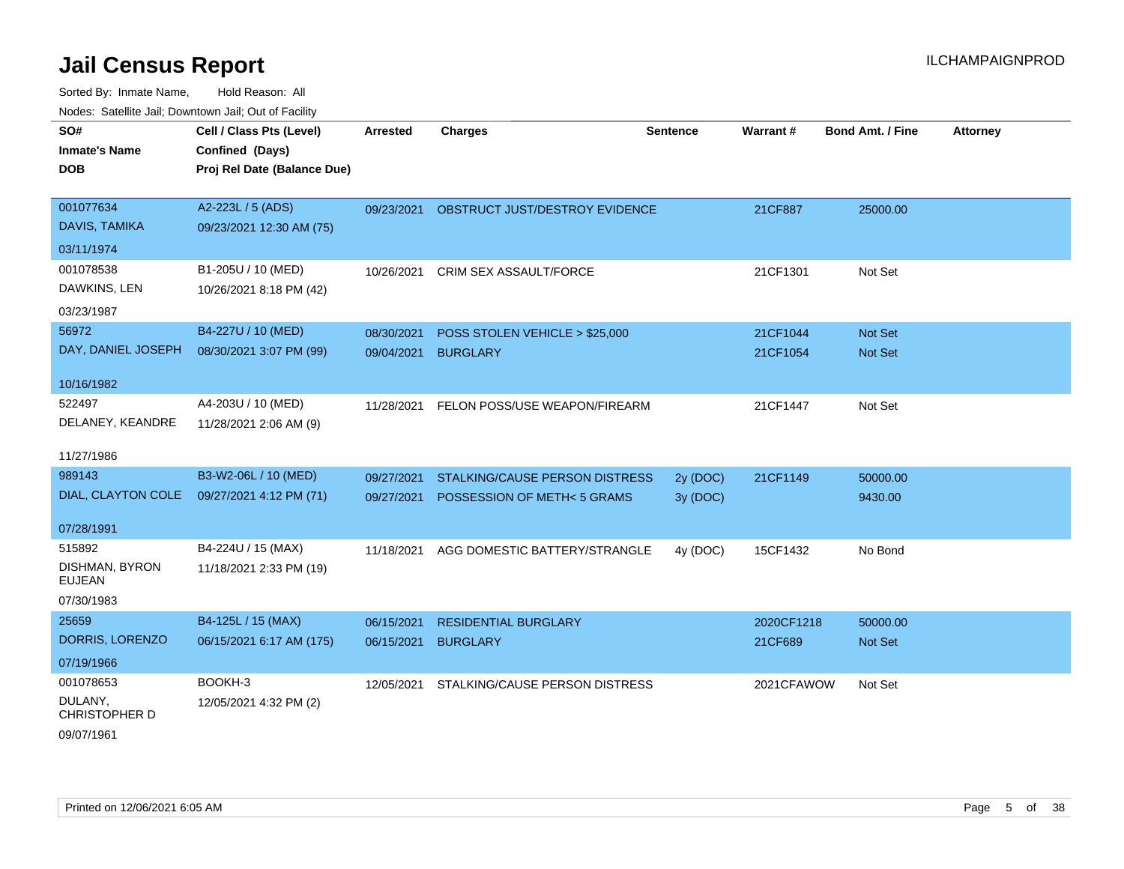| SO#                                | Cell / Class Pts (Level)    | <b>Arrested</b> | <b>Charges</b>                 | <b>Sentence</b> | Warrant#   | Bond Amt. / Fine | <b>Attorney</b> |
|------------------------------------|-----------------------------|-----------------|--------------------------------|-----------------|------------|------------------|-----------------|
| <b>Inmate's Name</b>               | Confined (Days)             |                 |                                |                 |            |                  |                 |
| <b>DOB</b>                         | Proj Rel Date (Balance Due) |                 |                                |                 |            |                  |                 |
|                                    |                             |                 |                                |                 |            |                  |                 |
| 001077634                          | A2-223L / 5 (ADS)           | 09/23/2021      | OBSTRUCT JUST/DESTROY EVIDENCE |                 | 21CF887    | 25000.00         |                 |
| DAVIS, TAMIKA                      | 09/23/2021 12:30 AM (75)    |                 |                                |                 |            |                  |                 |
| 03/11/1974                         |                             |                 |                                |                 |            |                  |                 |
| 001078538                          | B1-205U / 10 (MED)          | 10/26/2021      | <b>CRIM SEX ASSAULT/FORCE</b>  |                 | 21CF1301   | Not Set          |                 |
| DAWKINS, LEN                       | 10/26/2021 8:18 PM (42)     |                 |                                |                 |            |                  |                 |
| 03/23/1987                         |                             |                 |                                |                 |            |                  |                 |
| 56972                              | B4-227U / 10 (MED)          | 08/30/2021      | POSS STOLEN VEHICLE > \$25,000 |                 | 21CF1044   | Not Set          |                 |
| DAY, DANIEL JOSEPH                 | 08/30/2021 3:07 PM (99)     | 09/04/2021      | <b>BURGLARY</b>                |                 | 21CF1054   | <b>Not Set</b>   |                 |
|                                    |                             |                 |                                |                 |            |                  |                 |
| 10/16/1982                         |                             |                 |                                |                 |            |                  |                 |
| 522497<br>DELANEY, KEANDRE         | A4-203U / 10 (MED)          | 11/28/2021      | FELON POSS/USE WEAPON/FIREARM  |                 | 21CF1447   | Not Set          |                 |
|                                    | 11/28/2021 2:06 AM (9)      |                 |                                |                 |            |                  |                 |
| 11/27/1986                         |                             |                 |                                |                 |            |                  |                 |
| 989143                             | B3-W2-06L / 10 (MED)        | 09/27/2021      | STALKING/CAUSE PERSON DISTRESS | 2y (DOC)        | 21CF1149   | 50000.00         |                 |
| DIAL, CLAYTON COLE                 | 09/27/2021 4:12 PM (71)     | 09/27/2021      | POSSESSION OF METH<5 GRAMS     | 3y (DOC)        |            | 9430.00          |                 |
|                                    |                             |                 |                                |                 |            |                  |                 |
| 07/28/1991                         |                             |                 |                                |                 |            |                  |                 |
| 515892                             | B4-224U / 15 (MAX)          | 11/18/2021      | AGG DOMESTIC BATTERY/STRANGLE  | 4y (DOC)        | 15CF1432   | No Bond          |                 |
| DISHMAN, BYRON<br><b>EUJEAN</b>    | 11/18/2021 2:33 PM (19)     |                 |                                |                 |            |                  |                 |
| 07/30/1983                         |                             |                 |                                |                 |            |                  |                 |
| 25659                              | B4-125L / 15 (MAX)          | 06/15/2021      | <b>RESIDENTIAL BURGLARY</b>    |                 | 2020CF1218 | 50000.00         |                 |
| DORRIS, LORENZO                    | 06/15/2021 6:17 AM (175)    | 06/15/2021      | <b>BURGLARY</b>                |                 | 21CF689    | Not Set          |                 |
| 07/19/1966                         |                             |                 |                                |                 |            |                  |                 |
| 001078653                          | BOOKH-3                     | 12/05/2021      | STALKING/CAUSE PERSON DISTRESS |                 | 2021CFAWOW | Not Set          |                 |
| DULANY,                            | 12/05/2021 4:32 PM (2)      |                 |                                |                 |            |                  |                 |
| <b>CHRISTOPHER D</b><br>09/07/1961 |                             |                 |                                |                 |            |                  |                 |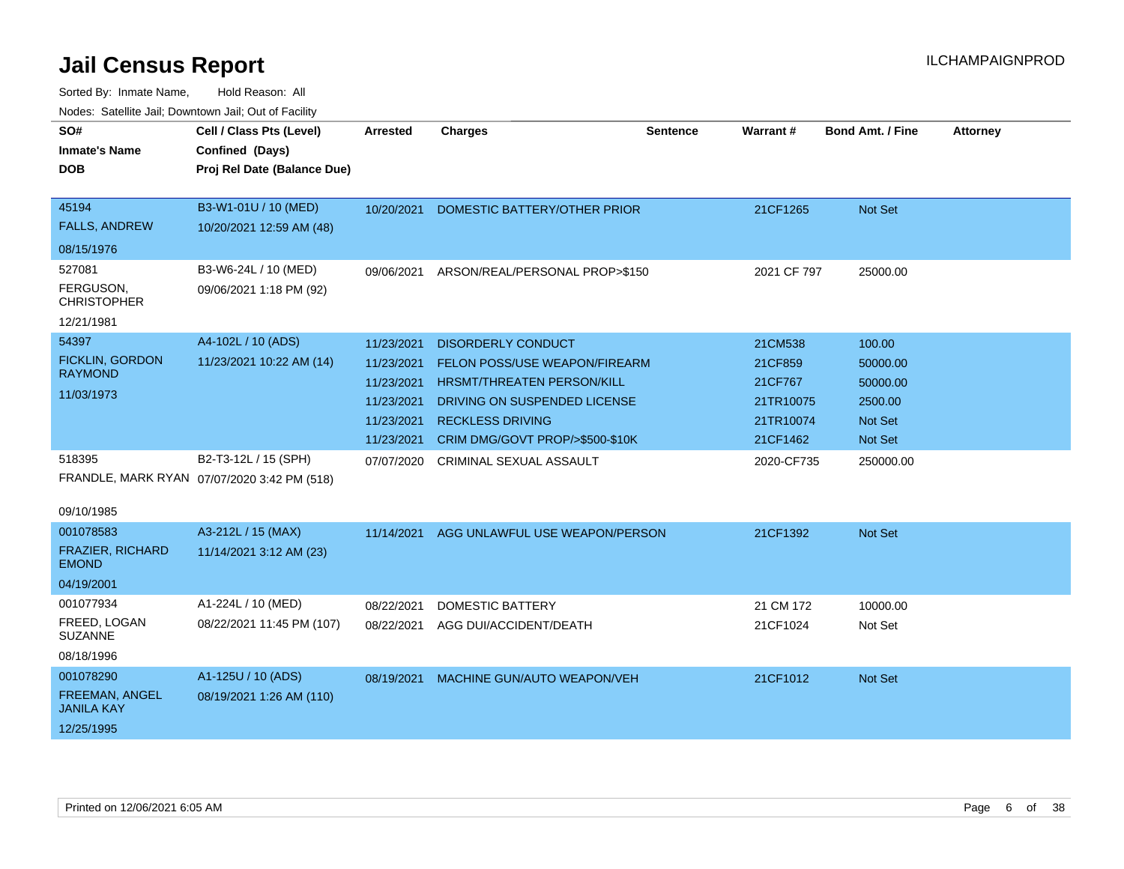| SO#<br><b>Inmate's Name</b>         | Cell / Class Pts (Level)<br>Confined (Days) | <b>Arrested</b> | <b>Charges</b>                  | Sentence | Warrant#    | <b>Bond Amt. / Fine</b> | <b>Attorney</b> |
|-------------------------------------|---------------------------------------------|-----------------|---------------------------------|----------|-------------|-------------------------|-----------------|
| <b>DOB</b>                          | Proj Rel Date (Balance Due)                 |                 |                                 |          |             |                         |                 |
|                                     |                                             |                 |                                 |          |             |                         |                 |
| 45194                               | B3-W1-01U / 10 (MED)                        | 10/20/2021      | DOMESTIC BATTERY/OTHER PRIOR    |          | 21CF1265    | Not Set                 |                 |
| <b>FALLS, ANDREW</b>                | 10/20/2021 12:59 AM (48)                    |                 |                                 |          |             |                         |                 |
| 08/15/1976                          |                                             |                 |                                 |          |             |                         |                 |
| 527081                              | B3-W6-24L / 10 (MED)                        | 09/06/2021      | ARSON/REAL/PERSONAL PROP>\$150  |          | 2021 CF 797 | 25000.00                |                 |
| FERGUSON,<br><b>CHRISTOPHER</b>     | 09/06/2021 1:18 PM (92)                     |                 |                                 |          |             |                         |                 |
| 12/21/1981                          |                                             |                 |                                 |          |             |                         |                 |
| 54397                               | A4-102L / 10 (ADS)                          | 11/23/2021      | <b>DISORDERLY CONDUCT</b>       |          | 21CM538     | 100.00                  |                 |
| <b>FICKLIN, GORDON</b>              | 11/23/2021 10:22 AM (14)                    | 11/23/2021      | FELON POSS/USE WEAPON/FIREARM   |          | 21CF859     | 50000.00                |                 |
| <b>RAYMOND</b>                      |                                             | 11/23/2021      | HRSMT/THREATEN PERSON/KILL      |          | 21CF767     | 50000.00                |                 |
| 11/03/1973                          |                                             | 11/23/2021      | DRIVING ON SUSPENDED LICENSE    |          | 21TR10075   | 2500.00                 |                 |
|                                     |                                             | 11/23/2021      | <b>RECKLESS DRIVING</b>         |          | 21TR10074   | Not Set                 |                 |
|                                     |                                             | 11/23/2021      | CRIM DMG/GOVT PROP/>\$500-\$10K |          | 21CF1462    | Not Set                 |                 |
| 518395                              | B2-T3-12L / 15 (SPH)                        | 07/07/2020      | CRIMINAL SEXUAL ASSAULT         |          | 2020-CF735  | 250000.00               |                 |
|                                     | FRANDLE, MARK RYAN 07/07/2020 3:42 PM (518) |                 |                                 |          |             |                         |                 |
|                                     |                                             |                 |                                 |          |             |                         |                 |
| 09/10/1985                          |                                             |                 |                                 |          |             |                         |                 |
| 001078583                           | A3-212L / 15 (MAX)                          | 11/14/2021      | AGG UNLAWFUL USE WEAPON/PERSON  |          | 21CF1392    | Not Set                 |                 |
| FRAZIER, RICHARD<br><b>EMOND</b>    | 11/14/2021 3:12 AM (23)                     |                 |                                 |          |             |                         |                 |
| 04/19/2001                          |                                             |                 |                                 |          |             |                         |                 |
| 001077934                           | A1-224L / 10 (MED)                          | 08/22/2021      | <b>DOMESTIC BATTERY</b>         |          | 21 CM 172   | 10000.00                |                 |
| FREED, LOGAN<br><b>SUZANNE</b>      | 08/22/2021 11:45 PM (107)                   | 08/22/2021      | AGG DUI/ACCIDENT/DEATH          |          | 21CF1024    | Not Set                 |                 |
| 08/18/1996                          |                                             |                 |                                 |          |             |                         |                 |
| 001078290                           | A1-125U / 10 (ADS)                          | 08/19/2021      | MACHINE GUN/AUTO WEAPON/VEH     |          | 21CF1012    | Not Set                 |                 |
| FREEMAN, ANGEL<br><b>JANILA KAY</b> | 08/19/2021 1:26 AM (110)                    |                 |                                 |          |             |                         |                 |
| 12/25/1995                          |                                             |                 |                                 |          |             |                         |                 |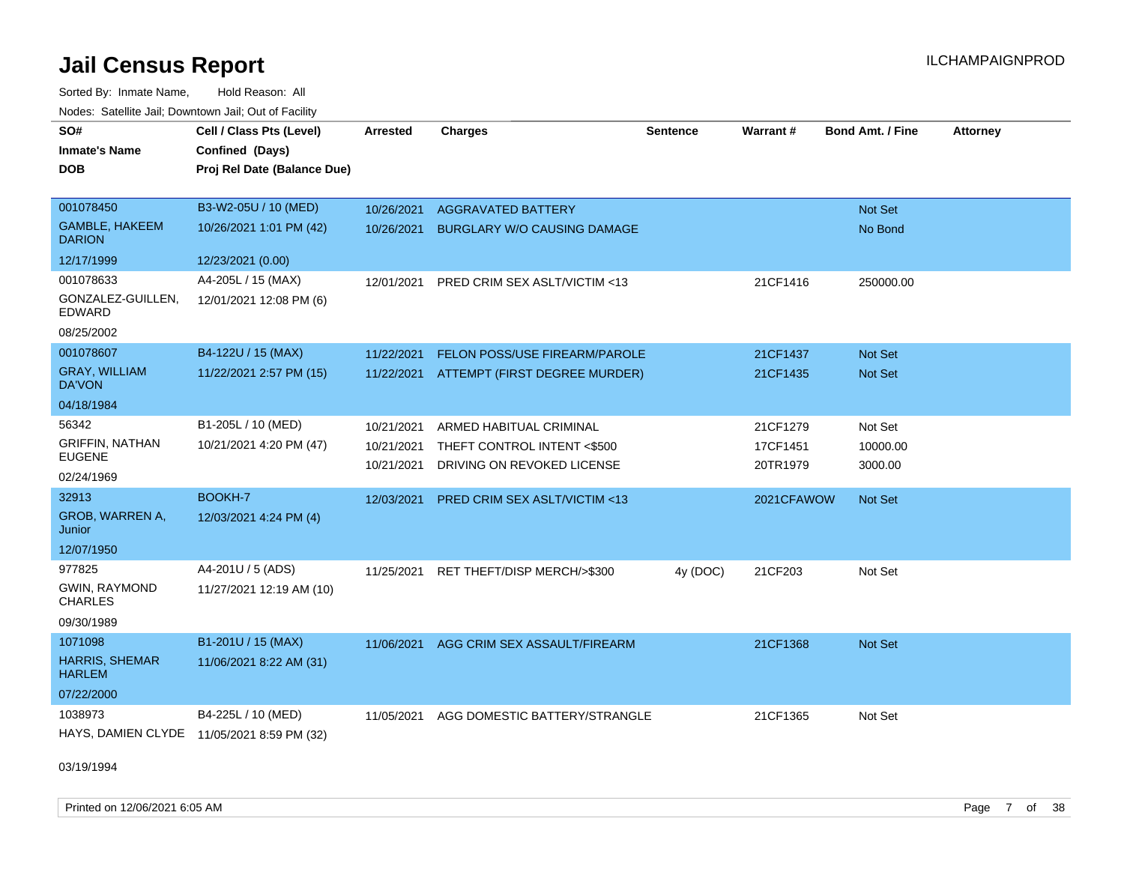Sorted By: Inmate Name, Hold Reason: All Nodes: Satellite Jail; Downtown Jail; Out of Facility

| SO#                                    | Cell / Class Pts (Level)                   | <b>Arrested</b> | <b>Charges</b>                           | <b>Sentence</b> | Warrant#   | <b>Bond Amt. / Fine</b> | <b>Attorney</b> |
|----------------------------------------|--------------------------------------------|-----------------|------------------------------------------|-----------------|------------|-------------------------|-----------------|
| <b>Inmate's Name</b>                   | Confined (Days)                            |                 |                                          |                 |            |                         |                 |
| <b>DOB</b>                             | Proj Rel Date (Balance Due)                |                 |                                          |                 |            |                         |                 |
|                                        |                                            |                 |                                          |                 |            |                         |                 |
| 001078450                              | B3-W2-05U / 10 (MED)                       | 10/26/2021      | <b>AGGRAVATED BATTERY</b>                |                 |            | Not Set                 |                 |
| <b>GAMBLE, HAKEEM</b><br><b>DARION</b> | 10/26/2021 1:01 PM (42)                    | 10/26/2021      | <b>BURGLARY W/O CAUSING DAMAGE</b>       |                 |            | No Bond                 |                 |
| 12/17/1999                             | 12/23/2021 (0.00)                          |                 |                                          |                 |            |                         |                 |
| 001078633                              | A4-205L / 15 (MAX)                         | 12/01/2021      | <b>PRED CRIM SEX ASLT/VICTIM &lt;13</b>  |                 | 21CF1416   | 250000.00               |                 |
| GONZALEZ-GUILLEN,<br>EDWARD            | 12/01/2021 12:08 PM (6)                    |                 |                                          |                 |            |                         |                 |
| 08/25/2002                             |                                            |                 |                                          |                 |            |                         |                 |
| 001078607                              | B4-122U / 15 (MAX)                         | 11/22/2021      | FELON POSS/USE FIREARM/PAROLE            |                 | 21CF1437   | Not Set                 |                 |
| <b>GRAY, WILLIAM</b><br><b>DA'VON</b>  | 11/22/2021 2:57 PM (15)                    |                 | 11/22/2021 ATTEMPT (FIRST DEGREE MURDER) |                 | 21CF1435   | Not Set                 |                 |
| 04/18/1984                             |                                            |                 |                                          |                 |            |                         |                 |
| 56342                                  | B1-205L / 10 (MED)                         | 10/21/2021      | ARMED HABITUAL CRIMINAL                  |                 | 21CF1279   | Not Set                 |                 |
| <b>GRIFFIN, NATHAN</b>                 | 10/21/2021 4:20 PM (47)                    | 10/21/2021      | THEFT CONTROL INTENT <\$500              |                 | 17CF1451   | 10000.00                |                 |
| <b>EUGENE</b>                          |                                            | 10/21/2021      | DRIVING ON REVOKED LICENSE               |                 | 20TR1979   | 3000.00                 |                 |
| 02/24/1969                             |                                            |                 |                                          |                 |            |                         |                 |
| 32913                                  | BOOKH-7                                    | 12/03/2021      | PRED CRIM SEX ASLT/VICTIM <13            |                 | 2021CFAWOW | Not Set                 |                 |
| GROB, WARREN A,<br>Junior              | 12/03/2021 4:24 PM (4)                     |                 |                                          |                 |            |                         |                 |
| 12/07/1950                             |                                            |                 |                                          |                 |            |                         |                 |
| 977825                                 | A4-201U / 5 (ADS)                          |                 | 11/25/2021 RET THEFT/DISP MERCH/>\$300   | 4y (DOC)        | 21CF203    | Not Set                 |                 |
| GWIN, RAYMOND<br><b>CHARLES</b>        | 11/27/2021 12:19 AM (10)                   |                 |                                          |                 |            |                         |                 |
| 09/30/1989                             |                                            |                 |                                          |                 |            |                         |                 |
| 1071098                                | B1-201U / 15 (MAX)                         |                 | 11/06/2021 AGG CRIM SEX ASSAULT/FIREARM  |                 | 21CF1368   | Not Set                 |                 |
| HARRIS, SHEMAR<br><b>HARLEM</b>        | 11/06/2021 8:22 AM (31)                    |                 |                                          |                 |            |                         |                 |
| 07/22/2000                             |                                            |                 |                                          |                 |            |                         |                 |
| 1038973                                | B4-225L / 10 (MED)                         | 11/05/2021      | AGG DOMESTIC BATTERY/STRANGLE            |                 | 21CF1365   | Not Set                 |                 |
|                                        | HAYS, DAMIEN CLYDE 11/05/2021 8:59 PM (32) |                 |                                          |                 |            |                         |                 |

03/19/1994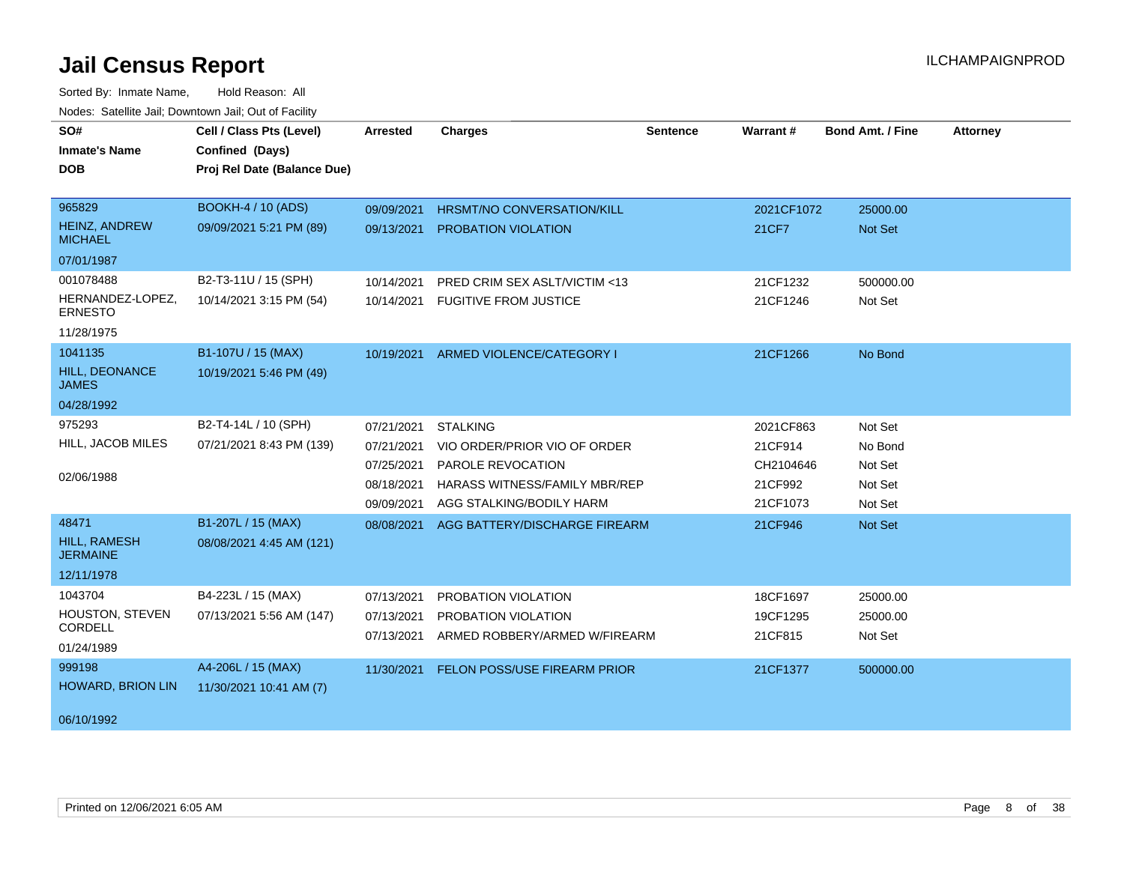| SO#<br><b>Inmate's Name</b><br><b>DOB</b>                      | Cell / Class Pts (Level)<br>Confined (Days)<br>Proj Rel Date (Balance Due) | <b>Arrested</b>                                                    | <b>Charges</b>                                                                                                                           | <b>Sentence</b> | Warrant#                                                 | <b>Bond Amt. / Fine</b>                             | <b>Attorney</b> |
|----------------------------------------------------------------|----------------------------------------------------------------------------|--------------------------------------------------------------------|------------------------------------------------------------------------------------------------------------------------------------------|-----------------|----------------------------------------------------------|-----------------------------------------------------|-----------------|
| 965829<br><b>HEINZ, ANDREW</b><br><b>MICHAEL</b><br>07/01/1987 | <b>BOOKH-4 / 10 (ADS)</b><br>09/09/2021 5:21 PM (89)                       | 09/09/2021<br>09/13/2021                                           | <b>HRSMT/NO CONVERSATION/KILL</b><br>PROBATION VIOLATION                                                                                 |                 | 2021CF1072<br>21CF7                                      | 25000.00<br><b>Not Set</b>                          |                 |
| 001078488<br>HERNANDEZ-LOPEZ,<br><b>ERNESTO</b><br>11/28/1975  | B2-T3-11U / 15 (SPH)<br>10/14/2021 3:15 PM (54)                            | 10/14/2021<br>10/14/2021                                           | PRED CRIM SEX ASLT/VICTIM <13<br><b>FUGITIVE FROM JUSTICE</b>                                                                            |                 | 21CF1232<br>21CF1246                                     | 500000.00<br>Not Set                                |                 |
| 1041135<br>HILL, DEONANCE<br><b>JAMES</b><br>04/28/1992        | B1-107U / 15 (MAX)<br>10/19/2021 5:46 PM (49)                              | 10/19/2021                                                         | ARMED VIOLENCE/CATEGORY I                                                                                                                |                 | 21CF1266                                                 | No Bond                                             |                 |
| 975293<br>HILL, JACOB MILES<br>02/06/1988                      | B2-T4-14L / 10 (SPH)<br>07/21/2021 8:43 PM (139)                           | 07/21/2021<br>07/21/2021<br>07/25/2021<br>08/18/2021<br>09/09/2021 | <b>STALKING</b><br>VIO ORDER/PRIOR VIO OF ORDER<br>PAROLE REVOCATION<br><b>HARASS WITNESS/FAMILY MBR/REP</b><br>AGG STALKING/BODILY HARM |                 | 2021CF863<br>21CF914<br>CH2104646<br>21CF992<br>21CF1073 | Not Set<br>No Bond<br>Not Set<br>Not Set<br>Not Set |                 |
| 48471<br>HILL, RAMESH<br><b>JERMAINE</b><br>12/11/1978         | B1-207L / 15 (MAX)<br>08/08/2021 4:45 AM (121)                             | 08/08/2021                                                         | AGG BATTERY/DISCHARGE FIREARM                                                                                                            |                 | 21CF946                                                  | Not Set                                             |                 |
| 1043704<br>HOUSTON, STEVEN<br>CORDELL<br>01/24/1989            | B4-223L / 15 (MAX)<br>07/13/2021 5:56 AM (147)                             | 07/13/2021<br>07/13/2021<br>07/13/2021                             | PROBATION VIOLATION<br>PROBATION VIOLATION<br>ARMED ROBBERY/ARMED W/FIREARM                                                              |                 | 18CF1697<br>19CF1295<br>21CF815                          | 25000.00<br>25000.00<br>Not Set                     |                 |
| 999198<br><b>HOWARD, BRION LIN</b><br>06/10/1992               | A4-206L / 15 (MAX)<br>11/30/2021 10:41 AM (7)                              | 11/30/2021                                                         | FELON POSS/USE FIREARM PRIOR                                                                                                             |                 | 21CF1377                                                 | 500000.00                                           |                 |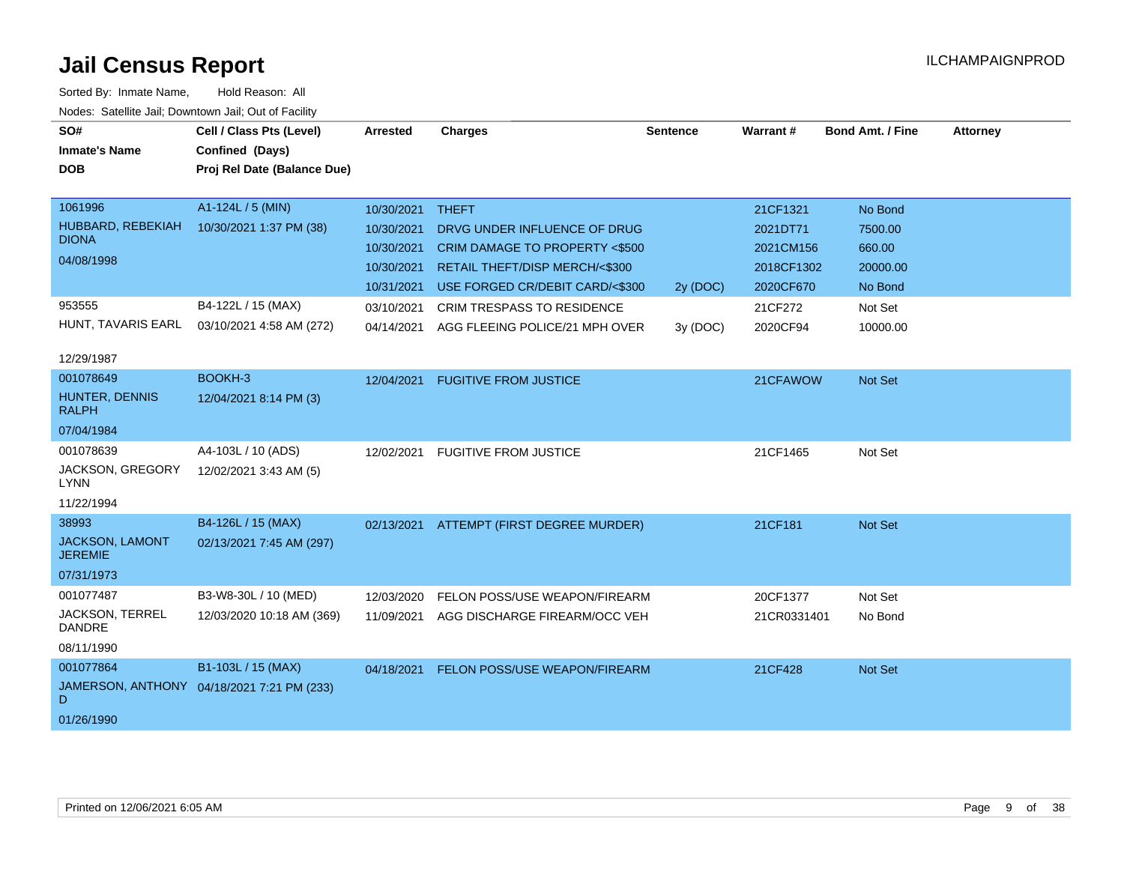|                                         | Cell / Class Pts (Level)                   |                 |                                          |                 | Warrant#    | <b>Bond Amt. / Fine</b> |                 |
|-----------------------------------------|--------------------------------------------|-----------------|------------------------------------------|-----------------|-------------|-------------------------|-----------------|
| SO#                                     |                                            | <b>Arrested</b> | <b>Charges</b>                           | <b>Sentence</b> |             |                         | <b>Attorney</b> |
| <b>Inmate's Name</b>                    | Confined (Days)                            |                 |                                          |                 |             |                         |                 |
| <b>DOB</b>                              | Proj Rel Date (Balance Due)                |                 |                                          |                 |             |                         |                 |
|                                         |                                            |                 |                                          |                 |             |                         |                 |
| 1061996                                 | A1-124L / 5 (MIN)                          | 10/30/2021      | <b>THEFT</b>                             |                 | 21CF1321    | No Bond                 |                 |
| HUBBARD, REBEKIAH<br><b>DIONA</b>       | 10/30/2021 1:37 PM (38)                    | 10/30/2021      | DRVG UNDER INFLUENCE OF DRUG             |                 | 2021DT71    | 7500.00                 |                 |
| 04/08/1998                              |                                            | 10/30/2021      | CRIM DAMAGE TO PROPERTY <\$500           |                 | 2021CM156   | 660.00                  |                 |
|                                         |                                            | 10/30/2021      | RETAIL THEFT/DISP MERCH/<\$300           |                 | 2018CF1302  | 20000.00                |                 |
|                                         |                                            | 10/31/2021      | USE FORGED CR/DEBIT CARD/<\$300          | 2y (DOC)        | 2020CF670   | No Bond                 |                 |
| 953555                                  | B4-122L / 15 (MAX)                         | 03/10/2021      | <b>CRIM TRESPASS TO RESIDENCE</b>        |                 | 21CF272     | Not Set                 |                 |
| HUNT, TAVARIS EARL                      | 03/10/2021 4:58 AM (272)                   | 04/14/2021      | AGG FLEEING POLICE/21 MPH OVER           | 3y (DOC)        | 2020CF94    | 10000.00                |                 |
|                                         |                                            |                 |                                          |                 |             |                         |                 |
| 12/29/1987                              |                                            |                 |                                          |                 |             |                         |                 |
| 001078649                               | BOOKH-3                                    | 12/04/2021      | <b>FUGITIVE FROM JUSTICE</b>             |                 | 21CFAWOW    | <b>Not Set</b>          |                 |
| HUNTER, DENNIS<br><b>RALPH</b>          | 12/04/2021 8:14 PM (3)                     |                 |                                          |                 |             |                         |                 |
|                                         |                                            |                 |                                          |                 |             |                         |                 |
| 07/04/1984                              |                                            |                 |                                          |                 |             |                         |                 |
| 001078639                               | A4-103L / 10 (ADS)                         | 12/02/2021      | <b>FUGITIVE FROM JUSTICE</b>             |                 | 21CF1465    | Not Set                 |                 |
| JACKSON, GREGORY<br>LYNN                | 12/02/2021 3:43 AM (5)                     |                 |                                          |                 |             |                         |                 |
| 11/22/1994                              |                                            |                 |                                          |                 |             |                         |                 |
| 38993                                   | B4-126L / 15 (MAX)                         |                 | 02/13/2021 ATTEMPT (FIRST DEGREE MURDER) |                 | 21CF181     | <b>Not Set</b>          |                 |
| <b>JACKSON, LAMONT</b>                  | 02/13/2021 7:45 AM (297)                   |                 |                                          |                 |             |                         |                 |
| <b>JEREMIE</b>                          |                                            |                 |                                          |                 |             |                         |                 |
| 07/31/1973                              |                                            |                 |                                          |                 |             |                         |                 |
| 001077487                               | B3-W8-30L / 10 (MED)                       | 12/03/2020      | FELON POSS/USE WEAPON/FIREARM            |                 | 20CF1377    | Not Set                 |                 |
| <b>JACKSON, TERREL</b><br><b>DANDRE</b> | 12/03/2020 10:18 AM (369)                  | 11/09/2021      | AGG DISCHARGE FIREARM/OCC VEH            |                 | 21CR0331401 | No Bond                 |                 |
| 08/11/1990                              |                                            |                 |                                          |                 |             |                         |                 |
| 001077864                               | B1-103L / 15 (MAX)                         | 04/18/2021      | <b>FELON POSS/USE WEAPON/FIREARM</b>     |                 | 21CF428     | <b>Not Set</b>          |                 |
| D                                       | JAMERSON, ANTHONY 04/18/2021 7:21 PM (233) |                 |                                          |                 |             |                         |                 |
| 01/26/1990                              |                                            |                 |                                          |                 |             |                         |                 |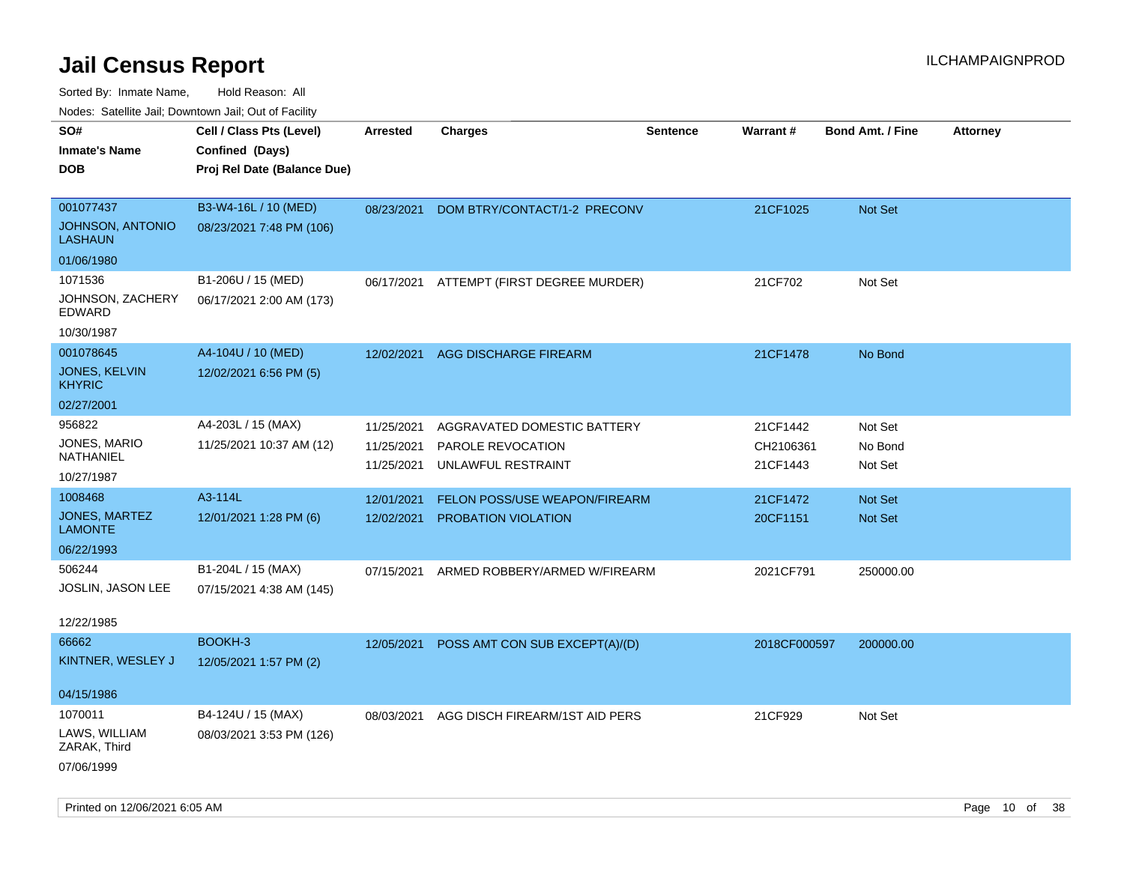| ivouss. Satellite Jall, Downtown Jall, Out of Facility |                             |                 |                                |                 |              |                         |                 |
|--------------------------------------------------------|-----------------------------|-----------------|--------------------------------|-----------------|--------------|-------------------------|-----------------|
| SO#                                                    | Cell / Class Pts (Level)    | <b>Arrested</b> | <b>Charges</b>                 | <b>Sentence</b> | Warrant#     | <b>Bond Amt. / Fine</b> | <b>Attorney</b> |
| <b>Inmate's Name</b>                                   | Confined (Days)             |                 |                                |                 |              |                         |                 |
| <b>DOB</b>                                             | Proj Rel Date (Balance Due) |                 |                                |                 |              |                         |                 |
|                                                        |                             |                 |                                |                 |              |                         |                 |
| 001077437                                              | B3-W4-16L / 10 (MED)        | 08/23/2021      | DOM BTRY/CONTACT/1-2 PRECONV   |                 | 21CF1025     | Not Set                 |                 |
| <b>JOHNSON, ANTONIO</b><br>LASHAUN                     | 08/23/2021 7:48 PM (106)    |                 |                                |                 |              |                         |                 |
| 01/06/1980                                             |                             |                 |                                |                 |              |                         |                 |
| 1071536                                                | B1-206U / 15 (MED)          | 06/17/2021      | ATTEMPT (FIRST DEGREE MURDER)  |                 | 21CF702      | Not Set                 |                 |
| JOHNSON, ZACHERY<br>EDWARD                             | 06/17/2021 2:00 AM (173)    |                 |                                |                 |              |                         |                 |
| 10/30/1987                                             |                             |                 |                                |                 |              |                         |                 |
| 001078645                                              | A4-104U / 10 (MED)          | 12/02/2021      | AGG DISCHARGE FIREARM          |                 | 21CF1478     | No Bond                 |                 |
| JONES, KELVIN<br><b>KHYRIC</b>                         | 12/02/2021 6:56 PM (5)      |                 |                                |                 |              |                         |                 |
| 02/27/2001                                             |                             |                 |                                |                 |              |                         |                 |
| 956822                                                 | A4-203L / 15 (MAX)          | 11/25/2021      | AGGRAVATED DOMESTIC BATTERY    |                 | 21CF1442     | Not Set                 |                 |
| JONES, MARIO<br>NATHANIEL                              | 11/25/2021 10:37 AM (12)    | 11/25/2021      | PAROLE REVOCATION              |                 | CH2106361    | No Bond                 |                 |
| 10/27/1987                                             |                             | 11/25/2021      | UNLAWFUL RESTRAINT             |                 | 21CF1443     | Not Set                 |                 |
| 1008468                                                | A3-114L                     | 12/01/2021      | FELON POSS/USE WEAPON/FIREARM  |                 | 21CF1472     | Not Set                 |                 |
| JONES, MARTEZ<br><b>LAMONTE</b>                        | 12/01/2021 1:28 PM (6)      | 12/02/2021      | PROBATION VIOLATION            |                 | 20CF1151     | Not Set                 |                 |
| 06/22/1993                                             |                             |                 |                                |                 |              |                         |                 |
| 506244                                                 | B1-204L / 15 (MAX)          | 07/15/2021      | ARMED ROBBERY/ARMED W/FIREARM  |                 | 2021CF791    | 250000.00               |                 |
| JOSLIN, JASON LEE                                      | 07/15/2021 4:38 AM (145)    |                 |                                |                 |              |                         |                 |
|                                                        |                             |                 |                                |                 |              |                         |                 |
| 12/22/1985                                             |                             |                 |                                |                 |              |                         |                 |
| 66662                                                  | BOOKH-3                     | 12/05/2021      | POSS AMT CON SUB EXCEPT(A)/(D) |                 | 2018CF000597 | 200000.00               |                 |
| KINTNER, WESLEY J                                      | 12/05/2021 1:57 PM (2)      |                 |                                |                 |              |                         |                 |
| 04/15/1986                                             |                             |                 |                                |                 |              |                         |                 |
| 1070011                                                | B4-124U / 15 (MAX)          | 08/03/2021      | AGG DISCH FIREARM/1ST AID PERS |                 | 21CF929      | Not Set                 |                 |
| LAWS, WILLIAM                                          | 08/03/2021 3:53 PM (126)    |                 |                                |                 |              |                         |                 |
| ZARAK, Third                                           |                             |                 |                                |                 |              |                         |                 |
| 07/06/1999                                             |                             |                 |                                |                 |              |                         |                 |
|                                                        |                             |                 |                                |                 |              |                         |                 |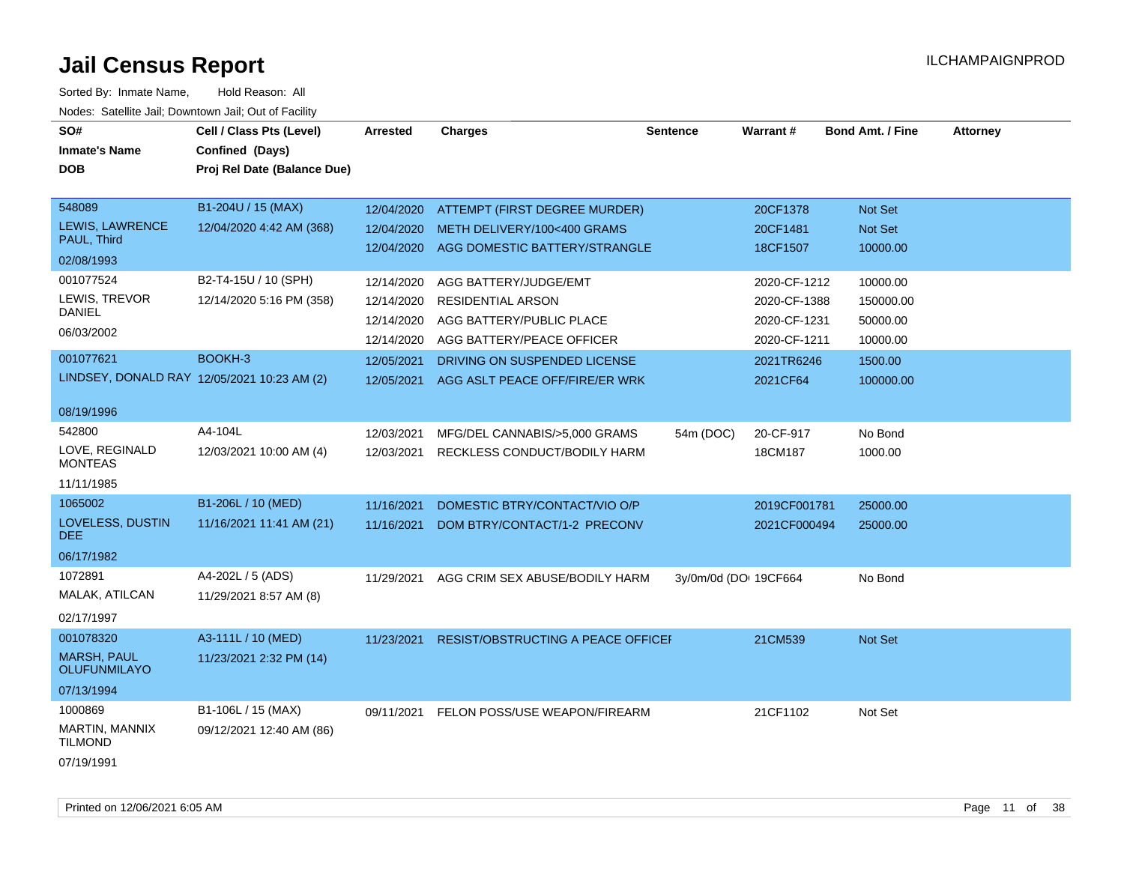| SO#                                         | Cell / Class Pts (Level)                       | <b>Arrested</b> | <b>Charges</b>                           | <b>Sentence</b>       | Warrant#     | <b>Bond Amt. / Fine</b> | <b>Attorney</b> |
|---------------------------------------------|------------------------------------------------|-----------------|------------------------------------------|-----------------------|--------------|-------------------------|-----------------|
| <b>Inmate's Name</b><br><b>DOB</b>          | Confined (Days)<br>Proj Rel Date (Balance Due) |                 |                                          |                       |              |                         |                 |
|                                             |                                                |                 |                                          |                       |              |                         |                 |
| 548089                                      | B1-204U / 15 (MAX)                             | 12/04/2020      | ATTEMPT (FIRST DEGREE MURDER)            |                       | 20CF1378     | Not Set                 |                 |
| LEWIS, LAWRENCE<br>PAUL, Third              | 12/04/2020 4:42 AM (368)                       | 12/04/2020      | METH DELIVERY/100<400 GRAMS              |                       | 20CF1481     | Not Set                 |                 |
| 02/08/1993                                  |                                                |                 | 12/04/2020 AGG DOMESTIC BATTERY/STRANGLE |                       | 18CF1507     | 10000.00                |                 |
| 001077524                                   | B2-T4-15U / 10 (SPH)                           | 12/14/2020      | AGG BATTERY/JUDGE/EMT                    |                       | 2020-CF-1212 | 10000.00                |                 |
| LEWIS, TREVOR                               | 12/14/2020 5:16 PM (358)                       | 12/14/2020      | <b>RESIDENTIAL ARSON</b>                 |                       | 2020-CF-1388 | 150000.00               |                 |
| <b>DANIEL</b>                               |                                                | 12/14/2020      | AGG BATTERY/PUBLIC PLACE                 |                       | 2020-CF-1231 | 50000.00                |                 |
| 06/03/2002                                  |                                                | 12/14/2020      | AGG BATTERY/PEACE OFFICER                |                       | 2020-CF-1211 | 10000.00                |                 |
| 001077621                                   | BOOKH-3                                        | 12/05/2021      | DRIVING ON SUSPENDED LICENSE             |                       | 2021TR6246   | 1500.00                 |                 |
| LINDSEY, DONALD RAY 12/05/2021 10:23 AM (2) |                                                | 12/05/2021      | AGG ASLT PEACE OFF/FIRE/ER WRK           |                       | 2021CF64     | 100000.00               |                 |
|                                             |                                                |                 |                                          |                       |              |                         |                 |
| 08/19/1996                                  |                                                |                 |                                          |                       |              |                         |                 |
| 542800<br>LOVE, REGINALD                    | A4-104L                                        | 12/03/2021      | MFG/DEL CANNABIS/>5,000 GRAMS            | 54m (DOC)             | 20-CF-917    | No Bond                 |                 |
| <b>MONTEAS</b>                              | 12/03/2021 10:00 AM (4)                        | 12/03/2021      | RECKLESS CONDUCT/BODILY HARM             |                       | 18CM187      | 1000.00                 |                 |
| 11/11/1985                                  |                                                |                 |                                          |                       |              |                         |                 |
| 1065002                                     | B1-206L / 10 (MED)                             | 11/16/2021      | DOMESTIC BTRY/CONTACT/VIO O/P            |                       | 2019CF001781 | 25000.00                |                 |
| LOVELESS, DUSTIN<br>DEE.                    | 11/16/2021 11:41 AM (21)                       | 11/16/2021      | DOM BTRY/CONTACT/1-2 PRECONV             |                       | 2021CF000494 | 25000.00                |                 |
| 06/17/1982                                  |                                                |                 |                                          |                       |              |                         |                 |
| 1072891                                     | A4-202L / 5 (ADS)                              | 11/29/2021      | AGG CRIM SEX ABUSE/BODILY HARM           | 3y/0m/0d (DO: 19CF664 |              | No Bond                 |                 |
| MALAK, ATILCAN                              | 11/29/2021 8:57 AM (8)                         |                 |                                          |                       |              |                         |                 |
| 02/17/1997                                  |                                                |                 |                                          |                       |              |                         |                 |
| 001078320                                   | A3-111L / 10 (MED)                             | 11/23/2021      | RESIST/OBSTRUCTING A PEACE OFFICEF       |                       | 21CM539      | Not Set                 |                 |
| <b>MARSH, PAUL</b><br><b>OLUFUNMILAYO</b>   | 11/23/2021 2:32 PM (14)                        |                 |                                          |                       |              |                         |                 |
| 07/13/1994                                  |                                                |                 |                                          |                       |              |                         |                 |
| 1000869                                     | B1-106L / 15 (MAX)                             | 09/11/2021      | FELON POSS/USE WEAPON/FIREARM            |                       | 21CF1102     | Not Set                 |                 |
| MARTIN, MANNIX<br><b>TILMOND</b>            | 09/12/2021 12:40 AM (86)                       |                 |                                          |                       |              |                         |                 |
| 07/19/1991                                  |                                                |                 |                                          |                       |              |                         |                 |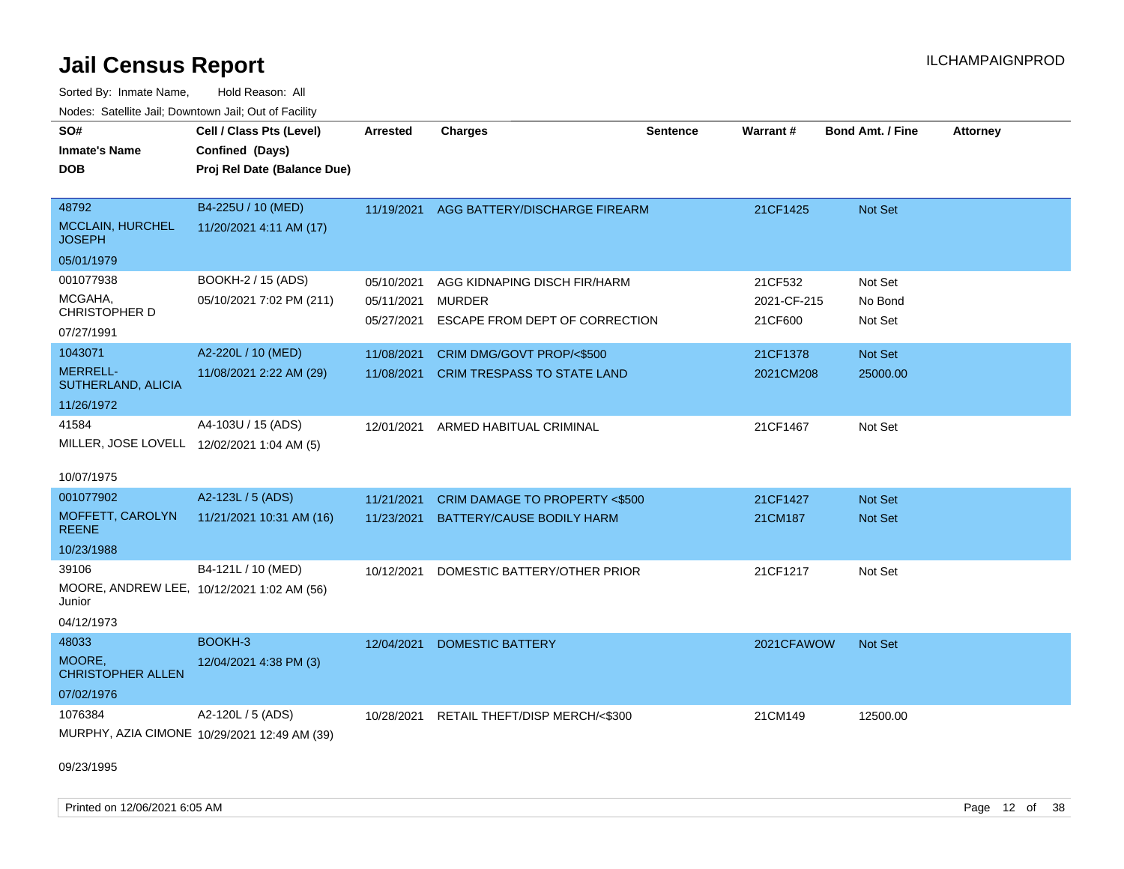Sorted By: Inmate Name, Hold Reason: All Nodes: Satellite Jail; Downtown Jail; Out of Facility

| SO#                                                  | Cell / Class Pts (Level)                     | <b>Arrested</b> | <b>Charges</b>                           | <b>Sentence</b> | Warrant#    | <b>Bond Amt. / Fine</b> | <b>Attorney</b> |
|------------------------------------------------------|----------------------------------------------|-----------------|------------------------------------------|-----------------|-------------|-------------------------|-----------------|
| <b>Inmate's Name</b>                                 | Confined (Days)                              |                 |                                          |                 |             |                         |                 |
| <b>DOB</b>                                           | Proj Rel Date (Balance Due)                  |                 |                                          |                 |             |                         |                 |
|                                                      |                                              |                 |                                          |                 |             |                         |                 |
| 48792                                                | B4-225U / 10 (MED)                           | 11/19/2021      | AGG BATTERY/DISCHARGE FIREARM            |                 | 21CF1425    | Not Set                 |                 |
| <b>MCCLAIN, HURCHEL</b><br><b>JOSEPH</b>             | 11/20/2021 4:11 AM (17)                      |                 |                                          |                 |             |                         |                 |
| 05/01/1979                                           |                                              |                 |                                          |                 |             |                         |                 |
| 001077938                                            | BOOKH-2 / 15 (ADS)                           | 05/10/2021      | AGG KIDNAPING DISCH FIR/HARM             |                 | 21CF532     | Not Set                 |                 |
| MCGAHA,                                              | 05/10/2021 7:02 PM (211)                     | 05/11/2021      | <b>MURDER</b>                            |                 | 2021-CF-215 | No Bond                 |                 |
| <b>CHRISTOPHER D</b>                                 |                                              | 05/27/2021      | ESCAPE FROM DEPT OF CORRECTION           |                 | 21CF600     | Not Set                 |                 |
| 07/27/1991                                           |                                              |                 |                                          |                 |             |                         |                 |
| 1043071                                              | A2-220L / 10 (MED)                           | 11/08/2021      | CRIM DMG/GOVT PROP/<\$500                |                 | 21CF1378    | <b>Not Set</b>          |                 |
| <b>MERRELL-</b><br>SUTHERLAND, ALICIA                | 11/08/2021 2:22 AM (29)                      | 11/08/2021      | CRIM TRESPASS TO STATE LAND              |                 | 2021CM208   | 25000.00                |                 |
| 11/26/1972                                           |                                              |                 |                                          |                 |             |                         |                 |
| 41584                                                | A4-103U / 15 (ADS)                           | 12/01/2021      | ARMED HABITUAL CRIMINAL                  |                 | 21CF1467    | Not Set                 |                 |
| MILLER, JOSE LOVELL 12/02/2021 1:04 AM (5)           |                                              |                 |                                          |                 |             |                         |                 |
| 10/07/1975                                           |                                              |                 |                                          |                 |             |                         |                 |
| 001077902                                            | A2-123L / 5 (ADS)                            | 11/21/2021      | <b>CRIM DAMAGE TO PROPERTY &lt;\$500</b> |                 | 21CF1427    | <b>Not Set</b>          |                 |
| MOFFETT, CAROLYN<br><b>REENE</b>                     | 11/21/2021 10:31 AM (16)                     | 11/23/2021      | <b>BATTERY/CAUSE BODILY HARM</b>         |                 | 21CM187     | <b>Not Set</b>          |                 |
| 10/23/1988                                           |                                              |                 |                                          |                 |             |                         |                 |
| 39106                                                | B4-121L / 10 (MED)                           | 10/12/2021      | DOMESTIC BATTERY/OTHER PRIOR             |                 | 21CF1217    | Not Set                 |                 |
| MOORE, ANDREW LEE, 10/12/2021 1:02 AM (56)<br>Junior |                                              |                 |                                          |                 |             |                         |                 |
| 04/12/1973                                           |                                              |                 |                                          |                 |             |                         |                 |
| 48033                                                | BOOKH-3                                      | 12/04/2021      | DOMESTIC BATTERY                         |                 | 2021CFAWOW  | <b>Not Set</b>          |                 |
| MOORE,<br><b>CHRISTOPHER ALLEN</b>                   | 12/04/2021 4:38 PM (3)                       |                 |                                          |                 |             |                         |                 |
| 07/02/1976                                           |                                              |                 |                                          |                 |             |                         |                 |
| 1076384                                              | A2-120L / 5 (ADS)                            | 10/28/2021      | RETAIL THEFT/DISP MERCH/<\$300           |                 | 21CM149     | 12500.00                |                 |
|                                                      | MURPHY, AZIA CIMONE 10/29/2021 12:49 AM (39) |                 |                                          |                 |             |                         |                 |

09/23/1995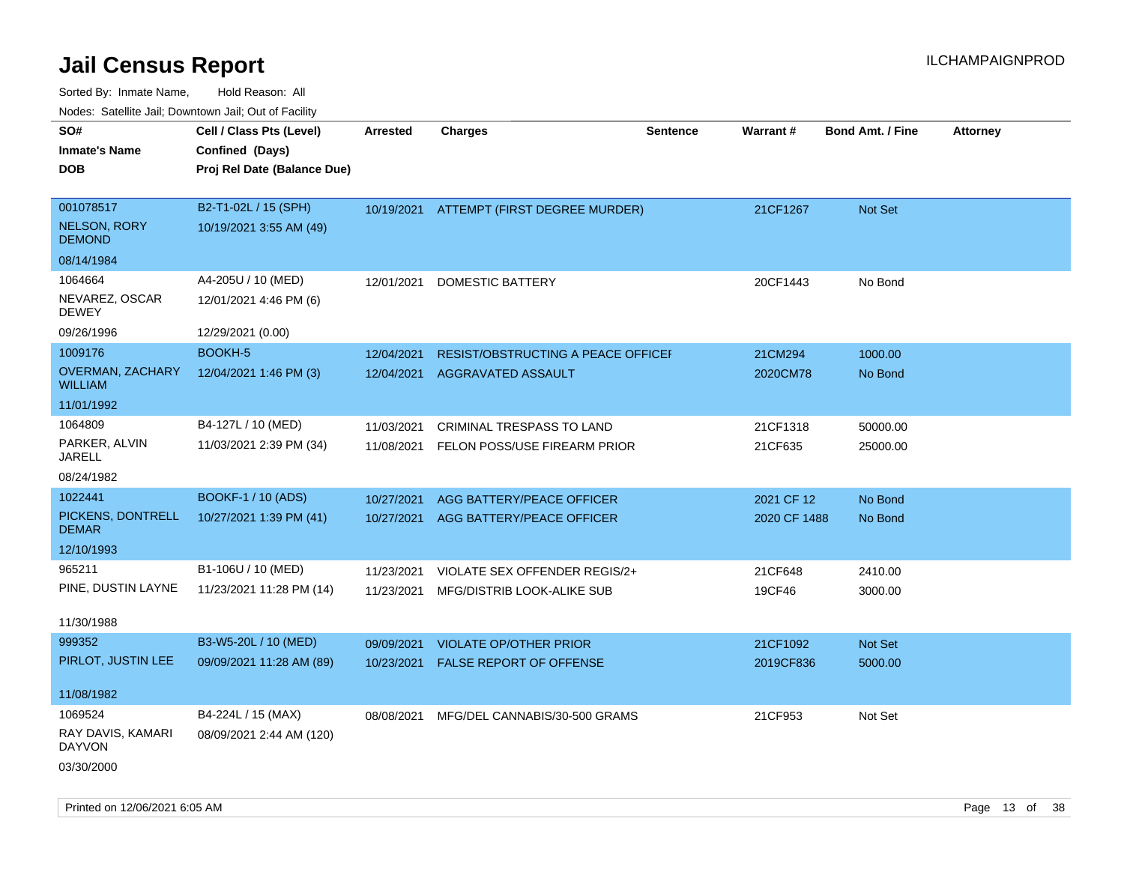| <u>Rodos.</u> Odiolino dali, Downtown dali, Odi of Fabilit |                             |                 |                                           |                 |              |                         |                 |
|------------------------------------------------------------|-----------------------------|-----------------|-------------------------------------------|-----------------|--------------|-------------------------|-----------------|
| SO#                                                        | Cell / Class Pts (Level)    | <b>Arrested</b> | <b>Charges</b>                            | <b>Sentence</b> | Warrant#     | <b>Bond Amt. / Fine</b> | <b>Attorney</b> |
| <b>Inmate's Name</b>                                       | Confined (Days)             |                 |                                           |                 |              |                         |                 |
| <b>DOB</b>                                                 | Proj Rel Date (Balance Due) |                 |                                           |                 |              |                         |                 |
|                                                            |                             |                 |                                           |                 |              |                         |                 |
| 001078517                                                  | B2-T1-02L / 15 (SPH)        | 10/19/2021      | ATTEMPT (FIRST DEGREE MURDER)             |                 | 21CF1267     | Not Set                 |                 |
| <b>NELSON, RORY</b><br><b>DEMOND</b>                       | 10/19/2021 3:55 AM (49)     |                 |                                           |                 |              |                         |                 |
| 08/14/1984                                                 |                             |                 |                                           |                 |              |                         |                 |
| 1064664                                                    | A4-205U / 10 (MED)          | 12/01/2021      | <b>DOMESTIC BATTERY</b>                   |                 | 20CF1443     | No Bond                 |                 |
| NEVAREZ, OSCAR<br><b>DEWEY</b>                             | 12/01/2021 4:46 PM (6)      |                 |                                           |                 |              |                         |                 |
| 09/26/1996                                                 | 12/29/2021 (0.00)           |                 |                                           |                 |              |                         |                 |
| 1009176                                                    | <b>BOOKH-5</b>              | 12/04/2021      | <b>RESIST/OBSTRUCTING A PEACE OFFICEF</b> |                 | 21CM294      | 1000.00                 |                 |
| OVERMAN, ZACHARY<br><b>WILLIAM</b>                         | 12/04/2021 1:46 PM (3)      | 12/04/2021      | AGGRAVATED ASSAULT                        |                 | 2020CM78     | No Bond                 |                 |
| 11/01/1992                                                 |                             |                 |                                           |                 |              |                         |                 |
| 1064809                                                    | B4-127L / 10 (MED)          | 11/03/2021      | CRIMINAL TRESPASS TO LAND                 |                 | 21CF1318     | 50000.00                |                 |
| PARKER, ALVIN<br>JARELL                                    | 11/03/2021 2:39 PM (34)     | 11/08/2021      | FELON POSS/USE FIREARM PRIOR              |                 | 21CF635      | 25000.00                |                 |
| 08/24/1982                                                 |                             |                 |                                           |                 |              |                         |                 |
| 1022441                                                    | <b>BOOKF-1 / 10 (ADS)</b>   | 10/27/2021      | AGG BATTERY/PEACE OFFICER                 |                 | 2021 CF 12   | No Bond                 |                 |
| PICKENS, DONTRELL<br><b>DEMAR</b>                          | 10/27/2021 1:39 PM (41)     | 10/27/2021      | AGG BATTERY/PEACE OFFICER                 |                 | 2020 CF 1488 | No Bond                 |                 |
| 12/10/1993                                                 |                             |                 |                                           |                 |              |                         |                 |
| 965211                                                     | B1-106U / 10 (MED)          | 11/23/2021      | VIOLATE SEX OFFENDER REGIS/2+             |                 | 21CF648      | 2410.00                 |                 |
| PINE, DUSTIN LAYNE                                         | 11/23/2021 11:28 PM (14)    | 11/23/2021      | MFG/DISTRIB LOOK-ALIKE SUB                |                 | 19CF46       | 3000.00                 |                 |
|                                                            |                             |                 |                                           |                 |              |                         |                 |
| 11/30/1988                                                 |                             |                 |                                           |                 |              |                         |                 |
| 999352                                                     | B3-W5-20L / 10 (MED)        | 09/09/2021      | <b>VIOLATE OP/OTHER PRIOR</b>             |                 | 21CF1092     | Not Set                 |                 |
| PIRLOT, JUSTIN LEE                                         | 09/09/2021 11:28 AM (89)    | 10/23/2021      | <b>FALSE REPORT OF OFFENSE</b>            |                 | 2019CF836    | 5000.00                 |                 |
| 11/08/1982                                                 |                             |                 |                                           |                 |              |                         |                 |
| 1069524                                                    | B4-224L / 15 (MAX)          | 08/08/2021      | MFG/DEL CANNABIS/30-500 GRAMS             |                 | 21CF953      | Not Set                 |                 |
| RAY DAVIS, KAMARI<br><b>DAYVON</b>                         | 08/09/2021 2:44 AM (120)    |                 |                                           |                 |              |                         |                 |
| 03/30/2000                                                 |                             |                 |                                           |                 |              |                         |                 |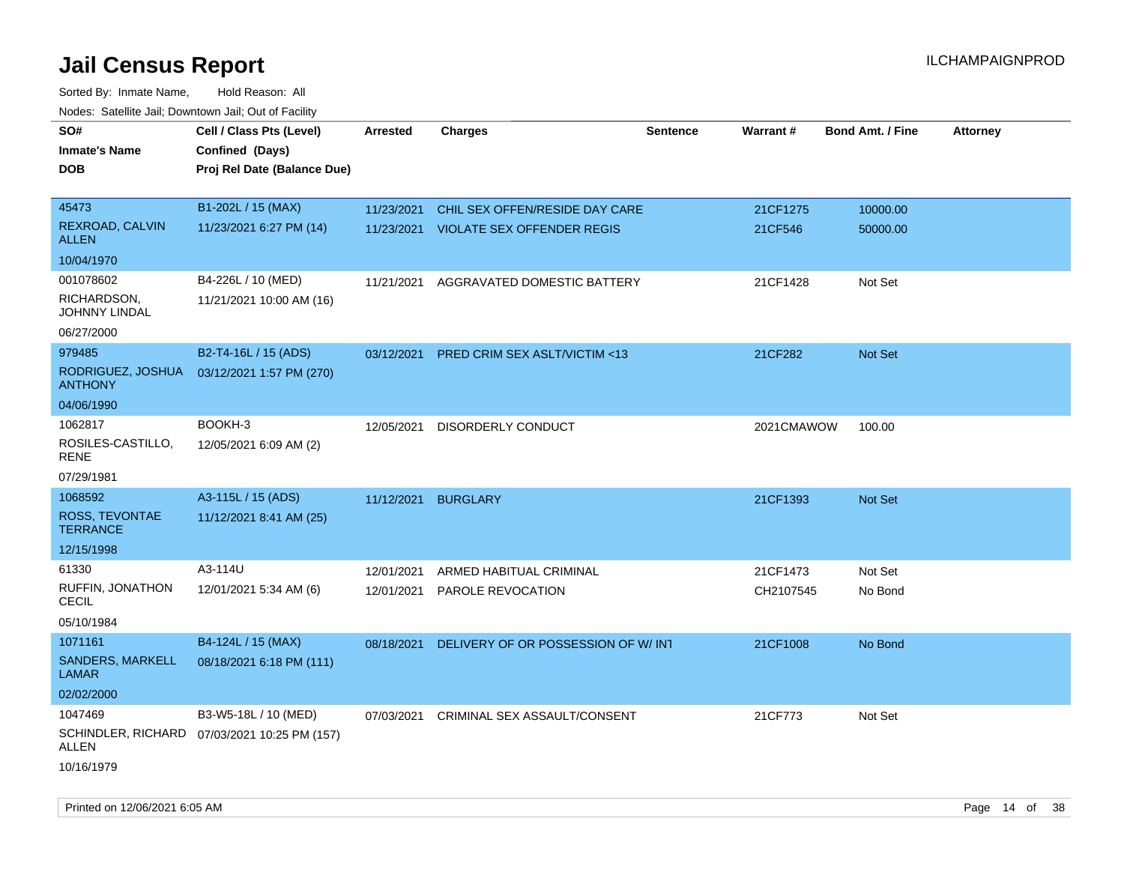| SO#<br><b>Inmate's Name</b><br><b>DOB</b> | Cell / Class Pts (Level)<br>Confined (Days)<br>Proj Rel Date (Balance Due) | Arrested   | <b>Charges</b>                        | <b>Sentence</b> | <b>Warrant#</b> | <b>Bond Amt. / Fine</b> | <b>Attorney</b> |
|-------------------------------------------|----------------------------------------------------------------------------|------------|---------------------------------------|-----------------|-----------------|-------------------------|-----------------|
| 45473                                     | B1-202L / 15 (MAX)                                                         | 11/23/2021 | CHIL SEX OFFEN/RESIDE DAY CARE        |                 | 21CF1275        | 10000.00                |                 |
| REXROAD, CALVIN<br><b>ALLEN</b>           | 11/23/2021 6:27 PM (14)                                                    |            | 11/23/2021 VIOLATE SEX OFFENDER REGIS |                 | 21CF546         | 50000.00                |                 |
| 10/04/1970                                |                                                                            |            |                                       |                 |                 |                         |                 |
| 001078602                                 | B4-226L / 10 (MED)                                                         | 11/21/2021 | AGGRAVATED DOMESTIC BATTERY           |                 | 21CF1428        | Not Set                 |                 |
| RICHARDSON,<br>JOHNNY LINDAL              | 11/21/2021 10:00 AM (16)                                                   |            |                                       |                 |                 |                         |                 |
| 06/27/2000                                |                                                                            |            |                                       |                 |                 |                         |                 |
| 979485                                    | B2-T4-16L / 15 (ADS)                                                       | 03/12/2021 | PRED CRIM SEX ASLT/VICTIM <13         |                 | 21CF282         | Not Set                 |                 |
| RODRIGUEZ, JOSHUA<br><b>ANTHONY</b>       | 03/12/2021 1:57 PM (270)                                                   |            |                                       |                 |                 |                         |                 |
| 04/06/1990                                |                                                                            |            |                                       |                 |                 |                         |                 |
| 1062817                                   | BOOKH-3                                                                    | 12/05/2021 | DISORDERLY CONDUCT                    |                 | 2021CMAWOW      | 100.00                  |                 |
| ROSILES-CASTILLO,<br>RENE                 | 12/05/2021 6:09 AM (2)                                                     |            |                                       |                 |                 |                         |                 |
| 07/29/1981                                |                                                                            |            |                                       |                 |                 |                         |                 |
| 1068592                                   | A3-115L / 15 (ADS)                                                         | 11/12/2021 | <b>BURGLARY</b>                       |                 | 21CF1393        | Not Set                 |                 |
| ROSS, TEVONTAE<br><b>TERRANCE</b>         | 11/12/2021 8:41 AM (25)                                                    |            |                                       |                 |                 |                         |                 |
| 12/15/1998                                |                                                                            |            |                                       |                 |                 |                         |                 |
| 61330                                     | A3-114U                                                                    | 12/01/2021 | ARMED HABITUAL CRIMINAL               |                 | 21CF1473        | Not Set                 |                 |
| RUFFIN, JONATHON<br>CECIL                 | 12/01/2021 5:34 AM (6)                                                     | 12/01/2021 | PAROLE REVOCATION                     |                 | CH2107545       | No Bond                 |                 |
| 05/10/1984                                |                                                                            |            |                                       |                 |                 |                         |                 |
| 1071161                                   | B4-124L / 15 (MAX)                                                         | 08/18/2021 | DELIVERY OF OR POSSESSION OF W/INT    |                 | 21CF1008        | No Bond                 |                 |
| SANDERS, MARKELL<br><b>LAMAR</b>          | 08/18/2021 6:18 PM (111)                                                   |            |                                       |                 |                 |                         |                 |
| 02/02/2000                                |                                                                            |            |                                       |                 |                 |                         |                 |
| 1047469                                   | B3-W5-18L / 10 (MED)                                                       | 07/03/2021 | CRIMINAL SEX ASSAULT/CONSENT          |                 | 21CF773         | Not Set                 |                 |
| ALLEN                                     | SCHINDLER, RICHARD 07/03/2021 10:25 PM (157)                               |            |                                       |                 |                 |                         |                 |
| 10/16/1979                                |                                                                            |            |                                       |                 |                 |                         |                 |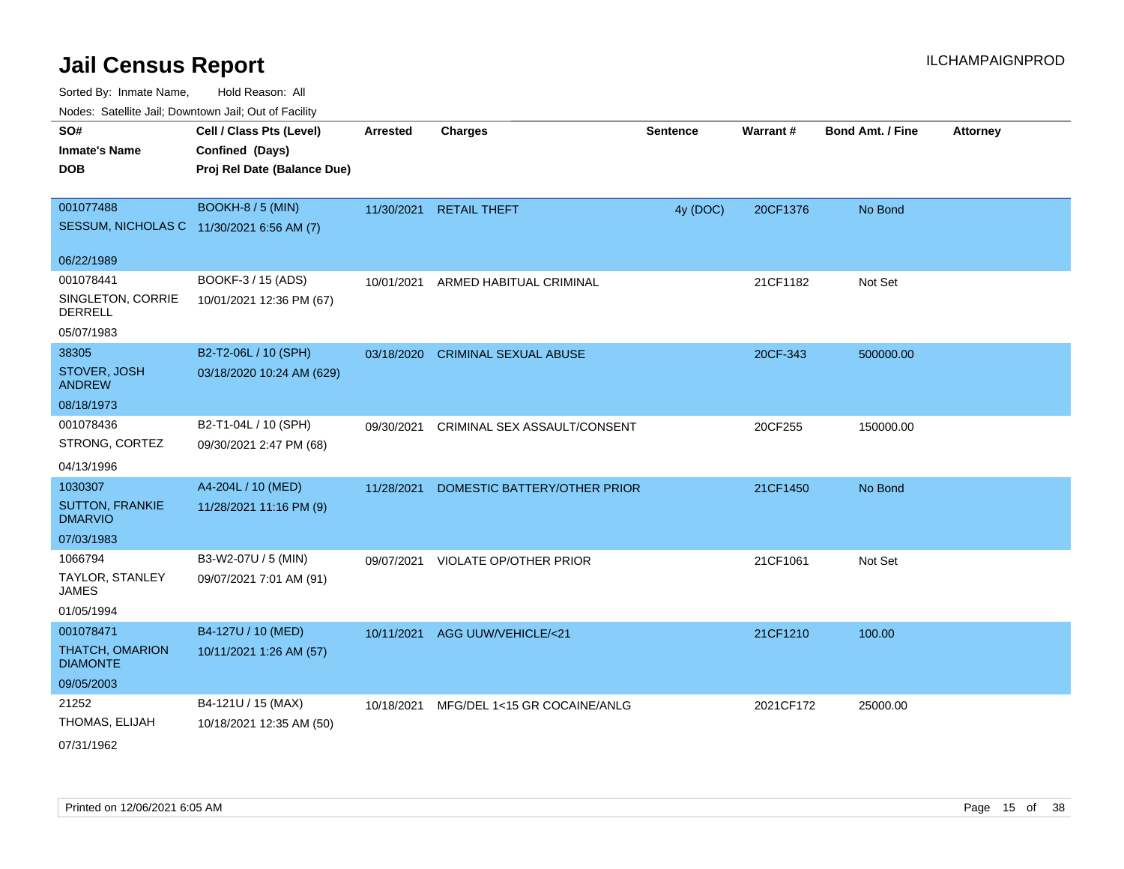| ivodes. Satellite Jali, Downtown Jali, Out of Facility |                             |                 |                                     |                 |           |                         |                 |
|--------------------------------------------------------|-----------------------------|-----------------|-------------------------------------|-----------------|-----------|-------------------------|-----------------|
| SO#                                                    | Cell / Class Pts (Level)    | <b>Arrested</b> | <b>Charges</b>                      | <b>Sentence</b> | Warrant#  | <b>Bond Amt. / Fine</b> | <b>Attorney</b> |
| <b>Inmate's Name</b>                                   | Confined (Days)             |                 |                                     |                 |           |                         |                 |
| <b>DOB</b>                                             | Proj Rel Date (Balance Due) |                 |                                     |                 |           |                         |                 |
|                                                        |                             |                 |                                     |                 |           |                         |                 |
| 001077488                                              | <b>BOOKH-8 / 5 (MIN)</b>    |                 | 11/30/2021 RETAIL THEFT             | 4y (DOC)        | 20CF1376  | No Bond                 |                 |
| SESSUM, NICHOLAS C 11/30/2021 6:56 AM (7)              |                             |                 |                                     |                 |           |                         |                 |
| 06/22/1989                                             |                             |                 |                                     |                 |           |                         |                 |
| 001078441                                              | BOOKF-3 / 15 (ADS)          | 10/01/2021      | ARMED HABITUAL CRIMINAL             |                 | 21CF1182  | Not Set                 |                 |
| SINGLETON, CORRIE<br><b>DERRELL</b>                    | 10/01/2021 12:36 PM (67)    |                 |                                     |                 |           |                         |                 |
| 05/07/1983                                             |                             |                 |                                     |                 |           |                         |                 |
| 38305                                                  | B2-T2-06L / 10 (SPH)        | 03/18/2020      | <b>CRIMINAL SEXUAL ABUSE</b>        |                 | 20CF-343  | 500000.00               |                 |
| STOVER, JOSH<br><b>ANDREW</b>                          | 03/18/2020 10:24 AM (629)   |                 |                                     |                 |           |                         |                 |
| 08/18/1973                                             |                             |                 |                                     |                 |           |                         |                 |
| 001078436                                              | B2-T1-04L / 10 (SPH)        | 09/30/2021      | <b>CRIMINAL SEX ASSAULT/CONSENT</b> |                 | 20CF255   | 150000.00               |                 |
| STRONG, CORTEZ                                         | 09/30/2021 2:47 PM (68)     |                 |                                     |                 |           |                         |                 |
| 04/13/1996                                             |                             |                 |                                     |                 |           |                         |                 |
| 1030307                                                | A4-204L / 10 (MED)          | 11/28/2021      | DOMESTIC BATTERY/OTHER PRIOR        |                 | 21CF1450  | No Bond                 |                 |
| <b>SUTTON, FRANKIE</b><br><b>DMARVIO</b>               | 11/28/2021 11:16 PM (9)     |                 |                                     |                 |           |                         |                 |
| 07/03/1983                                             |                             |                 |                                     |                 |           |                         |                 |
| 1066794                                                | B3-W2-07U / 5 (MIN)         | 09/07/2021      | VIOLATE OP/OTHER PRIOR              |                 | 21CF1061  | Not Set                 |                 |
| TAYLOR, STANLEY<br><b>JAMES</b>                        | 09/07/2021 7:01 AM (91)     |                 |                                     |                 |           |                         |                 |
| 01/05/1994                                             |                             |                 |                                     |                 |           |                         |                 |
| 001078471                                              | B4-127U / 10 (MED)          |                 | 10/11/2021 AGG UUW/VEHICLE/<21      |                 | 21CF1210  | 100.00                  |                 |
| THATCH, OMARION<br><b>DIAMONTE</b>                     | 10/11/2021 1:26 AM (57)     |                 |                                     |                 |           |                         |                 |
| 09/05/2003                                             |                             |                 |                                     |                 |           |                         |                 |
| 21252                                                  | B4-121U / 15 (MAX)          | 10/18/2021      | MFG/DEL 1<15 GR COCAINE/ANLG        |                 | 2021CF172 | 25000.00                |                 |
| THOMAS, ELIJAH                                         | 10/18/2021 12:35 AM (50)    |                 |                                     |                 |           |                         |                 |
| 07/31/1962                                             |                             |                 |                                     |                 |           |                         |                 |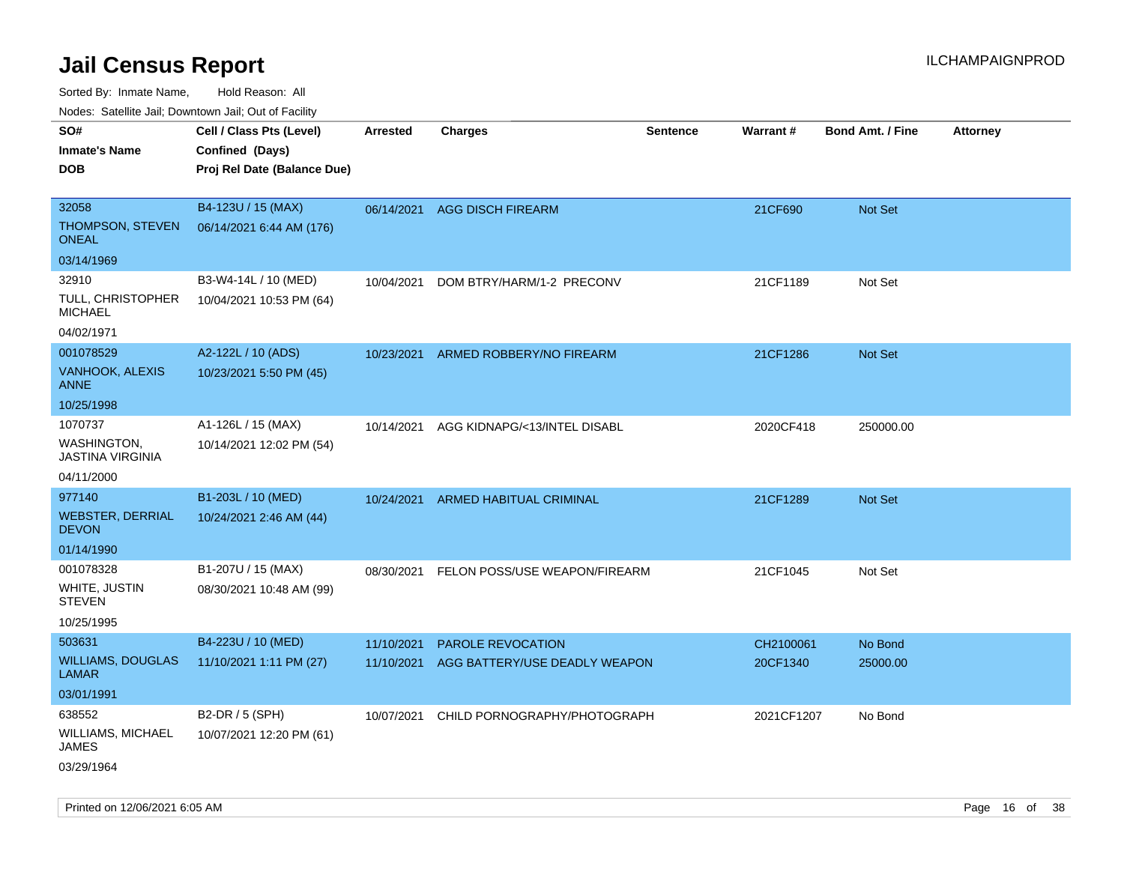Sorted By: Inmate Name, Hold Reason: All

Nodes: Satellite Jail; Downtown Jail; Out of Facility

| ivuutta. Saltiilitti valli, Duwilluwii Jalli, Out ol Facility |                             |            |                               |          |                 |                         |                 |
|---------------------------------------------------------------|-----------------------------|------------|-------------------------------|----------|-----------------|-------------------------|-----------------|
| SO#                                                           | Cell / Class Pts (Level)    | Arrested   | <b>Charges</b>                | Sentence | <b>Warrant#</b> | <b>Bond Amt. / Fine</b> | <b>Attorney</b> |
| <b>Inmate's Name</b>                                          | Confined (Days)             |            |                               |          |                 |                         |                 |
| <b>DOB</b>                                                    | Proj Rel Date (Balance Due) |            |                               |          |                 |                         |                 |
|                                                               |                             |            |                               |          |                 |                         |                 |
| 32058                                                         | B4-123U / 15 (MAX)          |            | 06/14/2021 AGG DISCH FIREARM  |          | 21CF690         | Not Set                 |                 |
| THOMPSON, STEVEN<br><b>ONEAL</b>                              | 06/14/2021 6:44 AM (176)    |            |                               |          |                 |                         |                 |
| 03/14/1969                                                    |                             |            |                               |          |                 |                         |                 |
| 32910                                                         | B3-W4-14L / 10 (MED)        | 10/04/2021 | DOM BTRY/HARM/1-2 PRECONV     |          | 21CF1189        | Not Set                 |                 |
| TULL, CHRISTOPHER<br><b>MICHAEL</b>                           | 10/04/2021 10:53 PM (64)    |            |                               |          |                 |                         |                 |
| 04/02/1971                                                    |                             |            |                               |          |                 |                         |                 |
| 001078529                                                     | A2-122L / 10 (ADS)          | 10/23/2021 | ARMED ROBBERY/NO FIREARM      |          | 21CF1286        | <b>Not Set</b>          |                 |
| <b>VANHOOK, ALEXIS</b><br><b>ANNE</b>                         | 10/23/2021 5:50 PM (45)     |            |                               |          |                 |                         |                 |
| 10/25/1998                                                    |                             |            |                               |          |                 |                         |                 |
| 1070737                                                       | A1-126L / 15 (MAX)          | 10/14/2021 | AGG KIDNAPG/<13/INTEL DISABL  |          | 2020CF418       | 250000.00               |                 |
| WASHINGTON,<br><b>JASTINA VIRGINIA</b>                        | 10/14/2021 12:02 PM (54)    |            |                               |          |                 |                         |                 |
| 04/11/2000                                                    |                             |            |                               |          |                 |                         |                 |
| 977140                                                        | B1-203L / 10 (MED)          | 10/24/2021 | ARMED HABITUAL CRIMINAL       |          | 21CF1289        | <b>Not Set</b>          |                 |
| <b>WEBSTER, DERRIAL</b><br><b>DEVON</b>                       | 10/24/2021 2:46 AM (44)     |            |                               |          |                 |                         |                 |
| 01/14/1990                                                    |                             |            |                               |          |                 |                         |                 |
| 001078328                                                     | B1-207U / 15 (MAX)          | 08/30/2021 | FELON POSS/USE WEAPON/FIREARM |          | 21CF1045        | Not Set                 |                 |
| WHITE, JUSTIN<br><b>STEVEN</b>                                | 08/30/2021 10:48 AM (99)    |            |                               |          |                 |                         |                 |
| 10/25/1995                                                    |                             |            |                               |          |                 |                         |                 |
| 503631                                                        | B4-223U / 10 (MED)          | 11/10/2021 | <b>PAROLE REVOCATION</b>      |          | CH2100061       | No Bond                 |                 |
| <b>WILLIAMS, DOUGLAS</b><br><b>LAMAR</b>                      | 11/10/2021 1:11 PM (27)     | 11/10/2021 | AGG BATTERY/USE DEADLY WEAPON |          | 20CF1340        | 25000.00                |                 |
| 03/01/1991                                                    |                             |            |                               |          |                 |                         |                 |
| 638552                                                        | B2-DR / 5 (SPH)             | 10/07/2021 | CHILD PORNOGRAPHY/PHOTOGRAPH  |          | 2021CF1207      | No Bond                 |                 |
| WILLIAMS, MICHAEL<br><b>JAMES</b>                             | 10/07/2021 12:20 PM (61)    |            |                               |          |                 |                         |                 |
| 03/29/1964                                                    |                             |            |                               |          |                 |                         |                 |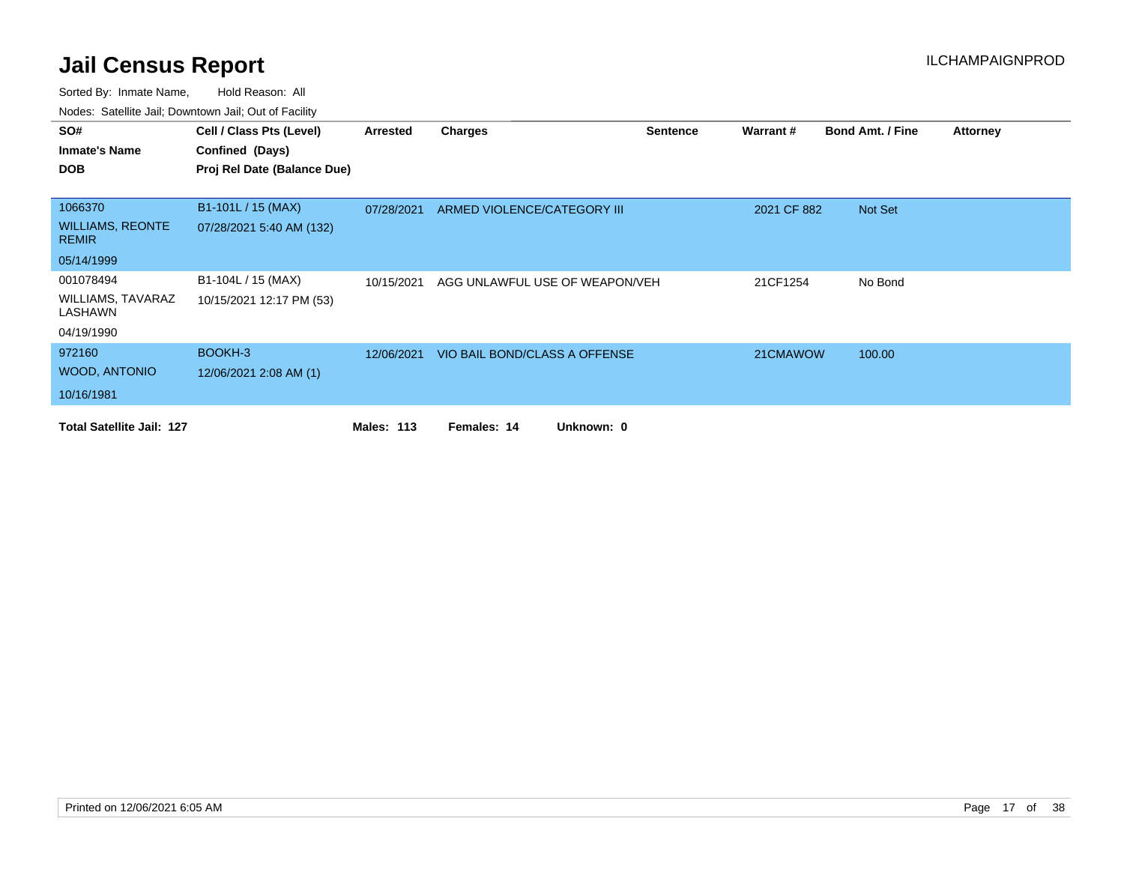| SO#                                     | Cell / Class Pts (Level)    | Arrested          | <b>Charges</b>                 | <b>Sentence</b> | Warrant#    | <b>Bond Amt. / Fine</b> | <b>Attorney</b> |
|-----------------------------------------|-----------------------------|-------------------|--------------------------------|-----------------|-------------|-------------------------|-----------------|
| <b>Inmate's Name</b>                    | Confined (Days)             |                   |                                |                 |             |                         |                 |
| <b>DOB</b>                              | Proj Rel Date (Balance Due) |                   |                                |                 |             |                         |                 |
|                                         |                             |                   |                                |                 |             |                         |                 |
| 1066370                                 | B1-101L / 15 (MAX)          | 07/28/2021        | ARMED VIOLENCE/CATEGORY III    |                 | 2021 CF 882 | Not Set                 |                 |
| <b>WILLIAMS, REONTE</b><br><b>REMIR</b> | 07/28/2021 5:40 AM (132)    |                   |                                |                 |             |                         |                 |
| 05/14/1999                              |                             |                   |                                |                 |             |                         |                 |
| 001078494                               | B1-104L / 15 (MAX)          | 10/15/2021        | AGG UNLAWFUL USE OF WEAPON/VEH |                 | 21CF1254    | No Bond                 |                 |
| <b>WILLIAMS, TAVARAZ</b><br>LASHAWN     | 10/15/2021 12:17 PM (53)    |                   |                                |                 |             |                         |                 |
| 04/19/1990                              |                             |                   |                                |                 |             |                         |                 |
| 972160                                  | BOOKH-3                     | 12/06/2021        | VIO BAIL BOND/CLASS A OFFENSE  |                 | 21CMAWOW    | 100.00                  |                 |
| <b>WOOD, ANTONIO</b>                    | 12/06/2021 2:08 AM (1)      |                   |                                |                 |             |                         |                 |
| 10/16/1981                              |                             |                   |                                |                 |             |                         |                 |
| <b>Total Satellite Jail: 127</b>        |                             | <b>Males: 113</b> | Females: 14<br>Unknown: 0      |                 |             |                         |                 |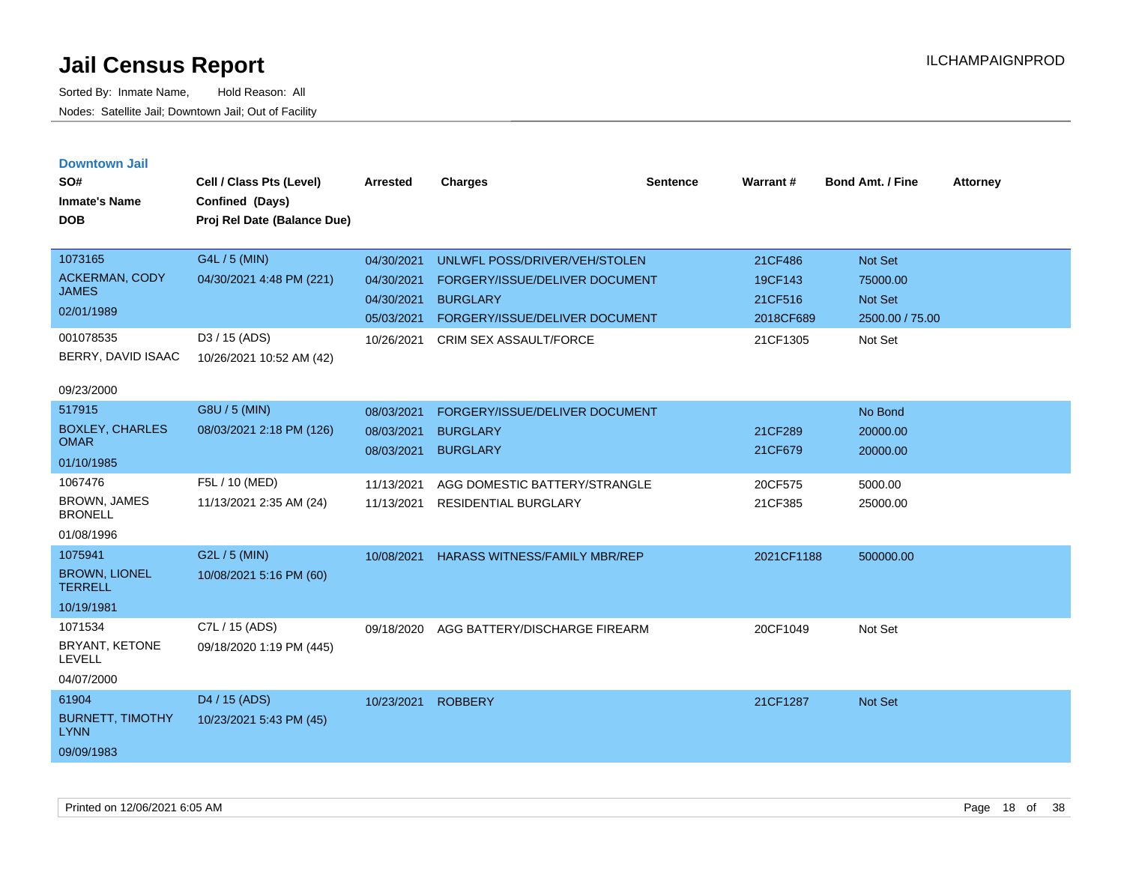|  |  | <b>Downtown Jail</b> |  |
|--|--|----------------------|--|
|  |  |                      |  |

| SO#<br><b>Inmate's Name</b><br><b>DOB</b> | Cell / Class Pts (Level)<br>Confined (Days)<br>Proj Rel Date (Balance Due) | <b>Arrested</b> | <b>Charges</b>                       | <b>Sentence</b> | Warrant#   | Bond Amt. / Fine | <b>Attorney</b> |
|-------------------------------------------|----------------------------------------------------------------------------|-----------------|--------------------------------------|-----------------|------------|------------------|-----------------|
| 1073165                                   | G4L / 5 (MIN)                                                              | 04/30/2021      | UNLWFL POSS/DRIVER/VEH/STOLEN        |                 | 21CF486    | Not Set          |                 |
| <b>ACKERMAN, CODY</b><br><b>JAMES</b>     | 04/30/2021 4:48 PM (221)                                                   | 04/30/2021      | FORGERY/ISSUE/DELIVER DOCUMENT       |                 | 19CF143    | 75000.00         |                 |
| 02/01/1989                                |                                                                            | 04/30/2021      | <b>BURGLARY</b>                      |                 | 21CF516    | Not Set          |                 |
|                                           |                                                                            | 05/03/2021      | FORGERY/ISSUE/DELIVER DOCUMENT       |                 | 2018CF689  | 2500.00 / 75.00  |                 |
| 001078535                                 | D3 / 15 (ADS)                                                              | 10/26/2021      | CRIM SEX ASSAULT/FORCE               |                 | 21CF1305   | Not Set          |                 |
| BERRY, DAVID ISAAC                        | 10/26/2021 10:52 AM (42)                                                   |                 |                                      |                 |            |                  |                 |
| 09/23/2000                                |                                                                            |                 |                                      |                 |            |                  |                 |
| 517915                                    | G8U / 5 (MIN)                                                              | 08/03/2021      | FORGERY/ISSUE/DELIVER DOCUMENT       |                 |            | No Bond          |                 |
| <b>BOXLEY, CHARLES</b><br><b>OMAR</b>     | 08/03/2021 2:18 PM (126)                                                   | 08/03/2021      | <b>BURGLARY</b>                      |                 | 21CF289    | 20000.00         |                 |
|                                           |                                                                            | 08/03/2021      | <b>BURGLARY</b>                      |                 | 21CF679    | 20000.00         |                 |
| 01/10/1985                                |                                                                            |                 |                                      |                 |            |                  |                 |
| 1067476                                   | F5L / 10 (MED)                                                             | 11/13/2021      | AGG DOMESTIC BATTERY/STRANGLE        |                 | 20CF575    | 5000.00          |                 |
| <b>BROWN, JAMES</b><br><b>BRONELL</b>     | 11/13/2021 2:35 AM (24)                                                    |                 | 11/13/2021 RESIDENTIAL BURGLARY      |                 | 21CF385    | 25000.00         |                 |
| 01/08/1996                                |                                                                            |                 |                                      |                 |            |                  |                 |
| 1075941                                   | G2L / 5 (MIN)                                                              | 10/08/2021      | <b>HARASS WITNESS/FAMILY MBR/REP</b> |                 | 2021CF1188 | 500000.00        |                 |
| <b>BROWN, LIONEL</b><br><b>TERRELL</b>    | 10/08/2021 5:16 PM (60)                                                    |                 |                                      |                 |            |                  |                 |
| 10/19/1981                                |                                                                            |                 |                                      |                 |            |                  |                 |
| 1071534                                   | C7L / 15 (ADS)                                                             | 09/18/2020      | AGG BATTERY/DISCHARGE FIREARM        |                 | 20CF1049   | Not Set          |                 |
| BRYANT, KETONE<br>LEVELL                  | 09/18/2020 1:19 PM (445)                                                   |                 |                                      |                 |            |                  |                 |
| 04/07/2000                                |                                                                            |                 |                                      |                 |            |                  |                 |
| 61904                                     | D4 / 15 (ADS)                                                              | 10/23/2021      | <b>ROBBERY</b>                       |                 | 21CF1287   | Not Set          |                 |
| <b>BURNETT, TIMOTHY</b><br><b>LYNN</b>    | 10/23/2021 5:43 PM (45)                                                    |                 |                                      |                 |            |                  |                 |
| 09/09/1983                                |                                                                            |                 |                                      |                 |            |                  |                 |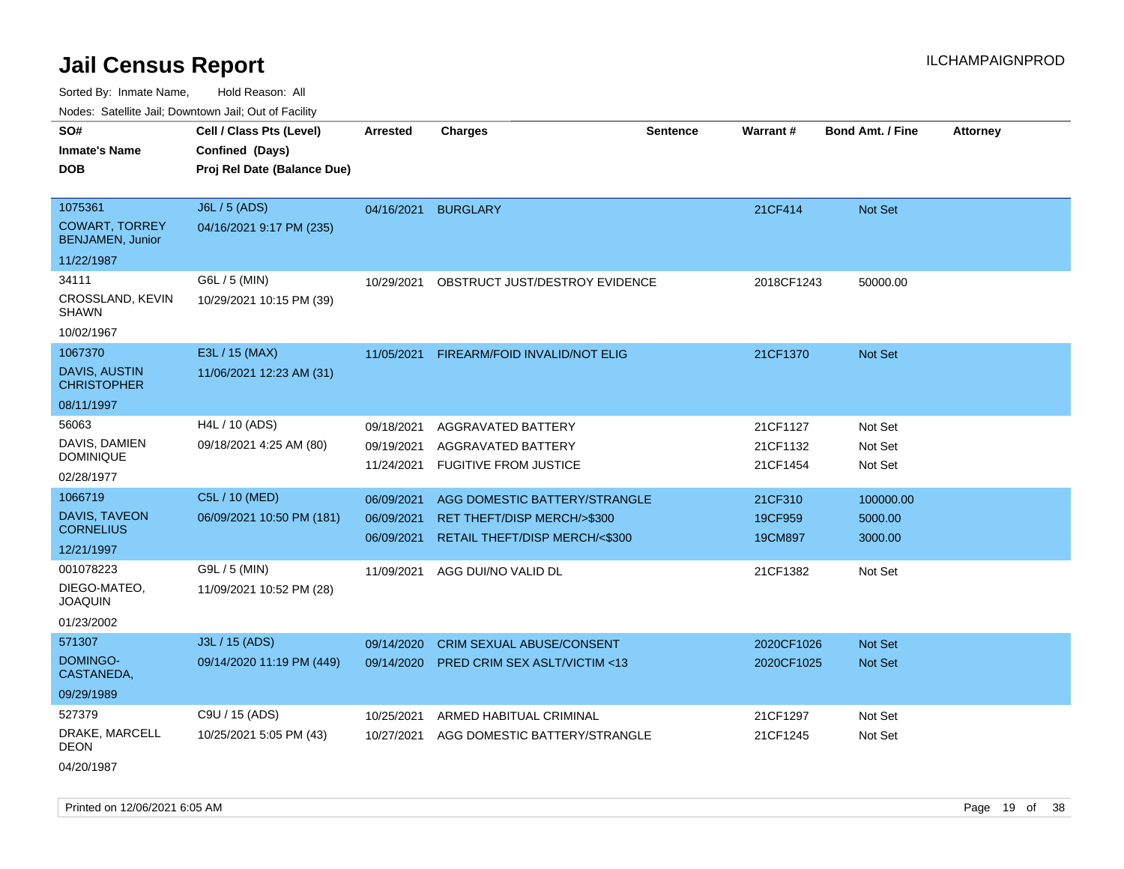Sorted By: Inmate Name, Hold Reason: All

Nodes: Satellite Jail; Downtown Jail; Out of Facility

| vouco. Catolino cali, Downtown cali, Out of Fability                      |                                                                            |                                        |                                                                                                |                 |                                  |                                 |                 |
|---------------------------------------------------------------------------|----------------------------------------------------------------------------|----------------------------------------|------------------------------------------------------------------------------------------------|-----------------|----------------------------------|---------------------------------|-----------------|
| SO#<br><b>Inmate's Name</b><br><b>DOB</b>                                 | Cell / Class Pts (Level)<br>Confined (Days)<br>Proj Rel Date (Balance Due) | <b>Arrested</b>                        | <b>Charges</b>                                                                                 | <b>Sentence</b> | <b>Warrant#</b>                  | <b>Bond Amt. / Fine</b>         | <b>Attorney</b> |
| 1075361<br><b>COWART, TORREY</b><br><b>BENJAMEN, Junior</b><br>11/22/1987 | J6L / 5 (ADS)<br>04/16/2021 9:17 PM (235)                                  | 04/16/2021                             | <b>BURGLARY</b>                                                                                |                 | 21CF414                          | Not Set                         |                 |
| 34111<br>CROSSLAND, KEVIN<br><b>SHAWN</b><br>10/02/1967                   | G6L / 5 (MIN)<br>10/29/2021 10:15 PM (39)                                  | 10/29/2021                             | OBSTRUCT JUST/DESTROY EVIDENCE                                                                 |                 | 2018CF1243                       | 50000.00                        |                 |
| 1067370<br><b>DAVIS, AUSTIN</b><br><b>CHRISTOPHER</b><br>08/11/1997       | E3L / 15 (MAX)<br>11/06/2021 12:23 AM (31)                                 | 11/05/2021                             | FIREARM/FOID INVALID/NOT ELIG                                                                  |                 | 21CF1370                         | <b>Not Set</b>                  |                 |
| 56063<br>DAVIS, DAMIEN<br><b>DOMINIQUE</b><br>02/28/1977                  | H4L / 10 (ADS)<br>09/18/2021 4:25 AM (80)                                  | 09/18/2021<br>09/19/2021<br>11/24/2021 | AGGRAVATED BATTERY<br>AGGRAVATED BATTERY<br><b>FUGITIVE FROM JUSTICE</b>                       |                 | 21CF1127<br>21CF1132<br>21CF1454 | Not Set<br>Not Set<br>Not Set   |                 |
| 1066719<br>DAVIS, TAVEON<br><b>CORNELIUS</b><br>12/21/1997                | C5L / 10 (MED)<br>06/09/2021 10:50 PM (181)                                | 06/09/2021<br>06/09/2021<br>06/09/2021 | AGG DOMESTIC BATTERY/STRANGLE<br>RET THEFT/DISP MERCH/>\$300<br>RETAIL THEFT/DISP MERCH/<\$300 |                 | 21CF310<br>19CF959<br>19CM897    | 100000.00<br>5000.00<br>3000.00 |                 |
| 001078223<br>DIEGO-MATEO,<br><b>JOAQUIN</b><br>01/23/2002                 | G9L / 5 (MIN)<br>11/09/2021 10:52 PM (28)                                  | 11/09/2021                             | AGG DUI/NO VALID DL                                                                            |                 | 21CF1382                         | Not Set                         |                 |
| 571307<br>DOMINGO-<br>CASTANEDA,<br>09/29/1989                            | J3L / 15 (ADS)<br>09/14/2020 11:19 PM (449)                                | 09/14/2020<br>09/14/2020               | CRIM SEXUAL ABUSE/CONSENT<br><b>PRED CRIM SEX ASLT/VICTIM &lt;13</b>                           |                 | 2020CF1026<br>2020CF1025         | Not Set<br><b>Not Set</b>       |                 |
| 527379<br>DRAKE, MARCELL<br><b>DEON</b>                                   | C9U / 15 (ADS)<br>10/25/2021 5:05 PM (43)                                  | 10/25/2021<br>10/27/2021               | ARMED HABITUAL CRIMINAL<br>AGG DOMESTIC BATTERY/STRANGLE                                       |                 | 21CF1297<br>21CF1245             | Not Set<br>Not Set              |                 |

04/20/1987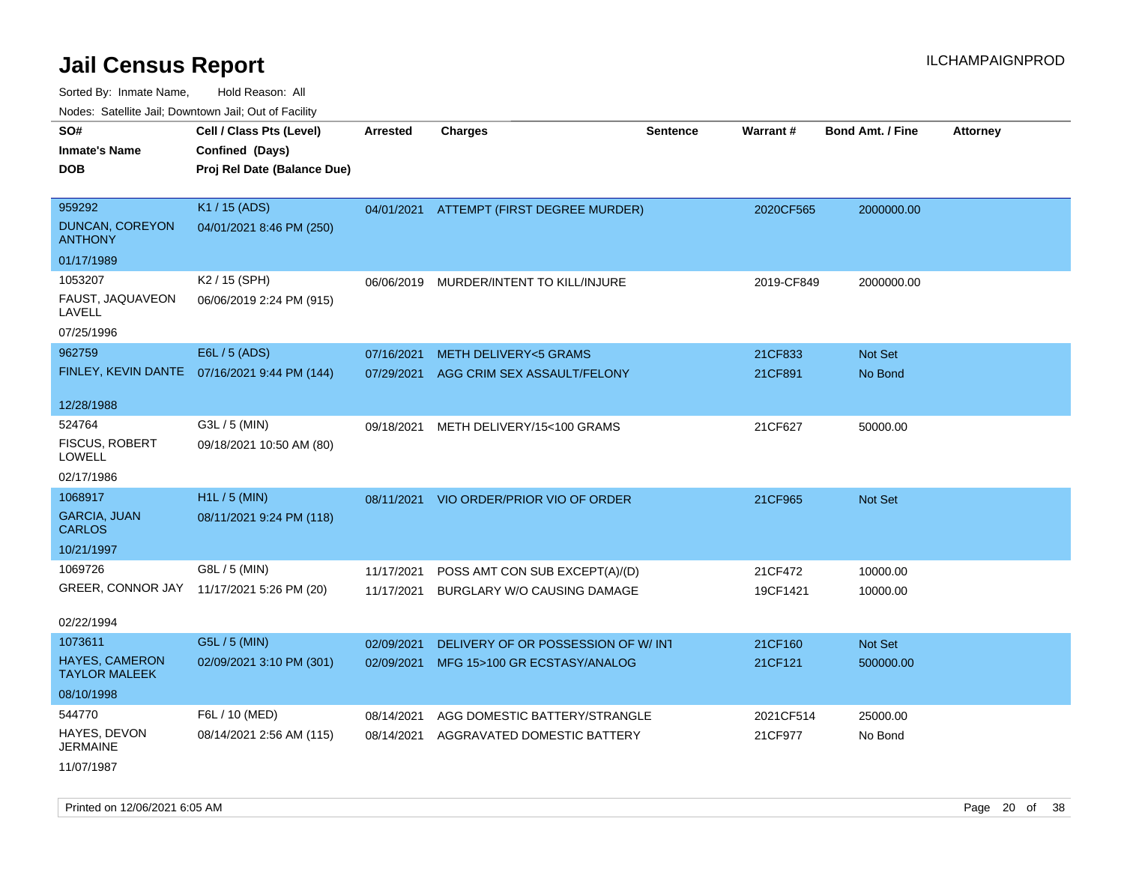Sorted By: Inmate Name, Hold Reason: All

Nodes: Satellite Jail; Downtown Jail; Out of Facility

| SO#<br><b>Inmate's Name</b><br><b>DOB</b>                      | Cell / Class Pts (Level)<br>Confined (Days)<br>Proj Rel Date (Balance Due) | Arrested                 | <b>Charges</b>                                                       | <b>Sentence</b> | Warrant#            | <b>Bond Amt. / Fine</b> | <b>Attorney</b> |
|----------------------------------------------------------------|----------------------------------------------------------------------------|--------------------------|----------------------------------------------------------------------|-----------------|---------------------|-------------------------|-----------------|
| 959292<br><b>DUNCAN, COREYON</b><br><b>ANTHONY</b>             | K1 / 15 (ADS)<br>04/01/2021 8:46 PM (250)                                  |                          | 04/01/2021 ATTEMPT (FIRST DEGREE MURDER)                             |                 | 2020CF565           | 2000000.00              |                 |
| 01/17/1989                                                     |                                                                            |                          |                                                                      |                 |                     |                         |                 |
| 1053207<br>FAUST, JAQUAVEON<br>LAVELL<br>07/25/1996            | K2 / 15 (SPH)<br>06/06/2019 2:24 PM (915)                                  | 06/06/2019               | MURDER/INTENT TO KILL/INJURE                                         |                 | 2019-CF849          | 2000000.00              |                 |
| 962759                                                         | E6L / 5 (ADS)                                                              | 07/16/2021               | <b>METH DELIVERY&lt;5 GRAMS</b>                                      |                 | 21CF833             | <b>Not Set</b>          |                 |
| FINLEY, KEVIN DANTE                                            | 07/16/2021 9:44 PM (144)                                                   | 07/29/2021               | AGG CRIM SEX ASSAULT/FELONY                                          |                 | 21CF891             | No Bond                 |                 |
| 12/28/1988                                                     |                                                                            |                          |                                                                      |                 |                     |                         |                 |
| 524764<br><b>FISCUS, ROBERT</b><br><b>LOWELL</b><br>02/17/1986 | G3L / 5 (MIN)<br>09/18/2021 10:50 AM (80)                                  | 09/18/2021               | METH DELIVERY/15<100 GRAMS                                           |                 | 21CF627             | 50000.00                |                 |
| 1068917                                                        | H1L / 5 (MIN)                                                              |                          |                                                                      |                 |                     |                         |                 |
| <b>GARCIA, JUAN</b><br><b>CARLOS</b>                           | 08/11/2021 9:24 PM (118)                                                   | 08/11/2021               | VIO ORDER/PRIOR VIO OF ORDER                                         |                 | 21CF965             | <b>Not Set</b>          |                 |
| 10/21/1997                                                     |                                                                            |                          |                                                                      |                 |                     |                         |                 |
| 1069726<br>GREER, CONNOR JAY                                   | G8L / 5 (MIN)<br>11/17/2021 5:26 PM (20)                                   | 11/17/2021<br>11/17/2021 | POSS AMT CON SUB EXCEPT(A)/(D)<br><b>BURGLARY W/O CAUSING DAMAGE</b> |                 | 21CF472<br>19CF1421 | 10000.00<br>10000.00    |                 |
| 02/22/1994                                                     |                                                                            |                          |                                                                      |                 |                     |                         |                 |
| 1073611                                                        | G5L / 5 (MIN)                                                              | 02/09/2021               | DELIVERY OF OR POSSESSION OF W/INT                                   |                 | 21CF160             | Not Set                 |                 |
| <b>HAYES, CAMERON</b><br><b>TAYLOR MALEEK</b>                  | 02/09/2021 3:10 PM (301)                                                   | 02/09/2021               | MFG 15>100 GR ECSTASY/ANALOG                                         |                 | 21CF121             | 500000.00               |                 |
| 08/10/1998                                                     |                                                                            |                          |                                                                      |                 |                     |                         |                 |
| 544770                                                         | F6L / 10 (MED)                                                             | 08/14/2021               | AGG DOMESTIC BATTERY/STRANGLE                                        |                 | 2021CF514           | 25000.00                |                 |
| HAYES, DEVON<br><b>JERMAINE</b>                                | 08/14/2021 2:56 AM (115)                                                   | 08/14/2021               | AGGRAVATED DOMESTIC BATTERY                                          |                 | 21CF977             | No Bond                 |                 |

11/07/1987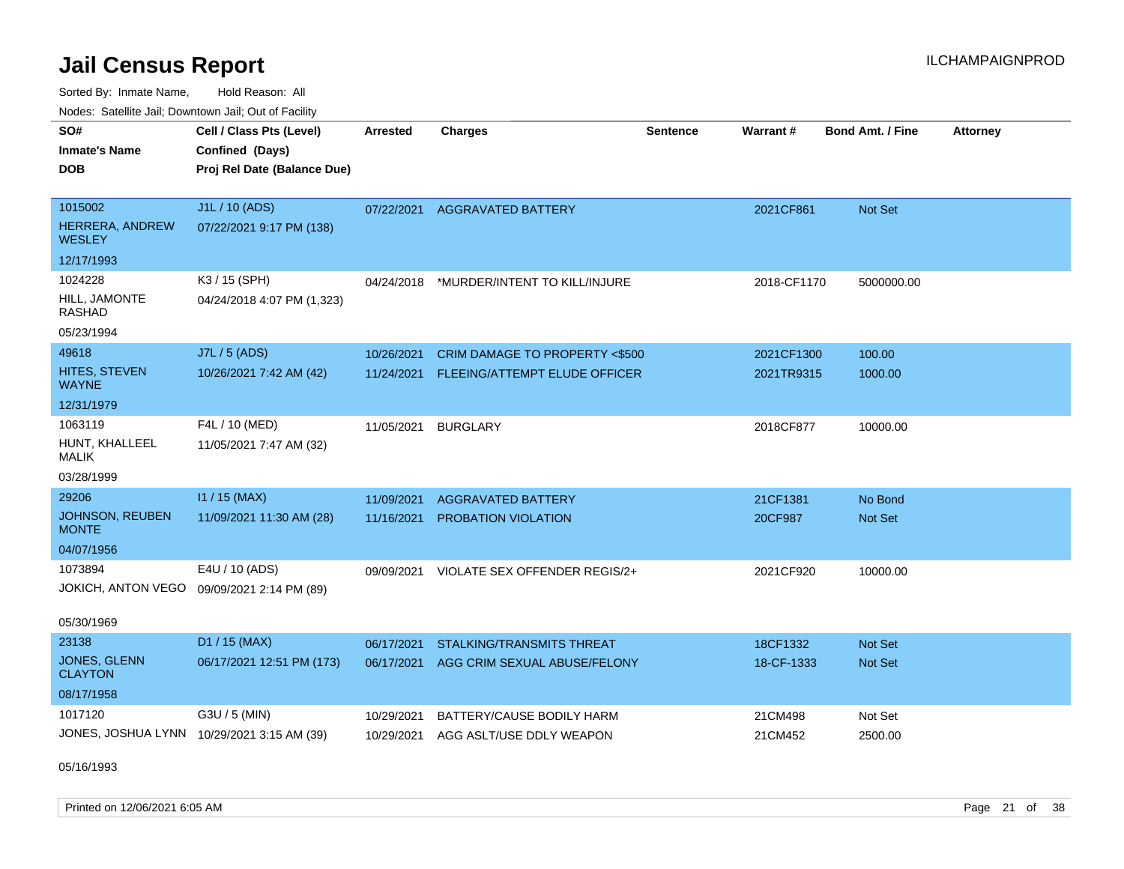Sorted By: Inmate Name, Hold Reason: All Nodes: Satellite Jail; Downtown Jail; Out of Facility

| <b>NOULD:</b> Catoline bail, Downtown bail, Out of I dollty |                                            |                 |                                  |                 |                 |                         |                 |
|-------------------------------------------------------------|--------------------------------------------|-----------------|----------------------------------|-----------------|-----------------|-------------------------|-----------------|
| SO#                                                         | Cell / Class Pts (Level)                   | <b>Arrested</b> | <b>Charges</b>                   | <b>Sentence</b> | <b>Warrant#</b> | <b>Bond Amt. / Fine</b> | <b>Attorney</b> |
| <b>Inmate's Name</b>                                        | Confined (Days)                            |                 |                                  |                 |                 |                         |                 |
| <b>DOB</b>                                                  | Proj Rel Date (Balance Due)                |                 |                                  |                 |                 |                         |                 |
|                                                             |                                            |                 |                                  |                 |                 |                         |                 |
| 1015002                                                     | J1L / 10 (ADS)                             | 07/22/2021      | AGGRAVATED BATTERY               |                 | 2021CF861       | Not Set                 |                 |
| HERRERA, ANDREW<br><b>WESLEY</b>                            | 07/22/2021 9:17 PM (138)                   |                 |                                  |                 |                 |                         |                 |
| 12/17/1993                                                  |                                            |                 |                                  |                 |                 |                         |                 |
| 1024228                                                     | K3 / 15 (SPH)                              | 04/24/2018      | *MURDER/INTENT TO KILL/INJURE    |                 | 2018-CF1170     | 5000000.00              |                 |
| HILL, JAMONTE<br>RASHAD                                     | 04/24/2018 4:07 PM (1,323)                 |                 |                                  |                 |                 |                         |                 |
| 05/23/1994                                                  |                                            |                 |                                  |                 |                 |                         |                 |
| 49618                                                       | J7L / 5 (ADS)                              | 10/26/2021      | CRIM DAMAGE TO PROPERTY <\$500   |                 | 2021CF1300      | 100.00                  |                 |
| HITES, STEVEN<br><b>WAYNE</b>                               | 10/26/2021 7:42 AM (42)                    | 11/24/2021      | FLEEING/ATTEMPT ELUDE OFFICER    |                 | 2021TR9315      | 1000.00                 |                 |
| 12/31/1979                                                  |                                            |                 |                                  |                 |                 |                         |                 |
| 1063119                                                     | F4L / 10 (MED)                             | 11/05/2021      | <b>BURGLARY</b>                  |                 | 2018CF877       | 10000.00                |                 |
| HUNT, KHALLEEL<br><b>MALIK</b>                              | 11/05/2021 7:47 AM (32)                    |                 |                                  |                 |                 |                         |                 |
| 03/28/1999                                                  |                                            |                 |                                  |                 |                 |                         |                 |
| 29206                                                       | $11 / 15$ (MAX)                            | 11/09/2021      | <b>AGGRAVATED BATTERY</b>        |                 | 21CF1381        | No Bond                 |                 |
| JOHNSON, REUBEN<br><b>MONTE</b>                             | 11/09/2021 11:30 AM (28)                   | 11/16/2021      | <b>PROBATION VIOLATION</b>       |                 | 20CF987         | Not Set                 |                 |
| 04/07/1956                                                  |                                            |                 |                                  |                 |                 |                         |                 |
| 1073894                                                     | E4U / 10 (ADS)                             | 09/09/2021      | VIOLATE SEX OFFENDER REGIS/2+    |                 | 2021CF920       | 10000.00                |                 |
|                                                             | JOKICH, ANTON VEGO 09/09/2021 2:14 PM (89) |                 |                                  |                 |                 |                         |                 |
| 05/30/1969                                                  |                                            |                 |                                  |                 |                 |                         |                 |
| 23138                                                       | D1 / 15 (MAX)                              | 06/17/2021      | <b>STALKING/TRANSMITS THREAT</b> |                 | 18CF1332        | <b>Not Set</b>          |                 |
| <b>JONES, GLENN</b><br><b>CLAYTON</b>                       | 06/17/2021 12:51 PM (173)                  | 06/17/2021      | AGG CRIM SEXUAL ABUSE/FELONY     |                 | 18-CF-1333      | Not Set                 |                 |
| 08/17/1958                                                  |                                            |                 |                                  |                 |                 |                         |                 |
| 1017120                                                     | G3U / 5 (MIN)                              | 10/29/2021      | BATTERY/CAUSE BODILY HARM        |                 | 21CM498         | Not Set                 |                 |
|                                                             | JONES, JOSHUA LYNN 10/29/2021 3:15 AM (39) | 10/29/2021      | AGG ASLT/USE DDLY WEAPON         |                 | 21CM452         | 2500.00                 |                 |
|                                                             |                                            |                 |                                  |                 |                 |                         |                 |

05/16/1993

Printed on 12/06/2021 6:05 AM Page 21 of 38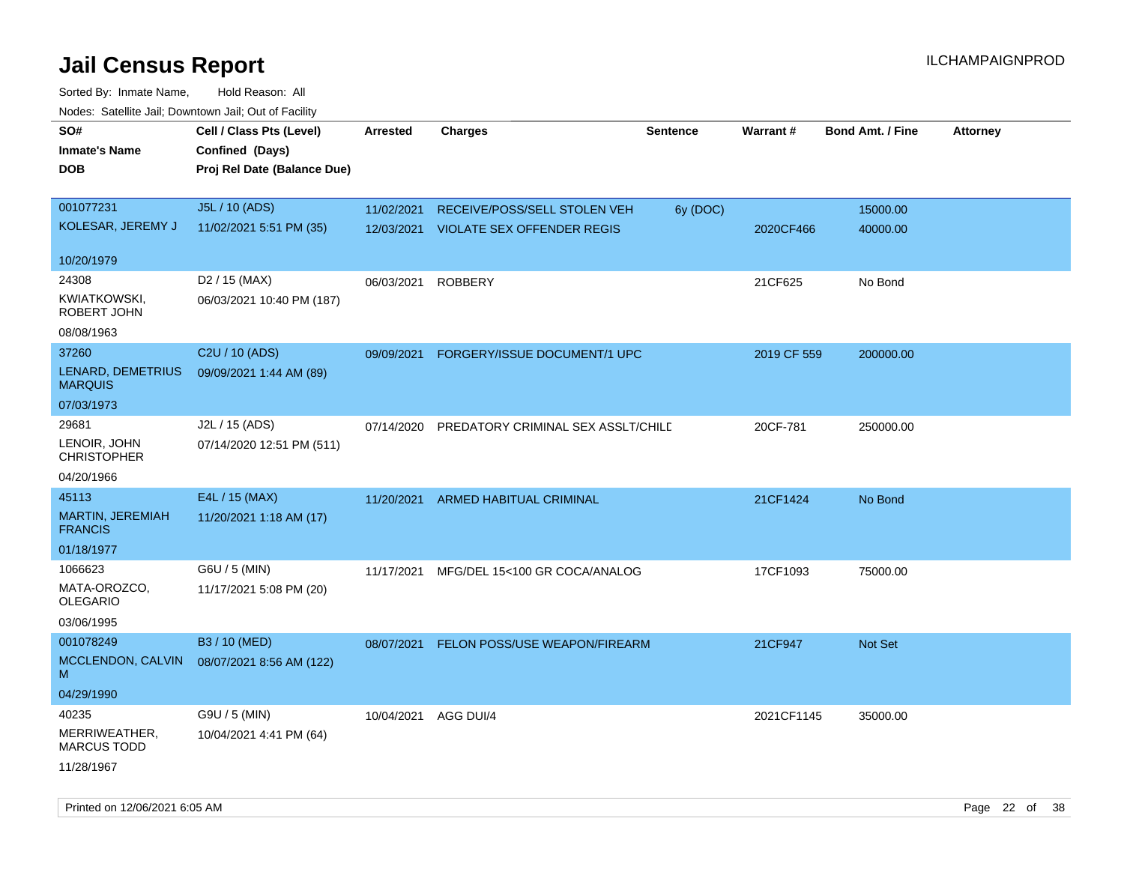| rougs. Calcing Jan, Downtown Jan, Out of Facility  |                                                                            |                 |                                                                       |                 |             |                         |                 |
|----------------------------------------------------|----------------------------------------------------------------------------|-----------------|-----------------------------------------------------------------------|-----------------|-------------|-------------------------|-----------------|
| SO#<br><b>Inmate's Name</b><br><b>DOB</b>          | Cell / Class Pts (Level)<br>Confined (Days)<br>Proj Rel Date (Balance Due) | <b>Arrested</b> | <b>Charges</b>                                                        | <b>Sentence</b> | Warrant#    | <b>Bond Amt. / Fine</b> | <b>Attorney</b> |
| 001077231<br>KOLESAR, JEREMY J                     | J5L / 10 (ADS)<br>11/02/2021 5:51 PM (35)                                  | 11/02/2021      | RECEIVE/POSS/SELL STOLEN VEH<br>12/03/2021 VIOLATE SEX OFFENDER REGIS | 6y (DOC)        | 2020CF466   | 15000.00<br>40000.00    |                 |
| 10/20/1979                                         |                                                                            |                 |                                                                       |                 |             |                         |                 |
| 24308<br>KWIATKOWSKI,<br>ROBERT JOHN<br>08/08/1963 | D <sub>2</sub> / 15 (MAX)<br>06/03/2021 10:40 PM (187)                     | 06/03/2021      | <b>ROBBERY</b>                                                        |                 | 21CF625     | No Bond                 |                 |
| 37260<br>LENARD, DEMETRIUS                         | C2U / 10 (ADS)<br>09/09/2021 1:44 AM (89)                                  | 09/09/2021      | FORGERY/ISSUE DOCUMENT/1 UPC                                          |                 | 2019 CF 559 | 200000.00               |                 |
| <b>MARQUIS</b><br>07/03/1973                       |                                                                            |                 |                                                                       |                 |             |                         |                 |
| 29681<br>LENOIR, JOHN<br><b>CHRISTOPHER</b>        | J2L / 15 (ADS)<br>07/14/2020 12:51 PM (511)                                | 07/14/2020      | PREDATORY CRIMINAL SEX ASSLT/CHILD                                    |                 | 20CF-781    | 250000.00               |                 |
| 04/20/1966                                         |                                                                            |                 |                                                                       |                 |             |                         |                 |
| 45113                                              | E4L / 15 (MAX)                                                             | 11/20/2021      | ARMED HABITUAL CRIMINAL                                               |                 | 21CF1424    | No Bond                 |                 |
| MARTIN, JEREMIAH<br><b>FRANCIS</b>                 | 11/20/2021 1:18 AM (17)                                                    |                 |                                                                       |                 |             |                         |                 |
| 01/18/1977                                         |                                                                            |                 |                                                                       |                 |             |                         |                 |
| 1066623                                            | G6U / 5 (MIN)                                                              | 11/17/2021      | MFG/DEL 15<100 GR COCA/ANALOG                                         |                 | 17CF1093    | 75000.00                |                 |
| MATA-OROZCO.<br>OLEGARIO                           | 11/17/2021 5:08 PM (20)                                                    |                 |                                                                       |                 |             |                         |                 |
| 03/06/1995                                         |                                                                            |                 |                                                                       |                 |             |                         |                 |
| 001078249<br>MCCLENDON, CALVIN<br>м                | B3 / 10 (MED)<br>08/07/2021 8:56 AM (122)                                  | 08/07/2021      | <b>FELON POSS/USE WEAPON/FIREARM</b>                                  |                 | 21CF947     | <b>Not Set</b>          |                 |
| 04/29/1990                                         |                                                                            |                 |                                                                       |                 |             |                         |                 |
| 40235                                              | G9U / 5 (MIN)                                                              | 10/04/2021      | AGG DUI/4                                                             |                 | 2021CF1145  | 35000.00                |                 |
| MERRIWEATHER,<br><b>MARCUS TODD</b>                | 10/04/2021 4:41 PM (64)                                                    |                 |                                                                       |                 |             |                         |                 |
| 11/28/1967                                         |                                                                            |                 |                                                                       |                 |             |                         |                 |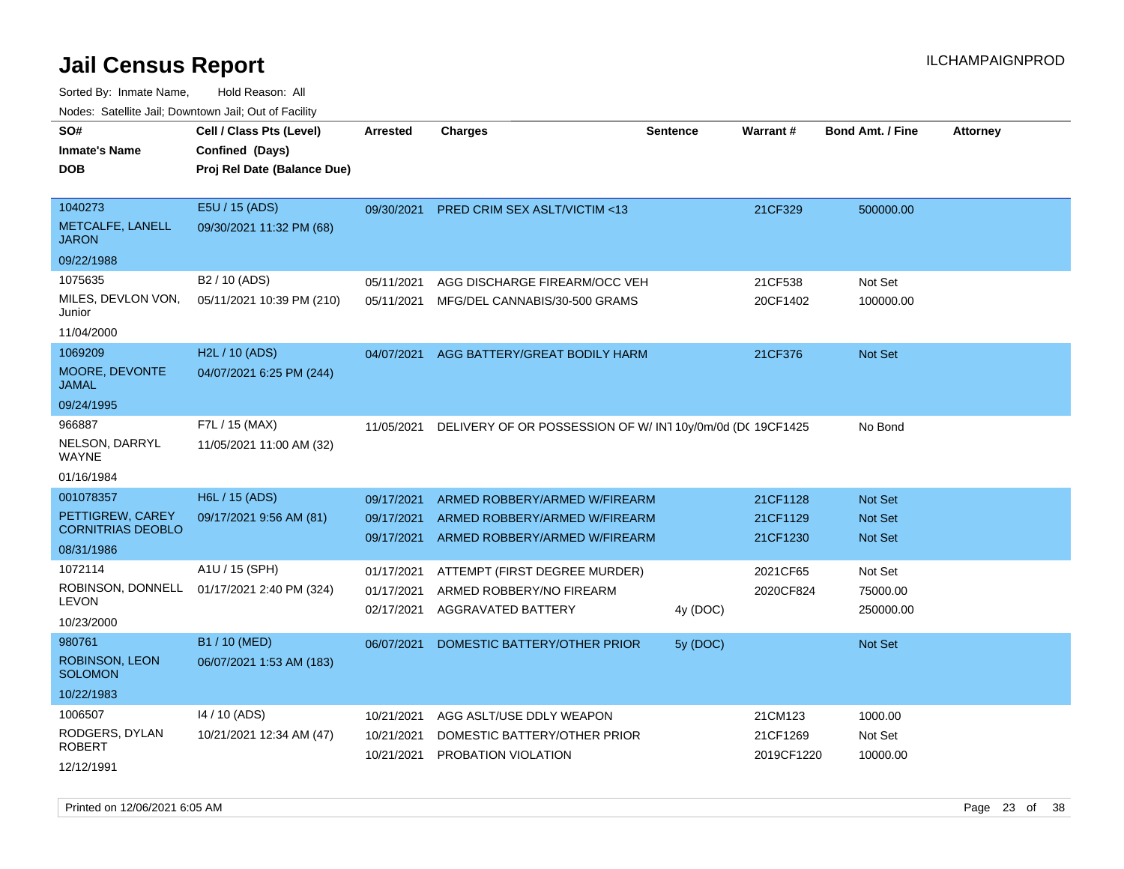Sorted By: Inmate Name, Hold Reason: All Nodes: Satellite Jail; Downtown Jail; Out of Facility

| Nuuts. Saltiille Jall, Downlown Jall, Oul of Facility |                             |            |                                                          |                 |                 |                         |                 |
|-------------------------------------------------------|-----------------------------|------------|----------------------------------------------------------|-----------------|-----------------|-------------------------|-----------------|
| SO#                                                   | Cell / Class Pts (Level)    | Arrested   | <b>Charges</b>                                           | <b>Sentence</b> | <b>Warrant#</b> | <b>Bond Amt. / Fine</b> | <b>Attorney</b> |
| <b>Inmate's Name</b>                                  | Confined (Days)             |            |                                                          |                 |                 |                         |                 |
| <b>DOB</b>                                            | Proj Rel Date (Balance Due) |            |                                                          |                 |                 |                         |                 |
|                                                       |                             |            |                                                          |                 |                 |                         |                 |
| 1040273                                               | E5U / 15 (ADS)              | 09/30/2021 | PRED CRIM SEX ASLT/VICTIM <13                            |                 | 21CF329         | 500000.00               |                 |
| <b>METCALFE, LANELL</b><br><b>JARON</b>               | 09/30/2021 11:32 PM (68)    |            |                                                          |                 |                 |                         |                 |
| 09/22/1988                                            |                             |            |                                                          |                 |                 |                         |                 |
| 1075635                                               | B <sub>2</sub> / 10 (ADS)   | 05/11/2021 | AGG DISCHARGE FIREARM/OCC VEH                            |                 | 21CF538         | Not Set                 |                 |
| MILES, DEVLON VON,<br>Junior                          | 05/11/2021 10:39 PM (210)   | 05/11/2021 | MFG/DEL CANNABIS/30-500 GRAMS                            |                 | 20CF1402        | 100000.00               |                 |
| 11/04/2000                                            |                             |            |                                                          |                 |                 |                         |                 |
| 1069209                                               | H2L / 10 (ADS)              | 04/07/2021 | AGG BATTERY/GREAT BODILY HARM                            |                 | 21CF376         | <b>Not Set</b>          |                 |
| <b>MOORE, DEVONTE</b><br>JAMAL                        | 04/07/2021 6:25 PM (244)    |            |                                                          |                 |                 |                         |                 |
| 09/24/1995                                            |                             |            |                                                          |                 |                 |                         |                 |
| 966887                                                | F7L / 15 (MAX)              | 11/05/2021 | DELIVERY OF OR POSSESSION OF W/IN110y/0m/0d (DC 19CF1425 |                 |                 | No Bond                 |                 |
| NELSON, DARRYL<br>WAYNE                               | 11/05/2021 11:00 AM (32)    |            |                                                          |                 |                 |                         |                 |
| 01/16/1984                                            |                             |            |                                                          |                 |                 |                         |                 |
| 001078357                                             | H6L / 15 (ADS)              | 09/17/2021 | ARMED ROBBERY/ARMED W/FIREARM                            |                 | 21CF1128        | <b>Not Set</b>          |                 |
| PETTIGREW, CAREY                                      | 09/17/2021 9:56 AM (81)     | 09/17/2021 | ARMED ROBBERY/ARMED W/FIREARM                            |                 | 21CF1129        | <b>Not Set</b>          |                 |
| <b>CORNITRIAS DEOBLO</b>                              |                             | 09/17/2021 | ARMED ROBBERY/ARMED W/FIREARM                            |                 | 21CF1230        | <b>Not Set</b>          |                 |
| 08/31/1986                                            |                             |            |                                                          |                 |                 |                         |                 |
| 1072114                                               | A1U / 15 (SPH)              | 01/17/2021 | ATTEMPT (FIRST DEGREE MURDER)                            |                 | 2021CF65        | Not Set                 |                 |
| ROBINSON, DONNELL<br><b>LEVON</b>                     | 01/17/2021 2:40 PM (324)    | 01/17/2021 | ARMED ROBBERY/NO FIREARM                                 |                 | 2020CF824       | 75000.00                |                 |
|                                                       |                             | 02/17/2021 | AGGRAVATED BATTERY                                       | 4y (DOC)        |                 | 250000.00               |                 |
| 10/23/2000                                            |                             |            |                                                          |                 |                 |                         |                 |
| 980761                                                | B1 / 10 (MED)               | 06/07/2021 | DOMESTIC BATTERY/OTHER PRIOR                             | 5y (DOC)        |                 | <b>Not Set</b>          |                 |
| <b>ROBINSON, LEON</b><br><b>SOLOMON</b>               | 06/07/2021 1:53 AM (183)    |            |                                                          |                 |                 |                         |                 |
| 10/22/1983                                            |                             |            |                                                          |                 |                 |                         |                 |
| 1006507                                               | 14 / 10 (ADS)               | 10/21/2021 | AGG ASLT/USE DDLY WEAPON                                 |                 | 21CM123         | 1000.00                 |                 |
| RODGERS, DYLAN                                        | 10/21/2021 12:34 AM (47)    | 10/21/2021 | DOMESTIC BATTERY/OTHER PRIOR                             |                 | 21CF1269        | Not Set                 |                 |
| ROBERT                                                |                             | 10/21/2021 | PROBATION VIOLATION                                      |                 | 2019CF1220      | 10000.00                |                 |
| 12/12/1991                                            |                             |            |                                                          |                 |                 |                         |                 |

Printed on 12/06/2021 6:05 AM Page 23 of 38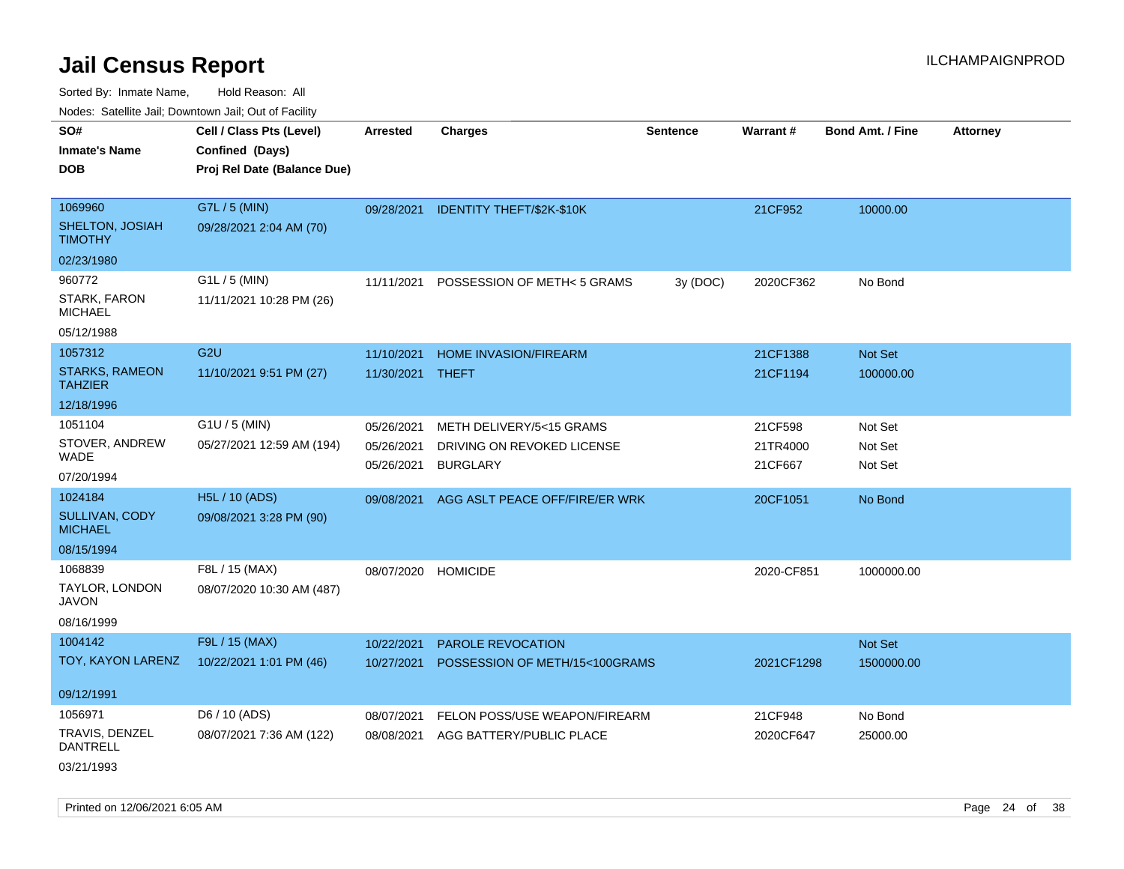Sorted By: Inmate Name, Hold Reason: All Nodes: Satellite Jail; Downtown Jail; Out of Facility

| Noues. Salenne Jan, Downlown Jan, Out of Facility |                             |                 |                                |                 |            |                         |                 |
|---------------------------------------------------|-----------------------------|-----------------|--------------------------------|-----------------|------------|-------------------------|-----------------|
| SO#                                               | Cell / Class Pts (Level)    | <b>Arrested</b> | <b>Charges</b>                 | <b>Sentence</b> | Warrant#   | <b>Bond Amt. / Fine</b> | <b>Attorney</b> |
| <b>Inmate's Name</b>                              | Confined (Days)             |                 |                                |                 |            |                         |                 |
| <b>DOB</b>                                        | Proj Rel Date (Balance Due) |                 |                                |                 |            |                         |                 |
|                                                   |                             |                 |                                |                 |            |                         |                 |
| 1069960                                           | G7L / 5 (MIN)               | 09/28/2021      | IDENTITY THEFT/\$2K-\$10K      |                 | 21CF952    | 10000.00                |                 |
| SHELTON, JOSIAH<br><b>TIMOTHY</b>                 | 09/28/2021 2:04 AM (70)     |                 |                                |                 |            |                         |                 |
| 02/23/1980                                        |                             |                 |                                |                 |            |                         |                 |
| 960772                                            | G1L / 5 (MIN)               | 11/11/2021      | POSSESSION OF METH< 5 GRAMS    | 3y (DOC)        | 2020CF362  | No Bond                 |                 |
| STARK, FARON<br><b>MICHAEL</b>                    | 11/11/2021 10:28 PM (26)    |                 |                                |                 |            |                         |                 |
| 05/12/1988                                        |                             |                 |                                |                 |            |                         |                 |
| 1057312                                           | G <sub>2U</sub>             | 11/10/2021      | HOME INVASION/FIREARM          |                 | 21CF1388   | Not Set                 |                 |
| <b>STARKS, RAMEON</b><br><b>TAHZIER</b>           | 11/10/2021 9:51 PM (27)     | 11/30/2021      | <b>THEFT</b>                   |                 | 21CF1194   | 100000.00               |                 |
| 12/18/1996                                        |                             |                 |                                |                 |            |                         |                 |
| 1051104                                           | G1U / 5 (MIN)               | 05/26/2021      | METH DELIVERY/5<15 GRAMS       |                 | 21CF598    | Not Set                 |                 |
| STOVER, ANDREW                                    | 05/27/2021 12:59 AM (194)   | 05/26/2021      | DRIVING ON REVOKED LICENSE     |                 | 21TR4000   | Not Set                 |                 |
| WADE                                              |                             | 05/26/2021      | <b>BURGLARY</b>                |                 | 21CF667    | Not Set                 |                 |
| 07/20/1994                                        |                             |                 |                                |                 |            |                         |                 |
| 1024184                                           | H5L / 10 (ADS)              | 09/08/2021      | AGG ASLT PEACE OFF/FIRE/ER WRK |                 | 20CF1051   | No Bond                 |                 |
| SULLIVAN, CODY<br><b>MICHAEL</b>                  | 09/08/2021 3:28 PM (90)     |                 |                                |                 |            |                         |                 |
| 08/15/1994                                        |                             |                 |                                |                 |            |                         |                 |
| 1068839                                           | F8L / 15 (MAX)              | 08/07/2020      | <b>HOMICIDE</b>                |                 | 2020-CF851 | 1000000.00              |                 |
| TAYLOR, LONDON<br>JAVON                           | 08/07/2020 10:30 AM (487)   |                 |                                |                 |            |                         |                 |
| 08/16/1999                                        |                             |                 |                                |                 |            |                         |                 |
| 1004142                                           | F9L / 15 (MAX)              | 10/22/2021      | PAROLE REVOCATION              |                 |            | Not Set                 |                 |
| TOY, KAYON LARENZ                                 | 10/22/2021 1:01 PM (46)     | 10/27/2021      | POSSESSION OF METH/15<100GRAMS |                 | 2021CF1298 | 1500000.00              |                 |
| 09/12/1991                                        |                             |                 |                                |                 |            |                         |                 |
| 1056971                                           | D6 / 10 (ADS)               | 08/07/2021      | FELON POSS/USE WEAPON/FIREARM  |                 | 21CF948    | No Bond                 |                 |
| TRAVIS, DENZEL<br>DANTRELL                        | 08/07/2021 7:36 AM (122)    | 08/08/2021      | AGG BATTERY/PUBLIC PLACE       |                 | 2020CF647  | 25000.00                |                 |
| 03/21/1993                                        |                             |                 |                                |                 |            |                         |                 |

Printed on 12/06/2021 6:05 AM **Page 24 of 38**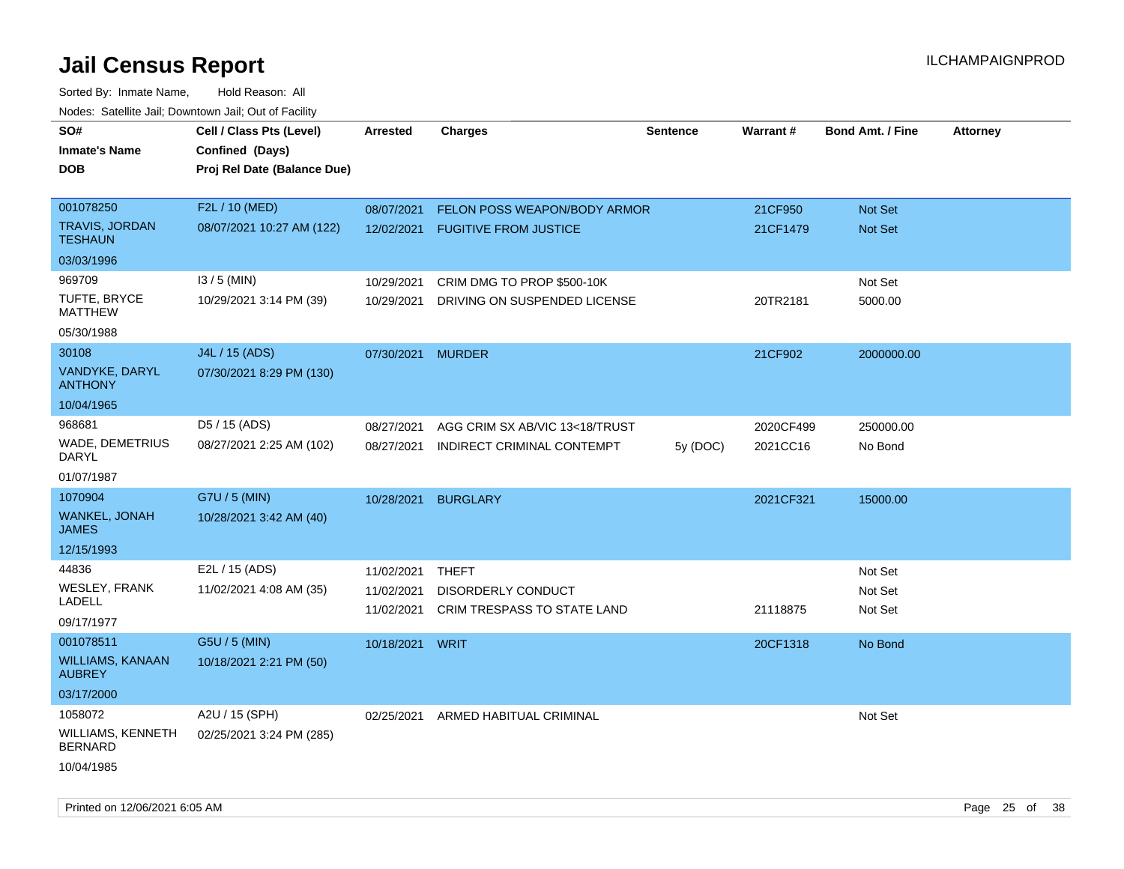| SO#                                        | Cell / Class Pts (Level)    | <b>Arrested</b> | <b>Charges</b>                     | <b>Sentence</b> | Warrant#  | <b>Bond Amt. / Fine</b> | <b>Attorney</b> |
|--------------------------------------------|-----------------------------|-----------------|------------------------------------|-----------------|-----------|-------------------------|-----------------|
| <b>Inmate's Name</b>                       | Confined (Days)             |                 |                                    |                 |           |                         |                 |
| <b>DOB</b>                                 | Proj Rel Date (Balance Due) |                 |                                    |                 |           |                         |                 |
|                                            |                             |                 |                                    |                 |           |                         |                 |
| 001078250                                  | F2L / 10 (MED)              | 08/07/2021      | FELON POSS WEAPON/BODY ARMOR       |                 | 21CF950   | Not Set                 |                 |
| <b>TRAVIS, JORDAN</b><br><b>TESHAUN</b>    | 08/07/2021 10:27 AM (122)   | 12/02/2021      | <b>FUGITIVE FROM JUSTICE</b>       |                 | 21CF1479  | Not Set                 |                 |
| 03/03/1996                                 |                             |                 |                                    |                 |           |                         |                 |
| 969709                                     | $13/5$ (MIN)                | 10/29/2021      | CRIM DMG TO PROP \$500-10K         |                 |           | Not Set                 |                 |
| TUFTE, BRYCE<br><b>MATTHEW</b>             | 10/29/2021 3:14 PM (39)     | 10/29/2021      | DRIVING ON SUSPENDED LICENSE       |                 | 20TR2181  | 5000.00                 |                 |
| 05/30/1988                                 |                             |                 |                                    |                 |           |                         |                 |
| 30108                                      | J4L / 15 (ADS)              | 07/30/2021      | <b>MURDER</b>                      |                 | 21CF902   | 2000000.00              |                 |
| VANDYKE, DARYL<br><b>ANTHONY</b>           | 07/30/2021 8:29 PM (130)    |                 |                                    |                 |           |                         |                 |
| 10/04/1965                                 |                             |                 |                                    |                 |           |                         |                 |
| 968681                                     | D5 / 15 (ADS)               | 08/27/2021      | AGG CRIM SX AB/VIC 13<18/TRUST     |                 | 2020CF499 | 250000.00               |                 |
| WADE, DEMETRIUS<br><b>DARYL</b>            | 08/27/2021 2:25 AM (102)    | 08/27/2021      | INDIRECT CRIMINAL CONTEMPT         | 5y(DOC)         | 2021CC16  | No Bond                 |                 |
| 01/07/1987                                 |                             |                 |                                    |                 |           |                         |                 |
| 1070904                                    | G7U / 5 (MIN)               | 10/28/2021      | <b>BURGLARY</b>                    |                 | 2021CF321 | 15000.00                |                 |
| WANKEL, JONAH<br><b>JAMES</b>              | 10/28/2021 3:42 AM (40)     |                 |                                    |                 |           |                         |                 |
| 12/15/1993                                 |                             |                 |                                    |                 |           |                         |                 |
| 44836                                      | E2L / 15 (ADS)              | 11/02/2021      | THEFT                              |                 |           | Not Set                 |                 |
| <b>WESLEY, FRANK</b>                       | 11/02/2021 4:08 AM (35)     | 11/02/2021      | <b>DISORDERLY CONDUCT</b>          |                 |           | Not Set                 |                 |
| LADELL                                     |                             | 11/02/2021      | <b>CRIM TRESPASS TO STATE LAND</b> |                 | 21118875  | Not Set                 |                 |
| 09/17/1977                                 |                             |                 |                                    |                 |           |                         |                 |
| 001078511                                  | G5U / 5 (MIN)               | 10/18/2021      | WRIT                               |                 | 20CF1318  | No Bond                 |                 |
| <b>WILLIAMS, KANAAN</b><br><b>AUBREY</b>   | 10/18/2021 2:21 PM (50)     |                 |                                    |                 |           |                         |                 |
| 03/17/2000                                 |                             |                 |                                    |                 |           |                         |                 |
| 1058072                                    | A2U / 15 (SPH)              | 02/25/2021      | ARMED HABITUAL CRIMINAL            |                 |           | Not Set                 |                 |
| <b>WILLIAMS, KENNETH</b><br><b>BERNARD</b> | 02/25/2021 3:24 PM (285)    |                 |                                    |                 |           |                         |                 |
| 10/04/1985                                 |                             |                 |                                    |                 |           |                         |                 |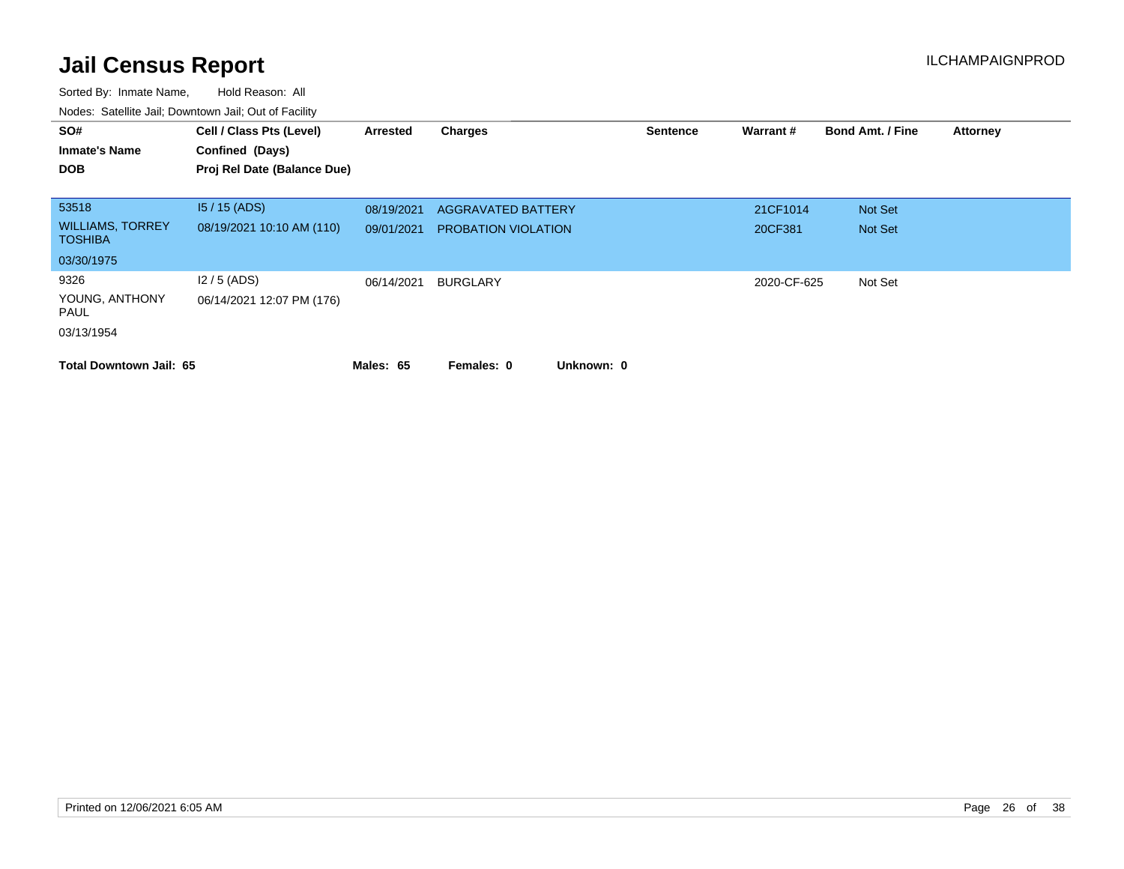| SO#<br><b>Inmate's Name</b><br><b>DOB</b> | Cell / Class Pts (Level)<br>Confined (Days)<br>Proj Rel Date (Balance Due) | Arrested   | <b>Charges</b>             | <b>Sentence</b> | Warrant#    | <b>Bond Amt. / Fine</b> | <b>Attorney</b> |
|-------------------------------------------|----------------------------------------------------------------------------|------------|----------------------------|-----------------|-------------|-------------------------|-----------------|
| 53518                                     | $15/15$ (ADS)                                                              | 08/19/2021 | <b>AGGRAVATED BATTERY</b>  |                 | 21CF1014    | Not Set                 |                 |
| <b>WILLIAMS, TORREY</b><br><b>TOSHIBA</b> | 08/19/2021 10:10 AM (110)                                                  | 09/01/2021 | <b>PROBATION VIOLATION</b> |                 | 20CF381     | Not Set                 |                 |
| 03/30/1975                                |                                                                            |            |                            |                 |             |                         |                 |
| 9326                                      | $12/5$ (ADS)                                                               | 06/14/2021 | BURGLARY                   |                 | 2020-CF-625 | Not Set                 |                 |
| YOUNG, ANTHONY<br>PAUL                    | 06/14/2021 12:07 PM (176)                                                  |            |                            |                 |             |                         |                 |
| 03/13/1954                                |                                                                            |            |                            |                 |             |                         |                 |
| <b>Total Downtown Jail: 65</b>            |                                                                            | Males: 65  | Unknown: 0<br>Females: 0   |                 |             |                         |                 |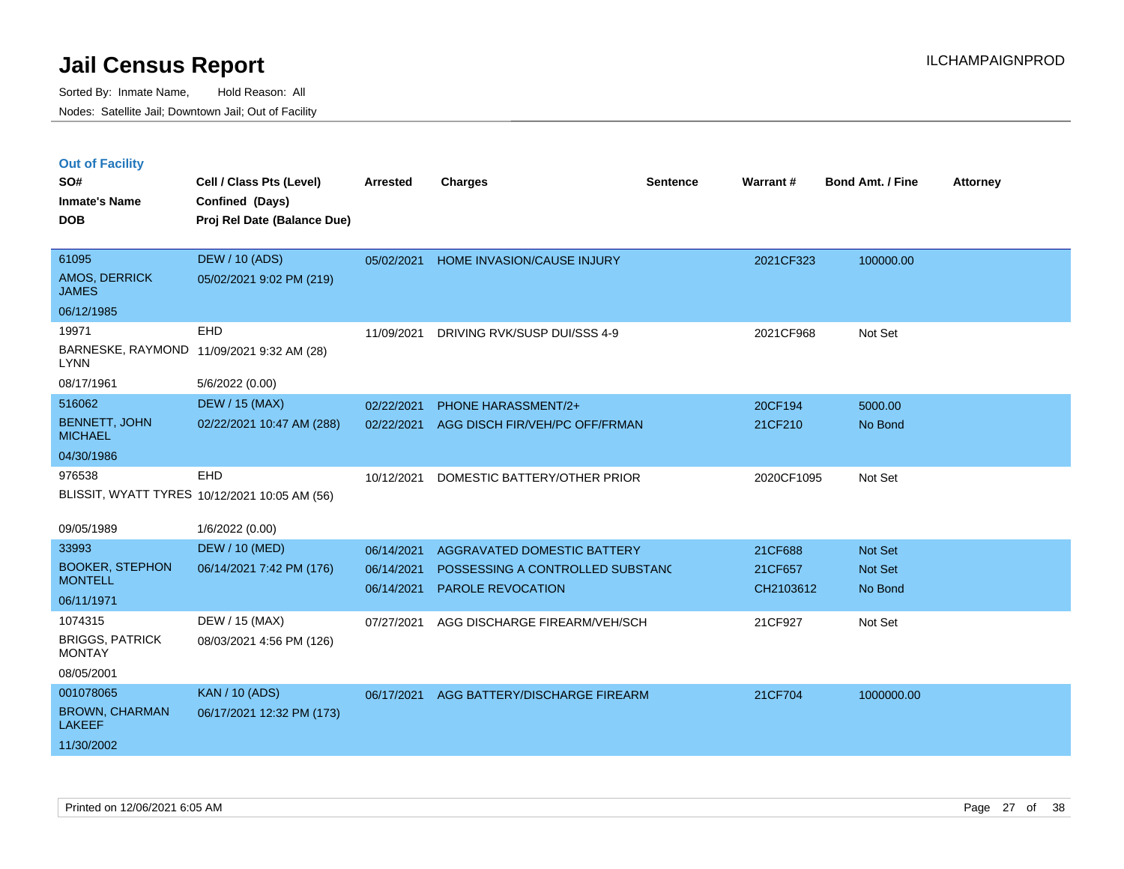|  | <b>Out of Facility</b> |  |
|--|------------------------|--|

| SO#<br><b>Inmate's Name</b>             | Cell / Class Pts (Level)<br>Confined (Days)   | <b>Arrested</b> | <b>Charges</b>                   | <b>Sentence</b> | <b>Warrant#</b> | <b>Bond Amt. / Fine</b> | <b>Attorney</b> |
|-----------------------------------------|-----------------------------------------------|-----------------|----------------------------------|-----------------|-----------------|-------------------------|-----------------|
| <b>DOB</b>                              | Proj Rel Date (Balance Due)                   |                 |                                  |                 |                 |                         |                 |
| 61095                                   | <b>DEW / 10 (ADS)</b>                         | 05/02/2021      | HOME INVASION/CAUSE INJURY       |                 | 2021CF323       | 100000.00               |                 |
| AMOS, DERRICK<br><b>JAMES</b>           | 05/02/2021 9:02 PM (219)                      |                 |                                  |                 |                 |                         |                 |
| 06/12/1985                              |                                               |                 |                                  |                 |                 |                         |                 |
| 19971                                   | EHD                                           | 11/09/2021      | DRIVING RVK/SUSP DUI/SSS 4-9     |                 | 2021CF968       | Not Set                 |                 |
| <b>LYNN</b>                             | BARNESKE, RAYMOND 11/09/2021 9:32 AM (28)     |                 |                                  |                 |                 |                         |                 |
| 08/17/1961                              | 5/6/2022 (0.00)                               |                 |                                  |                 |                 |                         |                 |
| 516062                                  | <b>DEW / 15 (MAX)</b>                         | 02/22/2021      | PHONE HARASSMENT/2+              |                 | 20CF194         | 5000.00                 |                 |
| <b>BENNETT, JOHN</b><br><b>MICHAEL</b>  | 02/22/2021 10:47 AM (288)                     | 02/22/2021      | AGG DISCH FIR/VEH/PC OFF/FRMAN   |                 | 21CF210         | No Bond                 |                 |
| 04/30/1986                              |                                               |                 |                                  |                 |                 |                         |                 |
| 976538                                  | EHD                                           | 10/12/2021      | DOMESTIC BATTERY/OTHER PRIOR     |                 | 2020CF1095      | Not Set                 |                 |
|                                         | BLISSIT, WYATT TYRES 10/12/2021 10:05 AM (56) |                 |                                  |                 |                 |                         |                 |
| 09/05/1989                              | 1/6/2022 (0.00)                               |                 |                                  |                 |                 |                         |                 |
| 33993                                   | <b>DEW / 10 (MED)</b>                         | 06/14/2021      | AGGRAVATED DOMESTIC BATTERY      |                 | 21CF688         | Not Set                 |                 |
| <b>BOOKER, STEPHON</b>                  | 06/14/2021 7:42 PM (176)                      | 06/14/2021      | POSSESSING A CONTROLLED SUBSTANC |                 | 21CF657         | Not Set                 |                 |
| <b>MONTELL</b>                          |                                               | 06/14/2021      | <b>PAROLE REVOCATION</b>         |                 | CH2103612       | No Bond                 |                 |
| 06/11/1971                              |                                               |                 |                                  |                 |                 |                         |                 |
| 1074315                                 | DEW / 15 (MAX)                                | 07/27/2021      | AGG DISCHARGE FIREARM/VEH/SCH    |                 | 21CF927         | Not Set                 |                 |
| <b>BRIGGS, PATRICK</b><br><b>MONTAY</b> | 08/03/2021 4:56 PM (126)                      |                 |                                  |                 |                 |                         |                 |
| 08/05/2001                              |                                               |                 |                                  |                 |                 |                         |                 |
| 001078065                               | <b>KAN / 10 (ADS)</b>                         | 06/17/2021      | AGG BATTERY/DISCHARGE FIREARM    |                 | 21CF704         | 1000000.00              |                 |
| <b>BROWN, CHARMAN</b><br><b>LAKEEF</b>  | 06/17/2021 12:32 PM (173)                     |                 |                                  |                 |                 |                         |                 |
| 11/30/2002                              |                                               |                 |                                  |                 |                 |                         |                 |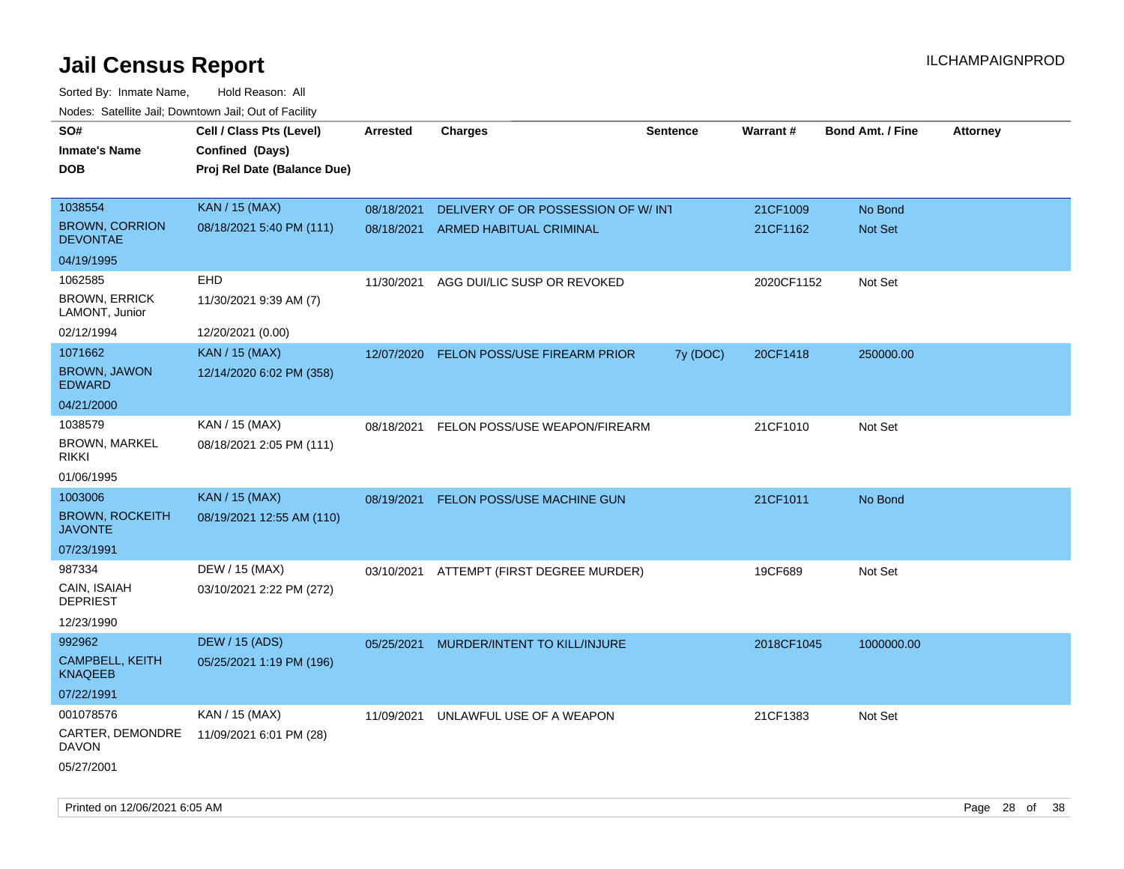| SO#<br><b>Inmate's Name</b><br>DOB       | Cell / Class Pts (Level)<br>Confined (Days)<br>Proj Rel Date (Balance Due) | Arrested   | <b>Charges</b>                           | <b>Sentence</b> | <b>Warrant#</b> | <b>Bond Amt. / Fine</b> | <b>Attorney</b> |
|------------------------------------------|----------------------------------------------------------------------------|------------|------------------------------------------|-----------------|-----------------|-------------------------|-----------------|
| 1038554                                  | <b>KAN / 15 (MAX)</b>                                                      | 08/18/2021 | DELIVERY OF OR POSSESSION OF W/ INT      |                 | 21CF1009        | No Bond                 |                 |
| <b>BROWN, CORRION</b><br><b>DEVONTAE</b> | 08/18/2021 5:40 PM (111)                                                   | 08/18/2021 | <b>ARMED HABITUAL CRIMINAL</b>           |                 | 21CF1162        | Not Set                 |                 |
| 04/19/1995                               |                                                                            |            |                                          |                 |                 |                         |                 |
| 1062585                                  | <b>EHD</b>                                                                 | 11/30/2021 | AGG DUI/LIC SUSP OR REVOKED              |                 | 2020CF1152      | Not Set                 |                 |
| <b>BROWN, ERRICK</b><br>LAMONT, Junior   | 11/30/2021 9:39 AM (7)                                                     |            |                                          |                 |                 |                         |                 |
| 02/12/1994                               | 12/20/2021 (0.00)                                                          |            |                                          |                 |                 |                         |                 |
| 1071662                                  | <b>KAN / 15 (MAX)</b>                                                      | 12/07/2020 | FELON POSS/USE FIREARM PRIOR             | 7y (DOC)        | 20CF1418        | 250000.00               |                 |
| <b>BROWN, JAWON</b><br><b>EDWARD</b>     | 12/14/2020 6:02 PM (358)                                                   |            |                                          |                 |                 |                         |                 |
| 04/21/2000                               |                                                                            |            |                                          |                 |                 |                         |                 |
| 1038579                                  | KAN / 15 (MAX)                                                             | 08/18/2021 | FELON POSS/USE WEAPON/FIREARM            |                 | 21CF1010        | Not Set                 |                 |
| <b>BROWN, MARKEL</b><br>rikki            | 08/18/2021 2:05 PM (111)                                                   |            |                                          |                 |                 |                         |                 |
| 01/06/1995                               |                                                                            |            |                                          |                 |                 |                         |                 |
| 1003006                                  | <b>KAN / 15 (MAX)</b>                                                      | 08/19/2021 | FELON POSS/USE MACHINE GUN               |                 | 21CF1011        | No Bond                 |                 |
| <b>BROWN, ROCKEITH</b><br><b>JAVONTE</b> | 08/19/2021 12:55 AM (110)                                                  |            |                                          |                 |                 |                         |                 |
| 07/23/1991                               |                                                                            |            |                                          |                 |                 |                         |                 |
| 987334                                   | DEW / 15 (MAX)                                                             |            | 03/10/2021 ATTEMPT (FIRST DEGREE MURDER) |                 | 19CF689         | Not Set                 |                 |
| CAIN, ISAIAH<br><b>DEPRIEST</b>          | 03/10/2021 2:22 PM (272)                                                   |            |                                          |                 |                 |                         |                 |
| 12/23/1990                               |                                                                            |            |                                          |                 |                 |                         |                 |
| 992962                                   | <b>DEW / 15 (ADS)</b>                                                      | 05/25/2021 | MURDER/INTENT TO KILL/INJURE             |                 | 2018CF1045      | 1000000.00              |                 |
| CAMPBELL, KEITH<br>KNAQEEB               | 05/25/2021 1:19 PM (196)                                                   |            |                                          |                 |                 |                         |                 |
| 07/22/1991                               |                                                                            |            |                                          |                 |                 |                         |                 |
| 001078576                                | KAN / 15 (MAX)                                                             | 11/09/2021 | UNLAWFUL USE OF A WEAPON                 |                 | 21CF1383        | Not Set                 |                 |
| CARTER, DEMONDRE<br><b>DAVON</b>         | 11/09/2021 6:01 PM (28)                                                    |            |                                          |                 |                 |                         |                 |
| 05/27/2001                               |                                                                            |            |                                          |                 |                 |                         |                 |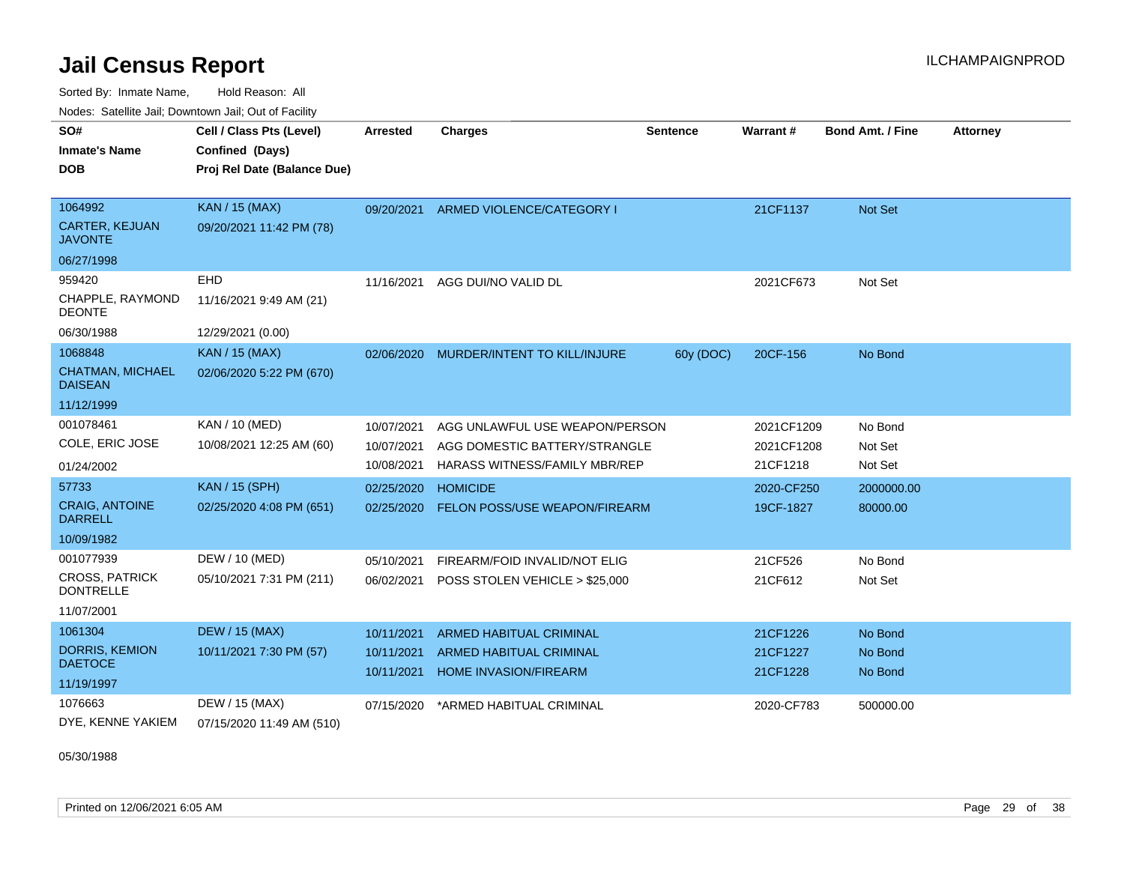Sorted By: Inmate Name, Hold Reason: All Nodes: Satellite Jail; Downtown Jail; Out of Facility

| SO#                                       | Cell / Class Pts (Level)    | <b>Arrested</b> | <b>Charges</b>                 | <b>Sentence</b> | <b>Warrant#</b> | <b>Bond Amt. / Fine</b> | <b>Attorney</b> |
|-------------------------------------------|-----------------------------|-----------------|--------------------------------|-----------------|-----------------|-------------------------|-----------------|
| <b>Inmate's Name</b>                      | Confined (Days)             |                 |                                |                 |                 |                         |                 |
| DOB                                       | Proj Rel Date (Balance Due) |                 |                                |                 |                 |                         |                 |
|                                           |                             |                 |                                |                 |                 |                         |                 |
| 1064992                                   | <b>KAN / 15 (MAX)</b>       | 09/20/2021      | ARMED VIOLENCE/CATEGORY I      |                 | 21CF1137        | Not Set                 |                 |
| <b>CARTER, KEJUAN</b><br><b>JAVONTE</b>   | 09/20/2021 11:42 PM (78)    |                 |                                |                 |                 |                         |                 |
| 06/27/1998                                |                             |                 |                                |                 |                 |                         |                 |
| 959420                                    | EHD                         | 11/16/2021      | AGG DUI/NO VALID DL            |                 | 2021CF673       | Not Set                 |                 |
| CHAPPLE, RAYMOND<br><b>DEONTE</b>         | 11/16/2021 9:49 AM (21)     |                 |                                |                 |                 |                         |                 |
| 06/30/1988                                | 12/29/2021 (0.00)           |                 |                                |                 |                 |                         |                 |
| 1068848                                   | <b>KAN / 15 (MAX)</b>       | 02/06/2020      | MURDER/INTENT TO KILL/INJURE   | 60y (DOC)       | 20CF-156        | No Bond                 |                 |
| <b>CHATMAN, MICHAEL</b><br><b>DAISEAN</b> | 02/06/2020 5:22 PM (670)    |                 |                                |                 |                 |                         |                 |
| 11/12/1999                                |                             |                 |                                |                 |                 |                         |                 |
| 001078461                                 | KAN / 10 (MED)              | 10/07/2021      | AGG UNLAWFUL USE WEAPON/PERSON |                 | 2021CF1209      | No Bond                 |                 |
| COLE, ERIC JOSE                           | 10/08/2021 12:25 AM (60)    | 10/07/2021      | AGG DOMESTIC BATTERY/STRANGLE  |                 | 2021CF1208      | Not Set                 |                 |
| 01/24/2002                                |                             | 10/08/2021      | HARASS WITNESS/FAMILY MBR/REP  |                 | 21CF1218        | Not Set                 |                 |
| 57733                                     | <b>KAN / 15 (SPH)</b>       | 02/25/2020      | <b>HOMICIDE</b>                |                 | 2020-CF250      | 2000000.00              |                 |
| <b>CRAIG, ANTOINE</b><br><b>DARRELL</b>   | 02/25/2020 4:08 PM (651)    | 02/25/2020      | FELON POSS/USE WEAPON/FIREARM  |                 | 19CF-1827       | 80000.00                |                 |
| 10/09/1982                                |                             |                 |                                |                 |                 |                         |                 |
| 001077939                                 | DEW / 10 (MED)              | 05/10/2021      | FIREARM/FOID INVALID/NOT ELIG  |                 | 21CF526         | No Bond                 |                 |
| <b>CROSS, PATRICK</b><br><b>DONTRELLE</b> | 05/10/2021 7:31 PM (211)    | 06/02/2021      | POSS STOLEN VEHICLE > \$25,000 |                 | 21CF612         | Not Set                 |                 |
| 11/07/2001                                |                             |                 |                                |                 |                 |                         |                 |
| 1061304                                   | <b>DEW / 15 (MAX)</b>       | 10/11/2021      | <b>ARMED HABITUAL CRIMINAL</b> |                 | 21CF1226        | No Bond                 |                 |
| <b>DORRIS, KEMION</b>                     | 10/11/2021 7:30 PM (57)     | 10/11/2021      | <b>ARMED HABITUAL CRIMINAL</b> |                 | 21CF1227        | No Bond                 |                 |
| <b>DAETOCE</b>                            |                             | 10/11/2021      | <b>HOME INVASION/FIREARM</b>   |                 | 21CF1228        | No Bond                 |                 |
| 11/19/1997                                |                             |                 |                                |                 |                 |                         |                 |
| 1076663                                   | DEW / 15 (MAX)              | 07/15/2020      | *ARMED HABITUAL CRIMINAL       |                 | 2020-CF783      | 500000.00               |                 |
| DYE, KENNE YAKIEM                         | 07/15/2020 11:49 AM (510)   |                 |                                |                 |                 |                         |                 |

05/30/1988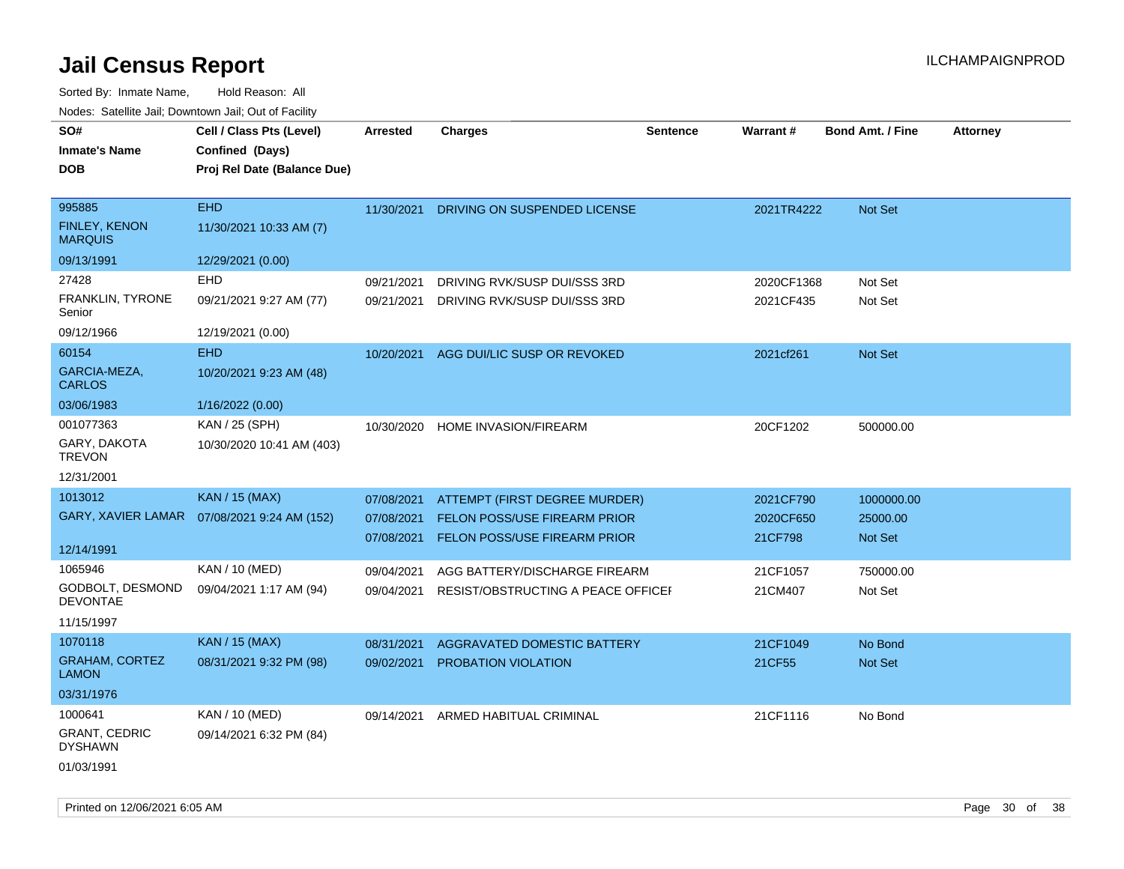| SO#<br><b>Inmate's Name</b><br>DOB               | Cell / Class Pts (Level)<br>Confined (Days)<br>Proj Rel Date (Balance Due) | <b>Arrested</b>                        | <b>Charges</b>                                                                                       | <b>Sentence</b> | Warrant#                          | <b>Bond Amt. / Fine</b>           | <b>Attorney</b> |
|--------------------------------------------------|----------------------------------------------------------------------------|----------------------------------------|------------------------------------------------------------------------------------------------------|-----------------|-----------------------------------|-----------------------------------|-----------------|
| 995885<br><b>FINLEY, KENON</b><br><b>MARQUIS</b> | <b>EHD</b><br>11/30/2021 10:33 AM (7)                                      | 11/30/2021                             | DRIVING ON SUSPENDED LICENSE                                                                         |                 | 2021TR4222                        | Not Set                           |                 |
| 09/13/1991                                       | 12/29/2021 (0.00)                                                          |                                        |                                                                                                      |                 |                                   |                                   |                 |
| 27428<br>FRANKLIN, TYRONE                        | EHD<br>09/21/2021 9:27 AM (77)                                             | 09/21/2021<br>09/21/2021               | DRIVING RVK/SUSP DUI/SSS 3RD<br>DRIVING RVK/SUSP DUI/SSS 3RD                                         |                 | 2020CF1368<br>2021CF435           | Not Set<br>Not Set                |                 |
| Senior<br>09/12/1966                             | 12/19/2021 (0.00)                                                          |                                        |                                                                                                      |                 |                                   |                                   |                 |
| 60154<br>GARCIA-MEZA,<br><b>CARLOS</b>           | <b>EHD</b><br>10/20/2021 9:23 AM (48)                                      | 10/20/2021                             | AGG DUI/LIC SUSP OR REVOKED                                                                          |                 | 2021cf261                         | Not Set                           |                 |
| 03/06/1983                                       | 1/16/2022 (0.00)                                                           |                                        |                                                                                                      |                 |                                   |                                   |                 |
| 001077363<br>GARY, DAKOTA<br><b>TREVON</b>       | KAN / 25 (SPH)<br>10/30/2020 10:41 AM (403)                                | 10/30/2020                             | HOME INVASION/FIREARM                                                                                |                 | 20CF1202                          | 500000.00                         |                 |
| 12/31/2001                                       |                                                                            |                                        |                                                                                                      |                 |                                   |                                   |                 |
| 1013012<br>12/14/1991                            | <b>KAN / 15 (MAX)</b><br>GARY, XAVIER LAMAR  07/08/2021 9:24 AM (152)      | 07/08/2021<br>07/08/2021<br>07/08/2021 | ATTEMPT (FIRST DEGREE MURDER)<br><b>FELON POSS/USE FIREARM PRIOR</b><br>FELON POSS/USE FIREARM PRIOR |                 | 2021CF790<br>2020CF650<br>21CF798 | 1000000.00<br>25000.00<br>Not Set |                 |
| 1065946                                          | KAN / 10 (MED)                                                             | 09/04/2021                             | AGG BATTERY/DISCHARGE FIREARM                                                                        |                 | 21CF1057                          | 750000.00                         |                 |
| GODBOLT, DESMOND<br><b>DEVONTAE</b>              | 09/04/2021 1:17 AM (94)                                                    | 09/04/2021                             | RESIST/OBSTRUCTING A PEACE OFFICEF                                                                   |                 | 21CM407                           | Not Set                           |                 |
| 11/15/1997                                       |                                                                            |                                        |                                                                                                      |                 |                                   |                                   |                 |
| 1070118                                          | <b>KAN / 15 (MAX)</b>                                                      | 08/31/2021                             | <b>AGGRAVATED DOMESTIC BATTERY</b>                                                                   |                 | 21CF1049                          | No Bond                           |                 |
| <b>GRAHAM, CORTEZ</b><br><b>LAMON</b>            | 08/31/2021 9:32 PM (98)                                                    | 09/02/2021                             | PROBATION VIOLATION                                                                                  |                 | 21CF55                            | Not Set                           |                 |
| 03/31/1976                                       |                                                                            |                                        |                                                                                                      |                 |                                   |                                   |                 |
| 1000641                                          | <b>KAN / 10 (MED)</b>                                                      | 09/14/2021                             | ARMED HABITUAL CRIMINAL                                                                              |                 | 21CF1116                          | No Bond                           |                 |
| <b>GRANT, CEDRIC</b><br>DYSHAWN                  | 09/14/2021 6:32 PM (84)                                                    |                                        |                                                                                                      |                 |                                   |                                   |                 |
| 01/03/1991                                       |                                                                            |                                        |                                                                                                      |                 |                                   |                                   |                 |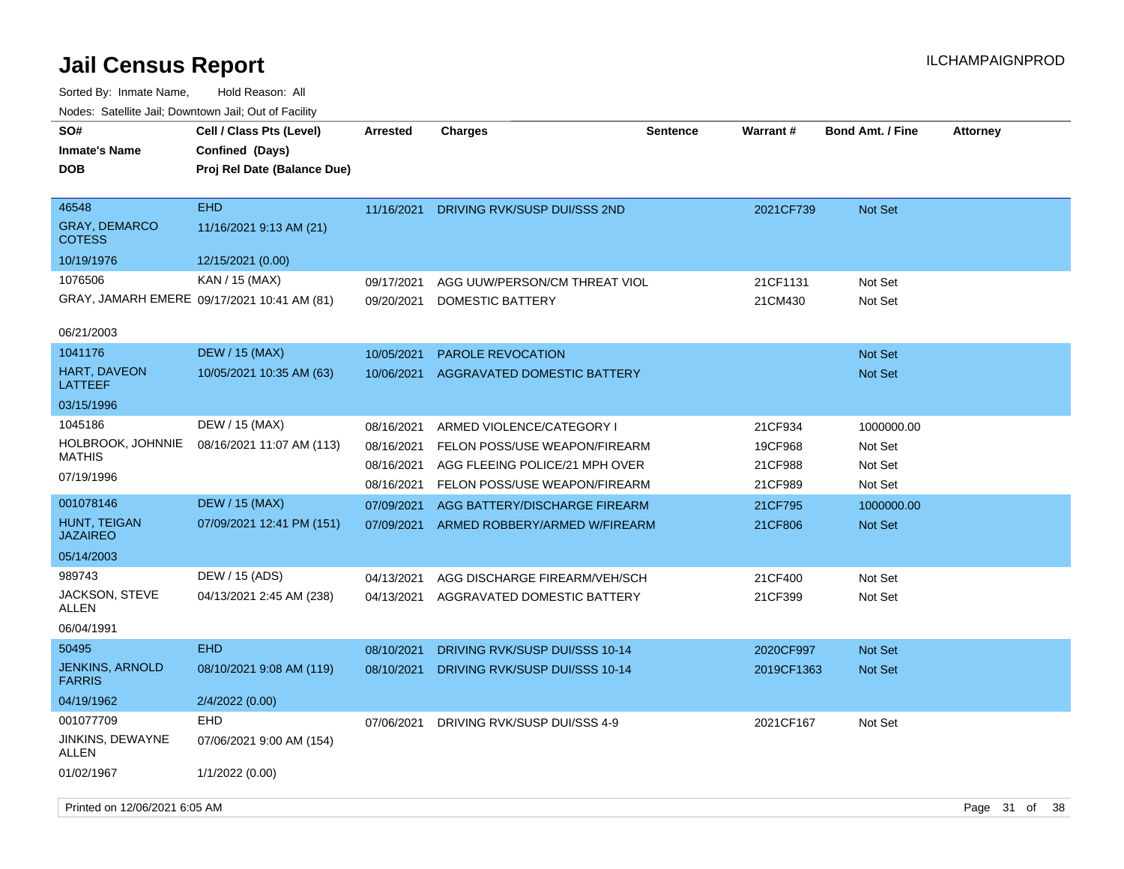| SO#<br><b>Inmate's Name</b>                    | Cell / Class Pts (Level)<br>Confined (Days) | <b>Arrested</b>          | <b>Charges</b>                                                  | <b>Sentence</b> | <b>Warrant#</b>    | <b>Bond Amt. / Fine</b> | <b>Attorney</b> |      |
|------------------------------------------------|---------------------------------------------|--------------------------|-----------------------------------------------------------------|-----------------|--------------------|-------------------------|-----------------|------|
| <b>DOB</b>                                     | Proj Rel Date (Balance Due)                 |                          |                                                                 |                 |                    |                         |                 |      |
| 46548<br><b>GRAY, DEMARCO</b><br><b>COTESS</b> | <b>EHD</b><br>11/16/2021 9:13 AM (21)       | 11/16/2021               | DRIVING RVK/SUSP DUI/SSS 2ND                                    |                 | 2021CF739          | <b>Not Set</b>          |                 |      |
| 10/19/1976                                     | 12/15/2021 (0.00)                           |                          |                                                                 |                 |                    |                         |                 |      |
| 1076506                                        | KAN / 15 (MAX)                              | 09/17/2021               | AGG UUW/PERSON/CM THREAT VIOL                                   |                 | 21CF1131           | Not Set                 |                 |      |
|                                                | GRAY, JAMARH EMERE 09/17/2021 10:41 AM (81) | 09/20/2021               | DOMESTIC BATTERY                                                |                 | 21CM430            | Not Set                 |                 |      |
| 06/21/2003                                     |                                             |                          |                                                                 |                 |                    |                         |                 |      |
| 1041176                                        | <b>DEW / 15 (MAX)</b>                       | 10/05/2021               | <b>PAROLE REVOCATION</b>                                        |                 |                    | <b>Not Set</b>          |                 |      |
| <b>HART, DAVEON</b><br>LATTEEF                 | 10/05/2021 10:35 AM (63)                    | 10/06/2021               | AGGRAVATED DOMESTIC BATTERY                                     |                 |                    | <b>Not Set</b>          |                 |      |
| 03/15/1996                                     |                                             |                          |                                                                 |                 |                    |                         |                 |      |
| 1045186                                        | DEW / 15 (MAX)                              | 08/16/2021               | ARMED VIOLENCE/CATEGORY I                                       |                 | 21CF934            | 1000000.00              |                 |      |
| HOLBROOK, JOHNNIE<br>MATHIS                    | 08/16/2021 11:07 AM (113)                   | 08/16/2021<br>08/16/2021 | FELON POSS/USE WEAPON/FIREARM<br>AGG FLEEING POLICE/21 MPH OVER |                 | 19CF968            | Not Set                 |                 |      |
| 07/19/1996                                     |                                             | 08/16/2021               | FELON POSS/USE WEAPON/FIREARM                                   |                 | 21CF988<br>21CF989 | Not Set<br>Not Set      |                 |      |
| 001078146                                      | <b>DEW / 15 (MAX)</b>                       | 07/09/2021               | AGG BATTERY/DISCHARGE FIREARM                                   |                 | 21CF795            | 1000000.00              |                 |      |
| HUNT, TEIGAN<br><b>JAZAIREO</b>                | 07/09/2021 12:41 PM (151)                   | 07/09/2021               | ARMED ROBBERY/ARMED W/FIREARM                                   |                 | 21CF806            | Not Set                 |                 |      |
| 05/14/2003                                     |                                             |                          |                                                                 |                 |                    |                         |                 |      |
| 989743                                         | DEW / 15 (ADS)                              | 04/13/2021               | AGG DISCHARGE FIREARM/VEH/SCH                                   |                 | 21CF400            | Not Set                 |                 |      |
| JACKSON, STEVE<br>ALLEN                        | 04/13/2021 2:45 AM (238)                    | 04/13/2021               | AGGRAVATED DOMESTIC BATTERY                                     |                 | 21CF399            | Not Set                 |                 |      |
| 06/04/1991                                     |                                             |                          |                                                                 |                 |                    |                         |                 |      |
| 50495                                          | <b>EHD</b>                                  | 08/10/2021               | DRIVING RVK/SUSP DUI/SSS 10-14                                  |                 | 2020CF997          | <b>Not Set</b>          |                 |      |
| <b>JENKINS, ARNOLD</b><br><b>FARRIS</b>        | 08/10/2021 9:08 AM (119)                    | 08/10/2021               | DRIVING RVK/SUSP DUI/SSS 10-14                                  |                 | 2019CF1363         | <b>Not Set</b>          |                 |      |
| 04/19/1962                                     | 2/4/2022 (0.00)                             |                          |                                                                 |                 |                    |                         |                 |      |
| 001077709                                      | EHD                                         | 07/06/2021               | DRIVING RVK/SUSP DUI/SSS 4-9                                    |                 | 2021CF167          | Not Set                 |                 |      |
| JINKINS, DEWAYNE<br><b>ALLEN</b>               | 07/06/2021 9:00 AM (154)                    |                          |                                                                 |                 |                    |                         |                 |      |
| 01/02/1967                                     | 1/1/2022 (0.00)                             |                          |                                                                 |                 |                    |                         |                 |      |
| Printed on 12/06/2021 6:05 AM                  |                                             |                          |                                                                 |                 |                    |                         | Page 31 of      | - 38 |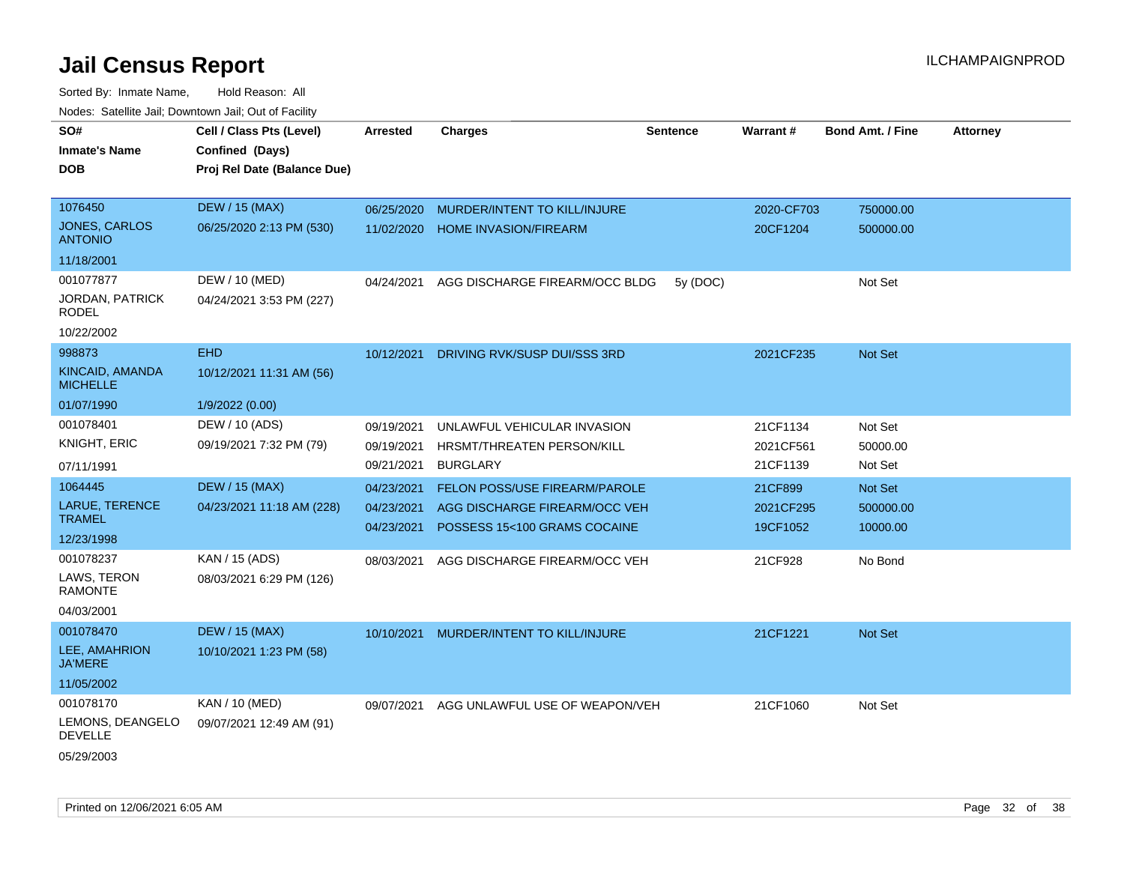| SO#<br><b>Inmate's Name</b><br>DOB                              | Cell / Class Pts (Level)<br>Confined (Days)<br>Proj Rel Date (Balance Due) | <b>Arrested</b>                        | <b>Charges</b>                                                                                        | <b>Sentence</b> | <b>Warrant#</b>                   | <b>Bond Amt. / Fine</b>          | <b>Attorney</b> |
|-----------------------------------------------------------------|----------------------------------------------------------------------------|----------------------------------------|-------------------------------------------------------------------------------------------------------|-----------------|-----------------------------------|----------------------------------|-----------------|
| 1076450<br><b>JONES, CARLOS</b><br><b>ANTONIO</b><br>11/18/2001 | <b>DEW / 15 (MAX)</b><br>06/25/2020 2:13 PM (530)                          | 06/25/2020<br>11/02/2020               | MURDER/INTENT TO KILL/INJURE<br><b>HOME INVASION/FIREARM</b>                                          |                 | 2020-CF703<br>20CF1204            | 750000.00<br>500000.00           |                 |
| 001077877<br>JORDAN, PATRICK<br><b>RODEL</b><br>10/22/2002      | DEW / 10 (MED)<br>04/24/2021 3:53 PM (227)                                 | 04/24/2021                             | AGG DISCHARGE FIREARM/OCC BLDG                                                                        | 5y (DOC)        |                                   | Not Set                          |                 |
| 998873<br>KINCAID, AMANDA<br><b>MICHELLE</b><br>01/07/1990      | <b>EHD</b><br>10/12/2021 11:31 AM (56)<br>1/9/2022 (0.00)                  | 10/12/2021                             | DRIVING RVK/SUSP DUI/SSS 3RD                                                                          |                 | 2021CF235                         | Not Set                          |                 |
| 001078401<br>KNIGHT, ERIC<br>07/11/1991                         | DEW / 10 (ADS)<br>09/19/2021 7:32 PM (79)                                  | 09/19/2021<br>09/19/2021<br>09/21/2021 | UNLAWFUL VEHICULAR INVASION<br>HRSMT/THREATEN PERSON/KILL<br><b>BURGLARY</b>                          |                 | 21CF1134<br>2021CF561<br>21CF1139 | Not Set<br>50000.00<br>Not Set   |                 |
| 1064445<br>LARUE, TERENCE<br><b>TRAMEL</b><br>12/23/1998        | <b>DEW / 15 (MAX)</b><br>04/23/2021 11:18 AM (228)                         | 04/23/2021<br>04/23/2021<br>04/23/2021 | <b>FELON POSS/USE FIREARM/PAROLE</b><br>AGG DISCHARGE FIREARM/OCC VEH<br>POSSESS 15<100 GRAMS COCAINE |                 | 21CF899<br>2021CF295<br>19CF1052  | Not Set<br>500000.00<br>10000.00 |                 |
| 001078237<br>LAWS, TERON<br><b>RAMONTE</b><br>04/03/2001        | KAN / 15 (ADS)<br>08/03/2021 6:29 PM (126)                                 | 08/03/2021                             | AGG DISCHARGE FIREARM/OCC VEH                                                                         |                 | 21CF928                           | No Bond                          |                 |
| 001078470<br>LEE, AMAHRION<br><b>JA'MERE</b><br>11/05/2002      | <b>DEW / 15 (MAX)</b><br>10/10/2021 1:23 PM (58)                           | 10/10/2021                             | MURDER/INTENT TO KILL/INJURE                                                                          |                 | 21CF1221                          | Not Set                          |                 |
| 001078170<br>LEMONS, DEANGELO<br><b>DEVELLE</b><br>05/29/2003   | KAN / 10 (MED)<br>09/07/2021 12:49 AM (91)                                 | 09/07/2021                             | AGG UNLAWFUL USE OF WEAPON/VEH                                                                        |                 | 21CF1060                          | Not Set                          |                 |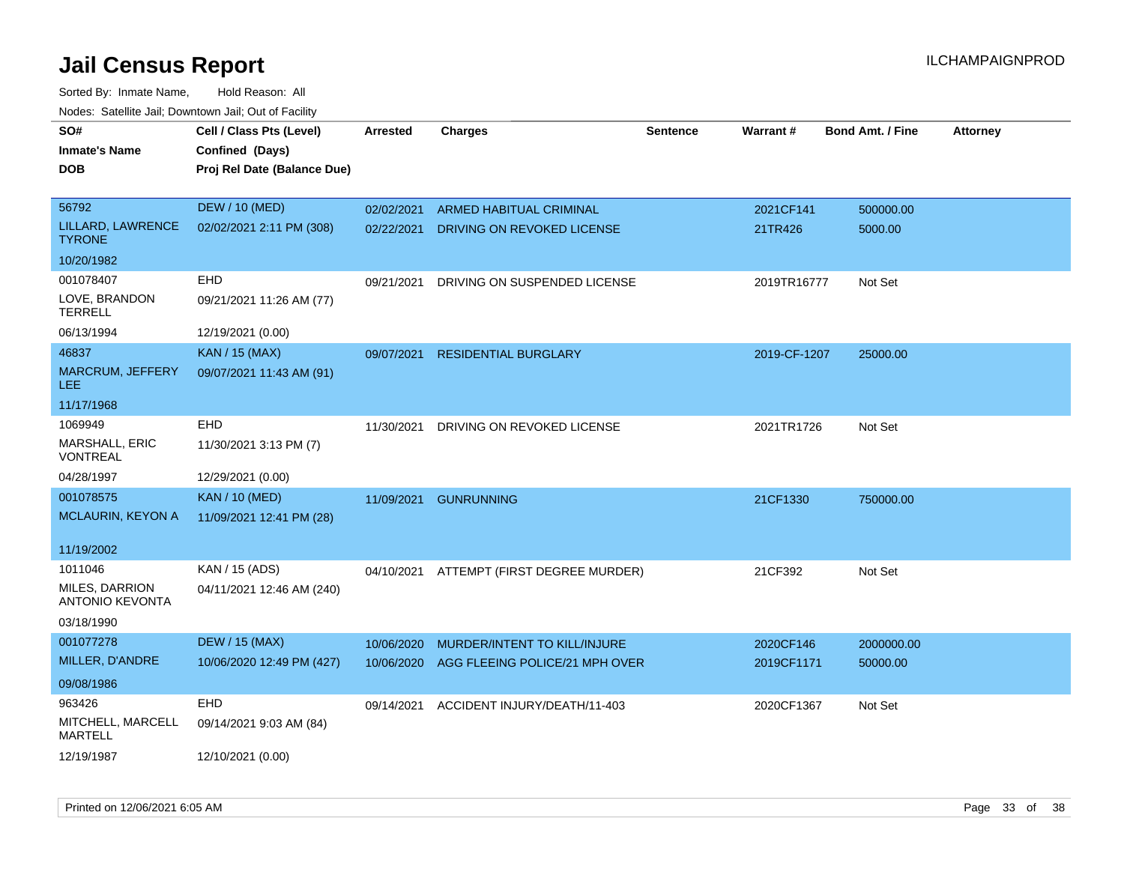| SO#<br><b>Inmate's Name</b><br><b>DOB</b> | Cell / Class Pts (Level)<br>Confined (Days)<br>Proj Rel Date (Balance Due) | <b>Arrested</b> | <b>Charges</b>                 | <b>Sentence</b> | Warrant#     | <b>Bond Amt. / Fine</b> | <b>Attorney</b> |
|-------------------------------------------|----------------------------------------------------------------------------|-----------------|--------------------------------|-----------------|--------------|-------------------------|-----------------|
| 56792                                     | <b>DEW / 10 (MED)</b>                                                      | 02/02/2021      | ARMED HABITUAL CRIMINAL        |                 | 2021CF141    | 500000.00               |                 |
| LILLARD, LAWRENCE<br><b>TYRONE</b>        | 02/02/2021 2:11 PM (308)                                                   | 02/22/2021      | DRIVING ON REVOKED LICENSE     |                 | 21TR426      | 5000.00                 |                 |
| 10/20/1982                                |                                                                            |                 |                                |                 |              |                         |                 |
| 001078407                                 | EHD                                                                        | 09/21/2021      | DRIVING ON SUSPENDED LICENSE   |                 | 2019TR16777  | Not Set                 |                 |
| LOVE, BRANDON<br><b>TERRELL</b>           | 09/21/2021 11:26 AM (77)                                                   |                 |                                |                 |              |                         |                 |
| 06/13/1994                                | 12/19/2021 (0.00)                                                          |                 |                                |                 |              |                         |                 |
| 46837                                     | <b>KAN / 15 (MAX)</b>                                                      | 09/07/2021      | <b>RESIDENTIAL BURGLARY</b>    |                 | 2019-CF-1207 | 25000.00                |                 |
| MARCRUM, JEFFERY<br>LEE.                  | 09/07/2021 11:43 AM (91)                                                   |                 |                                |                 |              |                         |                 |
| 11/17/1968                                |                                                                            |                 |                                |                 |              |                         |                 |
| 1069949                                   | <b>EHD</b>                                                                 | 11/30/2021      | DRIVING ON REVOKED LICENSE     |                 | 2021TR1726   | Not Set                 |                 |
| MARSHALL, ERIC<br><b>VONTREAL</b>         | 11/30/2021 3:13 PM (7)                                                     |                 |                                |                 |              |                         |                 |
| 04/28/1997                                | 12/29/2021 (0.00)                                                          |                 |                                |                 |              |                         |                 |
| 001078575                                 | <b>KAN / 10 (MED)</b>                                                      | 11/09/2021      | <b>GUNRUNNING</b>              |                 | 21CF1330     | 750000.00               |                 |
| MCLAURIN, KEYON A                         | 11/09/2021 12:41 PM (28)                                                   |                 |                                |                 |              |                         |                 |
| 11/19/2002                                |                                                                            |                 |                                |                 |              |                         |                 |
| 1011046                                   | KAN / 15 (ADS)                                                             | 04/10/2021      | ATTEMPT (FIRST DEGREE MURDER)  |                 | 21CF392      | Not Set                 |                 |
| MILES, DARRION<br>ANTONIO KEVONTA         | 04/11/2021 12:46 AM (240)                                                  |                 |                                |                 |              |                         |                 |
| 03/18/1990                                |                                                                            |                 |                                |                 |              |                         |                 |
| 001077278                                 | <b>DEW / 15 (MAX)</b>                                                      | 10/06/2020      | MURDER/INTENT TO KILL/INJURE   |                 | 2020CF146    | 2000000.00              |                 |
| MILLER, D'ANDRE                           | 10/06/2020 12:49 PM (427)                                                  | 10/06/2020      | AGG FLEEING POLICE/21 MPH OVER |                 | 2019CF1171   | 50000.00                |                 |
| 09/08/1986                                |                                                                            |                 |                                |                 |              |                         |                 |
| 963426                                    | <b>EHD</b>                                                                 | 09/14/2021      | ACCIDENT INJURY/DEATH/11-403   |                 | 2020CF1367   | Not Set                 |                 |
| MITCHELL, MARCELL<br><b>MARTELL</b>       | 09/14/2021 9:03 AM (84)                                                    |                 |                                |                 |              |                         |                 |
| 12/19/1987                                | 12/10/2021 (0.00)                                                          |                 |                                |                 |              |                         |                 |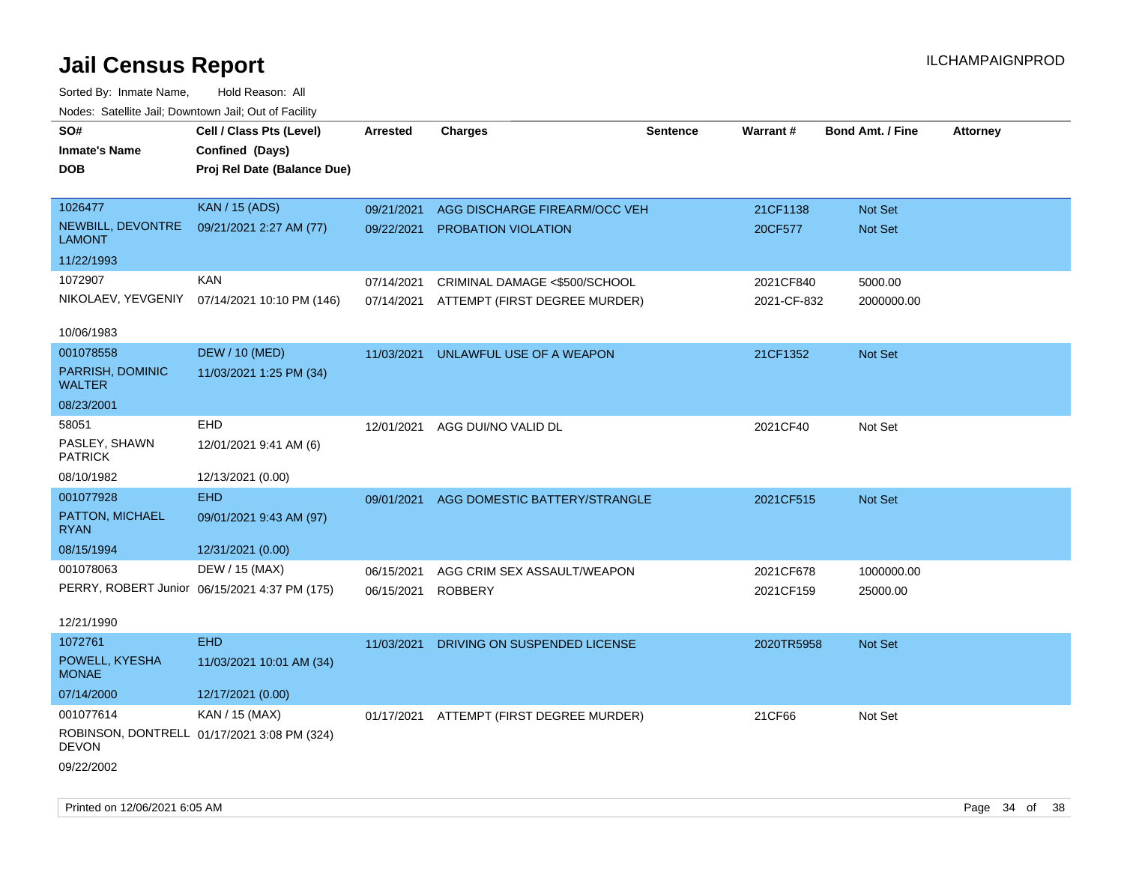| Noues. Salemie Jan, Downlown Jan, Out of Facility |                                               |                 |                                          |                 |             |                         |                 |
|---------------------------------------------------|-----------------------------------------------|-----------------|------------------------------------------|-----------------|-------------|-------------------------|-----------------|
| SO#                                               | Cell / Class Pts (Level)                      | <b>Arrested</b> | <b>Charges</b>                           | <b>Sentence</b> | Warrant#    | <b>Bond Amt. / Fine</b> | <b>Attorney</b> |
| <b>Inmate's Name</b>                              | Confined (Days)                               |                 |                                          |                 |             |                         |                 |
| <b>DOB</b>                                        | Proj Rel Date (Balance Due)                   |                 |                                          |                 |             |                         |                 |
|                                                   |                                               |                 |                                          |                 |             |                         |                 |
| 1026477                                           | <b>KAN / 15 (ADS)</b>                         | 09/21/2021      | AGG DISCHARGE FIREARM/OCC VEH            |                 | 21CF1138    | Not Set                 |                 |
| NEWBILL, DEVONTRE<br>LAMONT                       | 09/21/2021 2:27 AM (77)                       | 09/22/2021      | PROBATION VIOLATION                      |                 | 20CF577     | <b>Not Set</b>          |                 |
| 11/22/1993                                        |                                               |                 |                                          |                 |             |                         |                 |
| 1072907                                           | <b>KAN</b>                                    | 07/14/2021      | CRIMINAL DAMAGE <\$500/SCHOOL            |                 | 2021CF840   | 5000.00                 |                 |
|                                                   | NIKOLAEV, YEVGENIY 07/14/2021 10:10 PM (146)  | 07/14/2021      | ATTEMPT (FIRST DEGREE MURDER)            |                 | 2021-CF-832 | 2000000.00              |                 |
|                                                   |                                               |                 |                                          |                 |             |                         |                 |
| 10/06/1983                                        |                                               |                 |                                          |                 |             |                         |                 |
| 001078558                                         | <b>DEW / 10 (MED)</b>                         | 11/03/2021      | UNLAWFUL USE OF A WEAPON                 |                 | 21CF1352    | <b>Not Set</b>          |                 |
| PARRISH, DOMINIC<br><b>WALTER</b>                 | 11/03/2021 1:25 PM (34)                       |                 |                                          |                 |             |                         |                 |
| 08/23/2001                                        |                                               |                 |                                          |                 |             |                         |                 |
| 58051                                             | EHD                                           | 12/01/2021      | AGG DUI/NO VALID DL                      |                 | 2021CF40    | Not Set                 |                 |
| PASLEY, SHAWN<br><b>PATRICK</b>                   | 12/01/2021 9:41 AM (6)                        |                 |                                          |                 |             |                         |                 |
| 08/10/1982                                        | 12/13/2021 (0.00)                             |                 |                                          |                 |             |                         |                 |
| 001077928                                         | <b>EHD</b>                                    | 09/01/2021      | AGG DOMESTIC BATTERY/STRANGLE            |                 | 2021CF515   | Not Set                 |                 |
| PATTON, MICHAEL<br><b>RYAN</b>                    | 09/01/2021 9:43 AM (97)                       |                 |                                          |                 |             |                         |                 |
| 08/15/1994                                        | 12/31/2021 (0.00)                             |                 |                                          |                 |             |                         |                 |
| 001078063                                         | DEW / 15 (MAX)                                | 06/15/2021      | AGG CRIM SEX ASSAULT/WEAPON              |                 | 2021CF678   | 1000000.00              |                 |
|                                                   | PERRY, ROBERT Junior 06/15/2021 4:37 PM (175) | 06/15/2021      | <b>ROBBERY</b>                           |                 | 2021CF159   | 25000.00                |                 |
|                                                   |                                               |                 |                                          |                 |             |                         |                 |
| 12/21/1990                                        |                                               |                 |                                          |                 |             |                         |                 |
| 1072761                                           | <b>EHD</b>                                    | 11/03/2021      | DRIVING ON SUSPENDED LICENSE             |                 | 2020TR5958  | <b>Not Set</b>          |                 |
| POWELL, KYESHA<br><b>MONAE</b>                    | 11/03/2021 10:01 AM (34)                      |                 |                                          |                 |             |                         |                 |
| 07/14/2000                                        | 12/17/2021 (0.00)                             |                 |                                          |                 |             |                         |                 |
| 001077614                                         | KAN / 15 (MAX)                                |                 | 01/17/2021 ATTEMPT (FIRST DEGREE MURDER) |                 | 21CF66      | Not Set                 |                 |
| DEVON                                             | ROBINSON, DONTRELL 01/17/2021 3:08 PM (324)   |                 |                                          |                 |             |                         |                 |
| 09/22/2002                                        |                                               |                 |                                          |                 |             |                         |                 |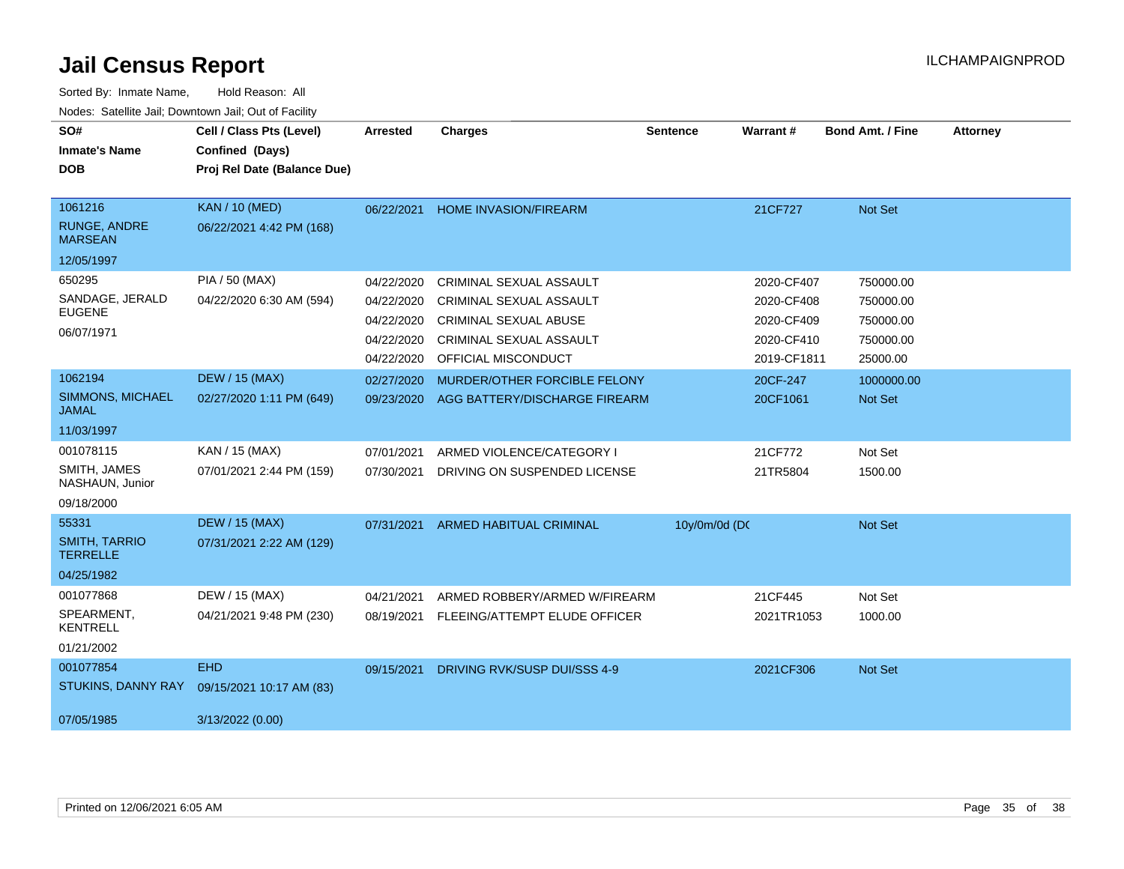| SO#<br><b>Inmate's Name</b><br><b>DOB</b>        | Cell / Class Pts (Level)<br>Confined (Days)<br>Proj Rel Date (Balance Due) | <b>Arrested</b> | <b>Charges</b>                 | <b>Sentence</b> | <b>Warrant#</b> | <b>Bond Amt. / Fine</b> | <b>Attorney</b> |
|--------------------------------------------------|----------------------------------------------------------------------------|-----------------|--------------------------------|-----------------|-----------------|-------------------------|-----------------|
| 1061216<br><b>RUNGE, ANDRE</b><br><b>MARSEAN</b> | <b>KAN / 10 (MED)</b><br>06/22/2021 4:42 PM (168)                          | 06/22/2021      | <b>HOME INVASION/FIREARM</b>   |                 | 21CF727         | Not Set                 |                 |
| 12/05/1997                                       |                                                                            |                 |                                |                 |                 |                         |                 |
| 650295                                           | PIA / 50 (MAX)                                                             | 04/22/2020      | CRIMINAL SEXUAL ASSAULT        |                 | 2020-CF407      | 750000.00               |                 |
| SANDAGE, JERALD                                  | 04/22/2020 6:30 AM (594)                                                   | 04/22/2020      | CRIMINAL SEXUAL ASSAULT        |                 | 2020-CF408      | 750000.00               |                 |
| <b>EUGENE</b>                                    |                                                                            | 04/22/2020      | <b>CRIMINAL SEXUAL ABUSE</b>   |                 | 2020-CF409      | 750000.00               |                 |
| 06/07/1971                                       |                                                                            | 04/22/2020      | CRIMINAL SEXUAL ASSAULT        |                 | 2020-CF410      | 750000.00               |                 |
|                                                  |                                                                            | 04/22/2020      | OFFICIAL MISCONDUCT            |                 | 2019-CF1811     | 25000.00                |                 |
| 1062194                                          | <b>DEW / 15 (MAX)</b>                                                      | 02/27/2020      | MURDER/OTHER FORCIBLE FELONY   |                 | 20CF-247        | 1000000.00              |                 |
| SIMMONS, MICHAEL<br><b>JAMAL</b>                 | 02/27/2020 1:11 PM (649)                                                   | 09/23/2020      | AGG BATTERY/DISCHARGE FIREARM  |                 | 20CF1061        | <b>Not Set</b>          |                 |
| 11/03/1997                                       |                                                                            |                 |                                |                 |                 |                         |                 |
| 001078115                                        | KAN / 15 (MAX)                                                             | 07/01/2021      | ARMED VIOLENCE/CATEGORY I      |                 | 21CF772         | Not Set                 |                 |
| SMITH, JAMES<br>NASHAUN, Junior                  | 07/01/2021 2:44 PM (159)                                                   | 07/30/2021      | DRIVING ON SUSPENDED LICENSE   |                 | 21TR5804        | 1500.00                 |                 |
| 09/18/2000                                       |                                                                            |                 |                                |                 |                 |                         |                 |
| 55331                                            | <b>DEW / 15 (MAX)</b>                                                      | 07/31/2021      | <b>ARMED HABITUAL CRIMINAL</b> | 10y/0m/0d (DC   |                 | Not Set                 |                 |
| <b>SMITH, TARRIO</b><br><b>TERRELLE</b>          | 07/31/2021 2:22 AM (129)                                                   |                 |                                |                 |                 |                         |                 |
| 04/25/1982                                       |                                                                            |                 |                                |                 |                 |                         |                 |
| 001077868                                        | DEW / 15 (MAX)                                                             | 04/21/2021      | ARMED ROBBERY/ARMED W/FIREARM  |                 | 21CF445         | Not Set                 |                 |
| SPEARMENT,<br><b>KENTRELL</b>                    | 04/21/2021 9:48 PM (230)                                                   | 08/19/2021      | FLEEING/ATTEMPT ELUDE OFFICER  |                 | 2021TR1053      | 1000.00                 |                 |
| 01/21/2002                                       |                                                                            |                 |                                |                 |                 |                         |                 |
| 001077854                                        | EHD.                                                                       | 09/15/2021      | DRIVING RVK/SUSP DUI/SSS 4-9   |                 | 2021CF306       | Not Set                 |                 |
| STUKINS, DANNY RAY                               | 09/15/2021 10:17 AM (83)                                                   |                 |                                |                 |                 |                         |                 |
| 07/05/1985                                       | 3/13/2022 (0.00)                                                           |                 |                                |                 |                 |                         |                 |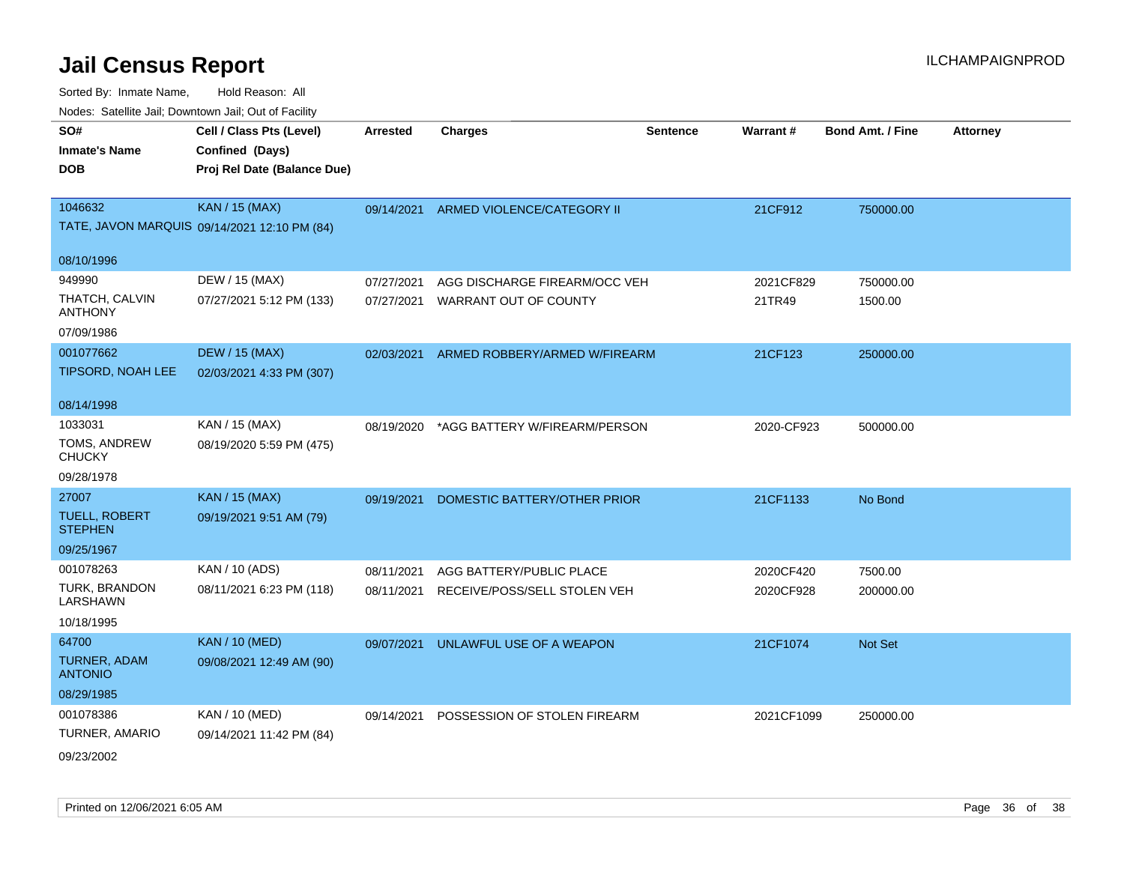| SO#                                    | Cell / Class Pts (Level)                     | <b>Arrested</b> | <b>Charges</b>                        | <b>Sentence</b> | Warrant#   | <b>Bond Amt. / Fine</b> | <b>Attorney</b> |
|----------------------------------------|----------------------------------------------|-----------------|---------------------------------------|-----------------|------------|-------------------------|-----------------|
| <b>Inmate's Name</b>                   | Confined (Days)                              |                 |                                       |                 |            |                         |                 |
| <b>DOB</b>                             | Proj Rel Date (Balance Due)                  |                 |                                       |                 |            |                         |                 |
|                                        |                                              |                 |                                       |                 |            |                         |                 |
| 1046632                                | <b>KAN / 15 (MAX)</b>                        |                 | 09/14/2021 ARMED VIOLENCE/CATEGORY II |                 | 21CF912    | 750000.00               |                 |
|                                        | TATE, JAVON MARQUIS 09/14/2021 12:10 PM (84) |                 |                                       |                 |            |                         |                 |
| 08/10/1996                             |                                              |                 |                                       |                 |            |                         |                 |
| 949990                                 | DEW / 15 (MAX)                               | 07/27/2021      | AGG DISCHARGE FIREARM/OCC VEH         |                 | 2021CF829  | 750000.00               |                 |
| THATCH, CALVIN<br>ANTHONY              | 07/27/2021 5:12 PM (133)                     | 07/27/2021      | WARRANT OUT OF COUNTY                 |                 | 21TR49     | 1500.00                 |                 |
| 07/09/1986                             |                                              |                 |                                       |                 |            |                         |                 |
| 001077662                              | <b>DEW / 15 (MAX)</b>                        | 02/03/2021      | ARMED ROBBERY/ARMED W/FIREARM         |                 | 21CF123    | 250000.00               |                 |
| <b>TIPSORD, NOAH LEE</b>               | 02/03/2021 4:33 PM (307)                     |                 |                                       |                 |            |                         |                 |
| 08/14/1998                             |                                              |                 |                                       |                 |            |                         |                 |
| 1033031                                | KAN / 15 (MAX)                               | 08/19/2020      | *AGG BATTERY W/FIREARM/PERSON         |                 | 2020-CF923 | 500000.00               |                 |
| TOMS, ANDREW<br><b>CHUCKY</b>          | 08/19/2020 5:59 PM (475)                     |                 |                                       |                 |            |                         |                 |
| 09/28/1978                             |                                              |                 |                                       |                 |            |                         |                 |
| 27007                                  | <b>KAN / 15 (MAX)</b>                        | 09/19/2021      | DOMESTIC BATTERY/OTHER PRIOR          |                 | 21CF1133   | No Bond                 |                 |
| <b>TUELL, ROBERT</b><br><b>STEPHEN</b> | 09/19/2021 9:51 AM (79)                      |                 |                                       |                 |            |                         |                 |
| 09/25/1967                             |                                              |                 |                                       |                 |            |                         |                 |
| 001078263                              | KAN / 10 (ADS)                               | 08/11/2021      | AGG BATTERY/PUBLIC PLACE              |                 | 2020CF420  | 7500.00                 |                 |
| TURK, BRANDON<br>LARSHAWN              | 08/11/2021 6:23 PM (118)                     | 08/11/2021      | RECEIVE/POSS/SELL STOLEN VEH          |                 | 2020CF928  | 200000.00               |                 |
| 10/18/1995                             |                                              |                 |                                       |                 |            |                         |                 |
| 64700                                  | <b>KAN / 10 (MED)</b>                        | 09/07/2021      | UNLAWFUL USE OF A WEAPON              |                 | 21CF1074   | Not Set                 |                 |
| TURNER, ADAM<br><b>ANTONIO</b>         | 09/08/2021 12:49 AM (90)                     |                 |                                       |                 |            |                         |                 |
| 08/29/1985                             |                                              |                 |                                       |                 |            |                         |                 |
| 001078386                              | <b>KAN / 10 (MED)</b>                        | 09/14/2021      | POSSESSION OF STOLEN FIREARM          |                 | 2021CF1099 | 250000.00               |                 |
| TURNER, AMARIO                         | 09/14/2021 11:42 PM (84)                     |                 |                                       |                 |            |                         |                 |
| 09/23/2002                             |                                              |                 |                                       |                 |            |                         |                 |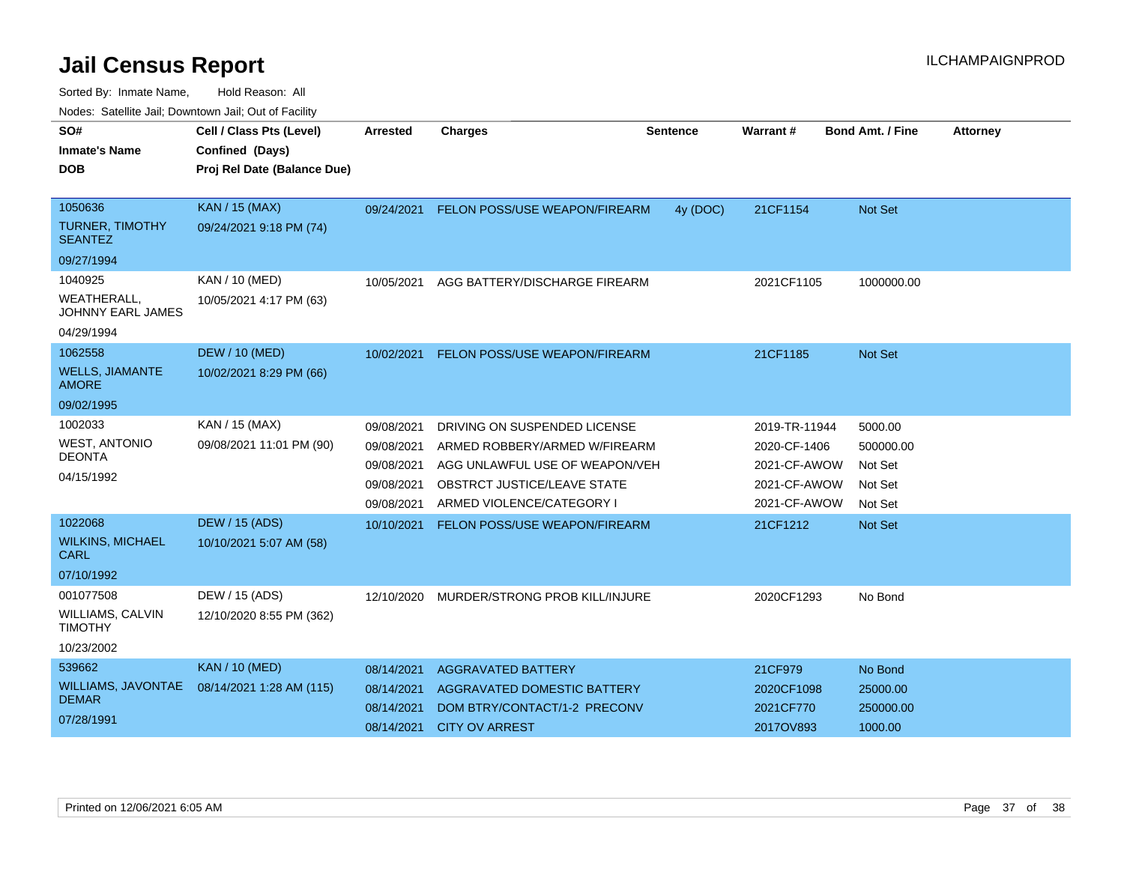| SO#                                           | Cell / Class Pts (Level)    |            |                                      |                 | Warrant#      | <b>Bond Amt. / Fine</b> |                 |
|-----------------------------------------------|-----------------------------|------------|--------------------------------------|-----------------|---------------|-------------------------|-----------------|
|                                               |                             | Arrested   | <b>Charges</b>                       | <b>Sentence</b> |               |                         | <b>Attorney</b> |
| <b>Inmate's Name</b>                          | Confined (Days)             |            |                                      |                 |               |                         |                 |
| DOB                                           | Proj Rel Date (Balance Due) |            |                                      |                 |               |                         |                 |
|                                               |                             |            |                                      |                 |               |                         |                 |
| 1050636                                       | KAN / 15 (MAX)              | 09/24/2021 | <b>FELON POSS/USE WEAPON/FIREARM</b> | 4y (DOC)        | 21CF1154      | <b>Not Set</b>          |                 |
| <b>TURNER, TIMOTHY</b><br><b>SEANTEZ</b>      | 09/24/2021 9:18 PM (74)     |            |                                      |                 |               |                         |                 |
| 09/27/1994                                    |                             |            |                                      |                 |               |                         |                 |
| 1040925                                       | KAN / 10 (MED)              | 10/05/2021 | AGG BATTERY/DISCHARGE FIREARM        |                 | 2021CF1105    | 1000000.00              |                 |
| <b>WEATHERALL</b><br><b>JOHNNY EARL JAMES</b> | 10/05/2021 4:17 PM (63)     |            |                                      |                 |               |                         |                 |
| 04/29/1994                                    |                             |            |                                      |                 |               |                         |                 |
| 1062558                                       | <b>DEW / 10 (MED)</b>       | 10/02/2021 | FELON POSS/USE WEAPON/FIREARM        |                 | 21CF1185      | <b>Not Set</b>          |                 |
| <b>WELLS, JIAMANTE</b><br><b>AMORE</b>        | 10/02/2021 8:29 PM (66)     |            |                                      |                 |               |                         |                 |
| 09/02/1995                                    |                             |            |                                      |                 |               |                         |                 |
| 1002033                                       | KAN / 15 (MAX)              | 09/08/2021 | DRIVING ON SUSPENDED LICENSE         |                 | 2019-TR-11944 | 5000.00                 |                 |
| <b>WEST, ANTONIO</b>                          | 09/08/2021 11:01 PM (90)    | 09/08/2021 | ARMED ROBBERY/ARMED W/FIREARM        |                 | 2020-CF-1406  | 500000.00               |                 |
| <b>DEONTA</b>                                 |                             | 09/08/2021 | AGG UNLAWFUL USE OF WEAPON/VEH       |                 | 2021-CF-AWOW  | Not Set                 |                 |
| 04/15/1992                                    |                             | 09/08/2021 | OBSTRCT JUSTICE/LEAVE STATE          |                 | 2021-CF-AWOW  | Not Set                 |                 |
|                                               |                             | 09/08/2021 | ARMED VIOLENCE/CATEGORY I            |                 | 2021-CF-AWOW  | Not Set                 |                 |
| 1022068                                       | <b>DEW / 15 (ADS)</b>       | 10/10/2021 | FELON POSS/USE WEAPON/FIREARM        |                 | 21CF1212      | <b>Not Set</b>          |                 |
| <b>WILKINS, MICHAEL</b><br>CARL               | 10/10/2021 5:07 AM (58)     |            |                                      |                 |               |                         |                 |
| 07/10/1992                                    |                             |            |                                      |                 |               |                         |                 |
| 001077508                                     | DEW / 15 (ADS)              | 12/10/2020 | MURDER/STRONG PROB KILL/INJURE       |                 | 2020CF1293    | No Bond                 |                 |
| WILLIAMS, CALVIN<br><b>TIMOTHY</b>            | 12/10/2020 8:55 PM (362)    |            |                                      |                 |               |                         |                 |
| 10/23/2002                                    |                             |            |                                      |                 |               |                         |                 |
| 539662                                        | <b>KAN / 10 (MED)</b>       | 08/14/2021 | <b>AGGRAVATED BATTERY</b>            |                 | 21CF979       | No Bond                 |                 |
| WILLIAMS, JAVONTAE                            | 08/14/2021 1:28 AM (115)    | 08/14/2021 | AGGRAVATED DOMESTIC BATTERY          |                 | 2020CF1098    | 25000.00                |                 |
| <b>DEMAR</b>                                  |                             | 08/14/2021 | DOM BTRY/CONTACT/1-2 PRECONV         |                 | 2021CF770     | 250000.00               |                 |
| 07/28/1991                                    |                             | 08/14/2021 | <b>CITY OV ARREST</b>                |                 | 2017OV893     | 1000.00                 |                 |